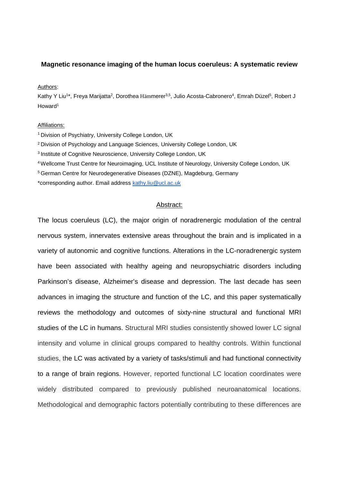# **Magnetic resonance imaging of the human locus coeruleus: A systematic review**

#### Authors:

Kathy Y Liu<sup>1</sup>\*, Freya Marijatta<sup>2</sup>, Dorothea Hämmerer<sup>3,5</sup>, Julio Acosta-Cabronero<sup>4</sup>, Emrah Düzel<sup>5</sup>, Robert J Howard<sup>1</sup>

#### Affiliations:

- <sup>1</sup> Division of Psychiatry, University College London, UK
- <sup>2</sup> Division of Psychology and Language Sciences, University College London, UK
- <sup>3</sup> Institute of Cognitive Neuroscience, University College London, UK
- <sup>4</sup> Wellcome Trust Centre for Neuroimaging, UCL Institute of Neurology, University College London, UK
- <sup>5</sup> German Centre for Neurodegenerative Diseases (DZNE), Magdeburg, Germany

\*corresponding author. Email address kathy.liu@ucl.ac.uk

#### Abstract:

The locus coeruleus (LC), the major origin of noradrenergic modulation of the central nervous system, innervates extensive areas throughout the brain and is implicated in a variety of autonomic and cognitive functions. Alterations in the LC-noradrenergic system have been associated with healthy ageing and neuropsychiatric disorders including Parkinson's disease, Alzheimer's disease and depression. The last decade has seen advances in imaging the structure and function of the LC, and this paper systematically reviews the methodology and outcomes of sixty-nine structural and functional MRI studies of the LC in humans. Structural MRI studies consistently showed lower LC signal intensity and volume in clinical groups compared to healthy controls. Within functional studies, the LC was activated by a variety of tasks/stimuli and had functional connectivity to a range of brain regions. However, reported functional LC location coordinates were widely distributed compared to previously published neuroanatomical locations. Methodological and demographic factors potentially contributing to these differences are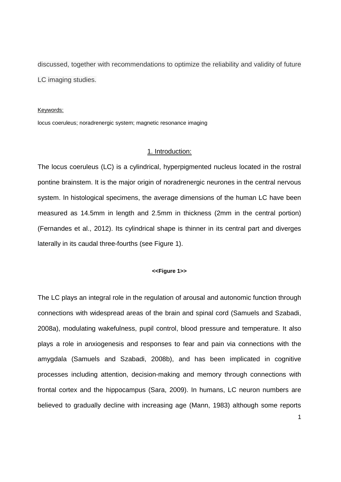discussed, together with recommendations to optimize the reliability and validity of future LC imaging studies.

## Keywords:

locus coeruleus; noradrenergic system; magnetic resonance imaging

# 1. Introduction:

The locus coeruleus (LC) is a cylindrical, hyperpigmented nucleus located in the rostral pontine brainstem. It is the major origin of noradrenergic neurones in the central nervous system. In histological specimens, the average dimensions of the human LC have been measured as 14.5mm in length and 2.5mm in thickness (2mm in the central portion) (Fernandes et al., 2012). Its cylindrical shape is thinner in its central part and diverges laterally in its caudal three-fourths (see Figure 1).

#### **<<Figure 1>>**

The LC plays an integral role in the regulation of arousal and autonomic function through connections with widespread areas of the brain and spinal cord (Samuels and Szabadi, 2008a), modulating wakefulness, pupil control, blood pressure and temperature. It also plays a role in anxiogenesis and responses to fear and pain via connections with the amygdala (Samuels and Szabadi, 2008b), and has been implicated in cognitive processes including attention, decision-making and memory through connections with frontal cortex and the hippocampus (Sara, 2009). In humans, LC neuron numbers are believed to gradually decline with increasing age (Mann, 1983) although some reports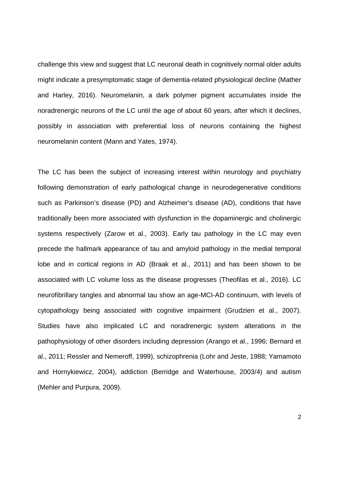challenge this view and suggest that LC neuronal death in cognitively normal older adults might indicate a presymptomatic stage of dementia-related physiological decline (Mather and Harley, 2016). Neuromelanin, a dark polymer pigment accumulates inside the noradrenergic neurons of the LC until the age of about 60 years, after which it declines, possibly in association with preferential loss of neurons containing the highest neuromelanin content (Mann and Yates, 1974).

The LC has been the subject of increasing interest within neurology and psychiatry following demonstration of early pathological change in neurodegenerative conditions such as Parkinson's disease (PD) and Alzheimer's disease (AD), conditions that have traditionally been more associated with dysfunction in the dopaminergic and cholinergic systems respectively (Zarow et al., 2003). Early tau pathology in the LC may even precede the hallmark appearance of tau and amyloid pathology in the medial temporal lobe and in cortical regions in AD (Braak et al., 2011) and has been shown to be associated with LC volume loss as the disease progresses (Theofilas et al., 2016). LC neurofibrillary tangles and abnormal tau show an age-MCI-AD continuum, with levels of cytopathology being associated with cognitive impairment (Grudzien et al., 2007). Studies have also implicated LC and noradrenergic system alterations in the pathophysiology of other disorders including depression (Arango et al., 1996; Bernard et al., 2011; Ressler and Nemeroff, 1999), schizophrenia (Lohr and Jeste, 1988; Yamamoto and Hornykiewicz, 2004), addiction (Berridge and Waterhouse, 2003/4) and autism (Mehler and Purpura, 2009).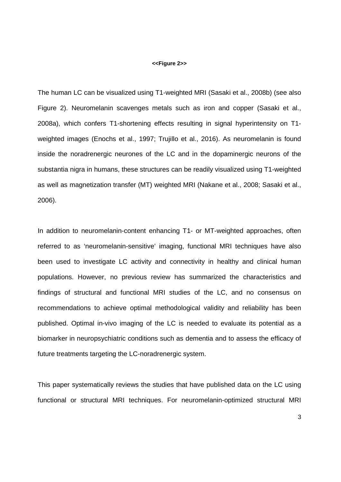#### **<<Figure 2>>**

The human LC can be visualized using T1-weighted MRI (Sasaki et al., 2008b) (see also Figure 2). Neuromelanin scavenges metals such as iron and copper (Sasaki et al., 2008a), which confers T1-shortening effects resulting in signal hyperintensity on T1 weighted images (Enochs et al., 1997; Trujillo et al., 2016). As neuromelanin is found inside the noradrenergic neurones of the LC and in the dopaminergic neurons of the substantia nigra in humans, these structures can be readily visualized using T1-weighted as well as magnetization transfer (MT) weighted MRI (Nakane et al., 2008; Sasaki et al., 2006).

In addition to neuromelanin-content enhancing T1- or MT-weighted approaches, often referred to as 'neuromelanin-sensitive' imaging, functional MRI techniques have also been used to investigate LC activity and connectivity in healthy and clinical human populations. However, no previous review has summarized the characteristics and findings of structural and functional MRI studies of the LC, and no consensus on recommendations to achieve optimal methodological validity and reliability has been published. Optimal in-vivo imaging of the LC is needed to evaluate its potential as a biomarker in neuropsychiatric conditions such as dementia and to assess the efficacy of future treatments targeting the LC-noradrenergic system.

This paper systematically reviews the studies that have published data on the LC using functional or structural MRI techniques. For neuromelanin-optimized structural MRI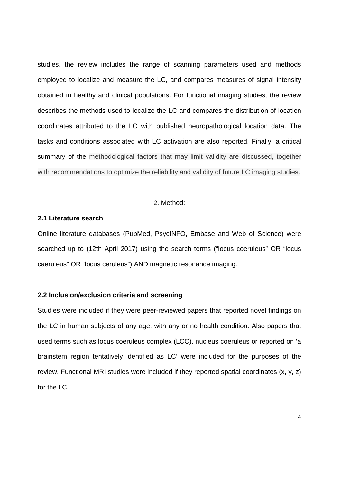studies, the review includes the range of scanning parameters used and methods employed to localize and measure the LC, and compares measures of signal intensity obtained in healthy and clinical populations. For functional imaging studies, the review describes the methods used to localize the LC and compares the distribution of location coordinates attributed to the LC with published neuropathological location data. The tasks and conditions associated with LC activation are also reported. Finally, a critical summary of the methodological factors that may limit validity are discussed, together with recommendations to optimize the reliability and validity of future LC imaging studies.

# 2. Method:

# **2.1 Literature search**

Online literature databases (PubMed, PsycINFO, Embase and Web of Science) were searched up to (12th April 2017) using the search terms ("locus coeruleus" OR "locus caeruleus" OR "locus ceruleus") AND magnetic resonance imaging.

## **2.2 Inclusion/exclusion criteria and screening**

Studies were included if they were peer-reviewed papers that reported novel findings on the LC in human subjects of any age, with any or no health condition. Also papers that used terms such as locus coeruleus complex (LCC), nucleus coeruleus or reported on 'a brainstem region tentatively identified as LC' were included for the purposes of the review. Functional MRI studies were included if they reported spatial coordinates (x, y, z) for the LC.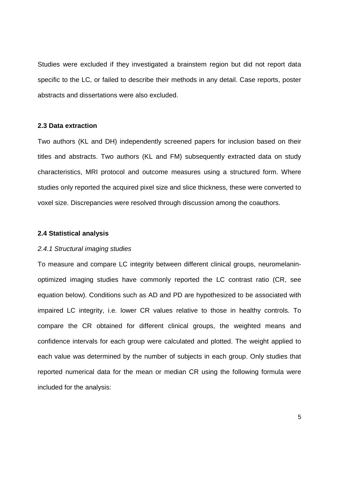Studies were excluded if they investigated a brainstem region but did not report data specific to the LC, or failed to describe their methods in any detail. Case reports, poster abstracts and dissertations were also excluded.

# **2.3 Data extraction**

Two authors (KL and DH) independently screened papers for inclusion based on their titles and abstracts. Two authors (KL and FM) subsequently extracted data on study characteristics, MRI protocol and outcome measures using a structured form. Where studies only reported the acquired pixel size and slice thickness, these were converted to voxel size. Discrepancies were resolved through discussion among the coauthors.

# **2.4 Statistical analysis**

# *2.4.1 Structural imaging studies*

To measure and compare LC integrity between different clinical groups, neuromelaninoptimized imaging studies have commonly reported the LC contrast ratio (CR, see equation below). Conditions such as AD and PD are hypothesized to be associated with impaired LC integrity, i.e. lower CR values relative to those in healthy controls. To compare the CR obtained for different clinical groups, the weighted means and confidence intervals for each group were calculated and plotted. The weight applied to each value was determined by the number of subjects in each group. Only studies that reported numerical data for the mean or median CR using the following formula were included for the analysis: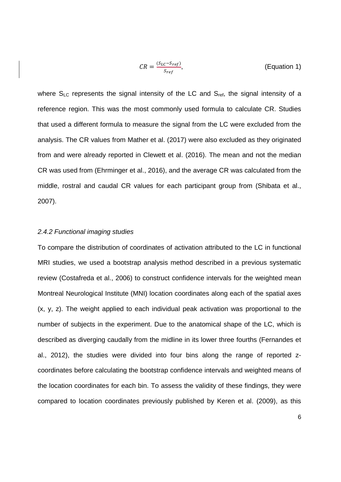$$
CR = \frac{(S_{LC} - S_{ref})}{S_{ref}},
$$
 (Equation 1)

where  $S_{LC}$  represents the signal intensity of the LC and  $S_{ref}$ , the signal intensity of a reference region. This was the most commonly used formula to calculate CR. Studies that used a different formula to measure the signal from the LC were excluded from the analysis. The CR values from Mather et al. (2017) were also excluded as they originated from and were already reported in Clewett et al. (2016). The mean and not the median CR was used from (Ehrminger et al., 2016), and the average CR was calculated from the middle, rostral and caudal CR values for each participant group from (Shibata et al., 2007).

# *2.4.2 Functional imaging studies*

To compare the distribution of coordinates of activation attributed to the LC in functional MRI studies, we used a bootstrap analysis method described in a previous systematic review (Costafreda et al., 2006) to construct confidence intervals for the weighted mean Montreal Neurological Institute (MNI) location coordinates along each of the spatial axes (x, y, z). The weight applied to each individual peak activation was proportional to the number of subjects in the experiment. Due to the anatomical shape of the LC, which is described as diverging caudally from the midline in its lower three fourths (Fernandes et al., 2012), the studies were divided into four bins along the range of reported zcoordinates before calculating the bootstrap confidence intervals and weighted means of the location coordinates for each bin. To assess the validity of these findings, they were compared to location coordinates previously published by Keren et al. (2009), as this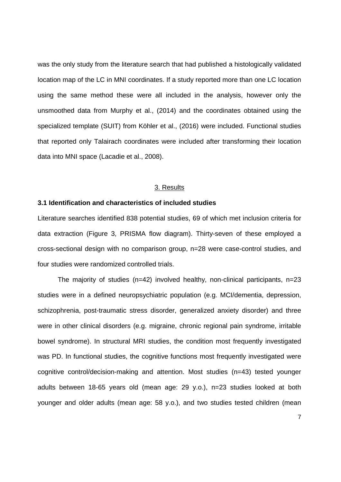was the only study from the literature search that had published a histologically validated location map of the LC in MNI coordinates. If a study reported more than one LC location using the same method these were all included in the analysis, however only the unsmoothed data from Murphy et al., (2014) and the coordinates obtained using the specialized template (SUIT) from Köhler et al., (2016) were included. Functional studies that reported only Talairach coordinates were included after transforming their location data into MNI space (Lacadie et al., 2008).

#### 3. Results

## **3.1 Identification and characteristics of included studies**

Literature searches identified 838 potential studies, 69 of which met inclusion criteria for data extraction (Figure 3, PRISMA flow diagram). Thirty-seven of these employed a cross-sectional design with no comparison group, n=28 were case-control studies, and four studies were randomized controlled trials.

The majority of studies (n=42) involved healthy, non-clinical participants, n=23 studies were in a defined neuropsychiatric population (e.g. MCI/dementia, depression, schizophrenia, post-traumatic stress disorder, generalized anxiety disorder) and three were in other clinical disorders (e.g. migraine, chronic regional pain syndrome, irritable bowel syndrome). In structural MRI studies, the condition most frequently investigated was PD. In functional studies, the cognitive functions most frequently investigated were cognitive control/decision-making and attention. Most studies (n=43) tested younger adults between 18-65 years old (mean age: 29 y.o.), n=23 studies looked at both younger and older adults (mean age: 58 y.o.), and two studies tested children (mean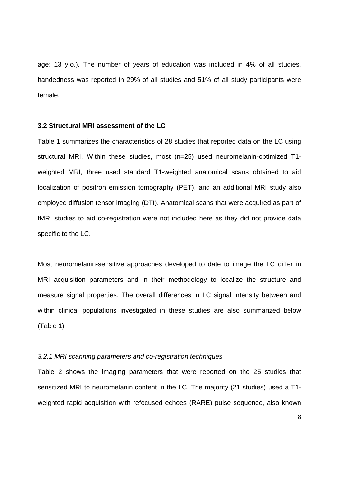age: 13 y.o.). The number of years of education was included in 4% of all studies, handedness was reported in 29% of all studies and 51% of all study participants were female.

# **3.2 Structural MRI assessment of the LC**

Table 1 summarizes the characteristics of 28 studies that reported data on the LC using structural MRI. Within these studies, most (n=25) used neuromelanin-optimized T1 weighted MRI, three used standard T1-weighted anatomical scans obtained to aid localization of positron emission tomography (PET), and an additional MRI study also employed diffusion tensor imaging (DTI). Anatomical scans that were acquired as part of fMRI studies to aid co-registration were not included here as they did not provide data specific to the LC.

Most neuromelanin-sensitive approaches developed to date to image the LC differ in MRI acquisition parameters and in their methodology to localize the structure and measure signal properties. The overall differences in LC signal intensity between and within clinical populations investigated in these studies are also summarized below (Table 1)

# *3.2.1 MRI scanning parameters and co-registration techniques*

Table 2 shows the imaging parameters that were reported on the 25 studies that sensitized MRI to neuromelanin content in the LC. The majority (21 studies) used a T1 weighted rapid acquisition with refocused echoes (RARE) pulse sequence, also known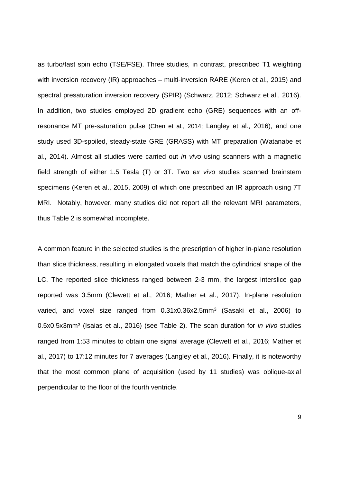as turbo/fast spin echo (TSE/FSE). Three studies, in contrast, prescribed T1 weighting with inversion recovery (IR) approaches – multi-inversion RARE (Keren et al., 2015) and spectral presaturation inversion recovery (SPIR) (Schwarz, 2012; Schwarz et al., 2016). In addition, two studies employed 2D gradient echo (GRE) sequences with an offresonance MT pre-saturation pulse (Chen et al., 2014; Langley et al., 2016), and one study used 3D-spoiled, steady-state GRE (GRASS) with MT preparation (Watanabe et al., 2014). Almost all studies were carried out *in vivo* using scanners with a magnetic field strength of either 1.5 Tesla (T) or 3T. Two *ex vivo* studies scanned brainstem specimens (Keren et al., 2015, 2009) of which one prescribed an IR approach using 7T MRI. Notably, however, many studies did not report all the relevant MRI parameters, thus Table 2 is somewhat incomplete.

A common feature in the selected studies is the prescription of higher in-plane resolution than slice thickness, resulting in elongated voxels that match the cylindrical shape of the LC. The reported slice thickness ranged between 2-3 mm, the largest interslice gap reported was 3.5mm (Clewett et al., 2016; Mather et al., 2017). In-plane resolution varied, and voxel size ranged from 0.31x0.36x2.5mm<sup>3</sup> (Sasaki et al., 2006) to 0.5x0.5x3mm<sup>3</sup> (Isaias et al., 2016) (see Table 2). The scan duration for *in vivo* studies ranged from 1:53 minutes to obtain one signal average (Clewett et al., 2016; Mather et al., 2017) to 17:12 minutes for 7 averages (Langley et al., 2016). Finally, it is noteworthy that the most common plane of acquisition (used by 11 studies) was oblique-axial perpendicular to the floor of the fourth ventricle.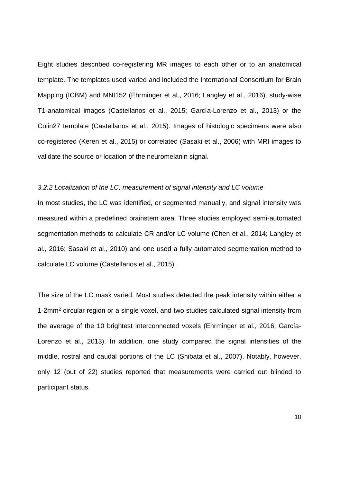Eight studies described co-registering MR images to each other or to an anatomical template. The templates used varied and included the International Consortium for Brain Mapping (ICBM) and MNI152 (Ehrminger et al., 2016; Langley et al., 2016), study-wise T1-anatomical images (Castellanos et al., 2015; García-Lorenzo et al., 2013) or the Colin27 template (Castellanos et al., 2015). Images of histologic specimens were also co-registered (Keren et al., 2015) or correlated (Sasaki et al., 2006) with MRI images to validate the source or location of the neuromelanin signal.

## *3.2.2 Localization of the LC, measurement of signal intensity and LC volume*

In most studies, the LC was identified, or segmented manually, and signal intensity was measured within a predefined brainstem area. Three studies employed semi-automated segmentation methods to calculate CR and/or LC volume (Chen et al., 2014; Langley et al., 2016; Sasaki et al., 2010) and one used a fully automated segmentation method to calculate LC volume (Castellanos et al., 2015).

The size of the LC mask varied. Most studies detected the peak intensity within either a 1-2mm<sup>2</sup> circular region or a single voxel, and two studies calculated signal intensity from the average of the 10 brightest interconnected voxels (Ehrminger et al., 2016; García-Lorenzo et al., 2013). In addition, one study compared the signal intensities of the middle, rostral and caudal portions of the LC (Shibata et al., 2007). Notably, however, only 12 (out of 22) studies reported that measurements were carried out blinded to participant status.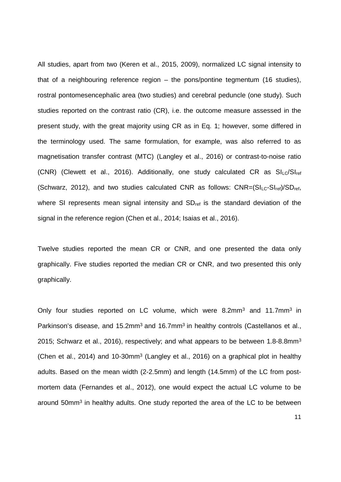All studies, apart from two (Keren et al., 2015, 2009), normalized LC signal intensity to that of a neighbouring reference region – the pons/pontine tegmentum (16 studies), rostral pontomesencephalic area (two studies) and cerebral peduncle (one study). Such studies reported on the contrast ratio (CR), i.e. the outcome measure assessed in the present study, with the great majority using CR as in Eq. 1; however, some differed in the terminology used. The same formulation, for example, was also referred to as magnetisation transfer contrast (MTC) (Langley et al., 2016) or contrast-to-noise ratio (CNR) (Clewett et al., 2016). Additionally, one study calculated CR as  $SL_C/SI_{ref}$ (Schwarz, 2012), and two studies calculated CNR as follows:  $CNR = (SI_{LC}-SI_{ref})/SD_{ref}$ , where SI represents mean signal intensity and SD<sub>ref</sub> is the standard deviation of the signal in the reference region (Chen et al., 2014; Isaias et al., 2016).

Twelve studies reported the mean CR or CNR, and one presented the data only graphically. Five studies reported the median CR or CNR, and two presented this only graphically.

Only four studies reported on LC volume, which were 8.2mm<sup>3</sup> and 11.7mm<sup>3</sup> in Parkinson's disease, and 15.2mm<sup>3</sup> and 16.7mm<sup>3</sup> in healthy controls (Castellanos et al., 2015; Schwarz et al., 2016), respectively; and what appears to be between 1.8-8.8mm<sup>3</sup> (Chen et al., 2014) and 10-30mm<sup>3</sup> (Langley et al., 2016) on a graphical plot in healthy adults. Based on the mean width (2-2.5mm) and length (14.5mm) of the LC from postmortem data (Fernandes et al., 2012), one would expect the actual LC volume to be around 50mm<sup>3</sup> in healthy adults. One study reported the area of the LC to be between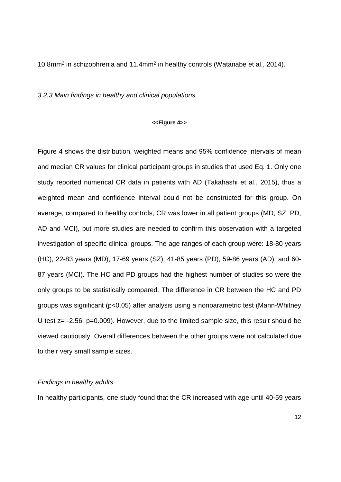10.8mm<sup>2</sup> in schizophrenia and 11.4mm<sup>2</sup> in healthy controls (Watanabe et al., 2014).

### *3.2.3 Main findings in healthy and clinical populations*

# **<<Figure 4>>**

Figure 4 shows the distribution, weighted means and 95% confidence intervals of mean and median CR values for clinical participant groups in studies that used Eq. 1. Only one study reported numerical CR data in patients with AD (Takahashi et al., 2015), thus a weighted mean and confidence interval could not be constructed for this group. On average, compared to healthy controls, CR was lower in all patient groups (MD, SZ, PD, AD and MCI), but more studies are needed to confirm this observation with a targeted investigation of specific clinical groups. The age ranges of each group were: 18-80 years (HC), 22-83 years (MD), 17-69 years (SZ), 41-85 years (PD), 59-86 years (AD), and 60- 87 years (MCI). The HC and PD groups had the highest number of studies so were the only groups to be statistically compared. The difference in CR between the HC and PD groups was significant (p<0.05) after analysis using a nonparametric test (Mann-Whitney U test  $z = -2.56$ ,  $p=0.009$ ). However, due to the limited sample size, this result should be viewed cautiously. Overall differences between the other groups were not calculated due to their very small sample sizes.

# *Findings in healthy adults*

In healthy participants, one study found that the CR increased with age until 40-59 years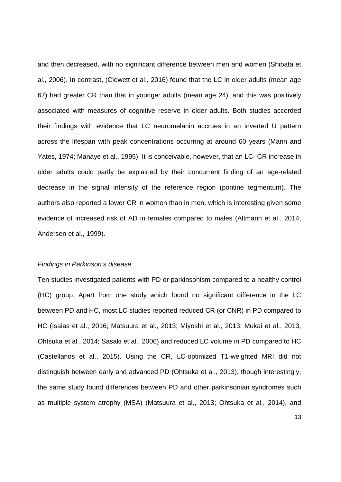and then decreased, with no significant difference between men and women (Shibata et al., 2006). In contrast, (Clewett et al., 2016) found that the LC in older adults (mean age 67) had greater CR than that in younger adults (mean age 24), and this was positively associated with measures of cognitive reserve in older adults. Both studies accorded their findings with evidence that LC neuromelanin accrues in an inverted U pattern across the lifespan with peak concentrations occurring at around 60 years (Mann and Yates, 1974; Manaye et al., 1995). It is conceivable, however, that an LC- CR increase in older adults could partly be explained by their concurrent finding of an age-related decrease in the signal intensity of the reference region (pontine tegmentum). The authors also reported a lower CR in women than in men, which is interesting given some evidence of increased risk of AD in females compared to males (Altmann et al., 2014; Andersen et al., 1999).

## *Findings in Parkinson's disease*

Ten studies investigated patients with PD or parkinsonism compared to a healthy control (HC) group. Apart from one study which found no significant difference in the LC between PD and HC, most LC studies reported reduced CR (or CNR) in PD compared to HC (Isaias et al., 2016; Matsuura et al., 2013; Miyoshi et al., 2013; Mukai et al., 2013; Ohtsuka et al., 2014; Sasaki et al., 2006) and reduced LC volume in PD compared to HC (Castellanos et al., 2015). Using the CR, LC-optimized T1-weighted MRI did not distinguish between early and advanced PD (Ohtsuka et al., 2013), though interestingly, the same study found differences between PD and other parkinsonian syndromes such as multiple system atrophy (MSA) (Matsuura et al., 2013; Ohtsuka et al., 2014), and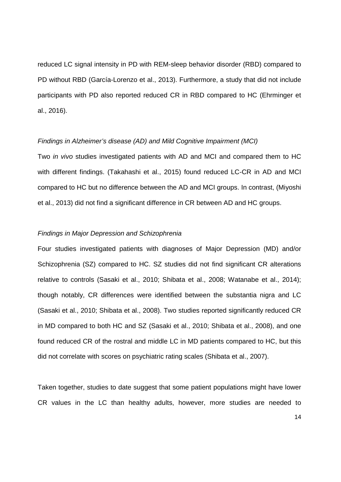reduced LC signal intensity in PD with REM-sleep behavior disorder (RBD) compared to PD without RBD (García-Lorenzo et al., 2013). Furthermore, a study that did not include participants with PD also reported reduced CR in RBD compared to HC (Ehrminger et al., 2016).

# *Findings in Alzheimer's disease (AD) and Mild Cognitive Impairment (MCI)*

Two *in vivo* studies investigated patients with AD and MCI and compared them to HC with different findings. (Takahashi et al., 2015) found reduced LC-CR in AD and MCI compared to HC but no difference between the AD and MCI groups. In contrast, (Miyoshi et al., 2013) did not find a significant difference in CR between AD and HC groups.

# *Findings in Major Depression and Schizophrenia*

Four studies investigated patients with diagnoses of Major Depression (MD) and/or Schizophrenia (SZ) compared to HC. SZ studies did not find significant CR alterations relative to controls (Sasaki et al., 2010; Shibata et al., 2008; Watanabe et al., 2014); though notably, CR differences were identified between the substantia nigra and LC (Sasaki et al., 2010; Shibata et al., 2008). Two studies reported significantly reduced CR in MD compared to both HC and SZ (Sasaki et al., 2010; Shibata et al., 2008), and one found reduced CR of the rostral and middle LC in MD patients compared to HC, but this did not correlate with scores on psychiatric rating scales (Shibata et al., 2007).

Taken together, studies to date suggest that some patient populations might have lower CR values in the LC than healthy adults, however, more studies are needed to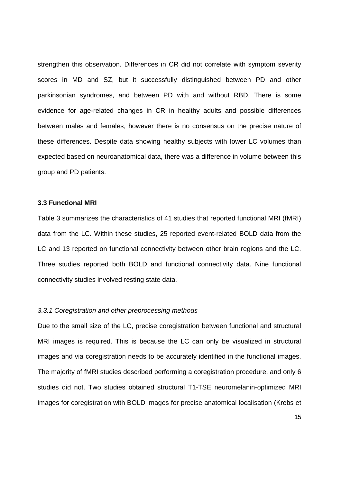strengthen this observation. Differences in CR did not correlate with symptom severity scores in MD and SZ, but it successfully distinguished between PD and other parkinsonian syndromes, and between PD with and without RBD. There is some evidence for age-related changes in CR in healthy adults and possible differences between males and females, however there is no consensus on the precise nature of these differences. Despite data showing healthy subjects with lower LC volumes than expected based on neuroanatomical data, there was a difference in volume between this group and PD patients.

## **3.3 Functional MRI**

Table 3 summarizes the characteristics of 41 studies that reported functional MRI (fMRI) data from the LC. Within these studies, 25 reported event-related BOLD data from the LC and 13 reported on functional connectivity between other brain regions and the LC. Three studies reported both BOLD and functional connectivity data. Nine functional connectivity studies involved resting state data.

# *3.3.1 Coregistration and other preprocessing methods*

Due to the small size of the LC, precise coregistration between functional and structural MRI images is required. This is because the LC can only be visualized in structural images and via coregistration needs to be accurately identified in the functional images. The majority of fMRI studies described performing a coregistration procedure, and only 6 studies did not. Two studies obtained structural T1-TSE neuromelanin-optimized MRI images for coregistration with BOLD images for precise anatomical localisation (Krebs et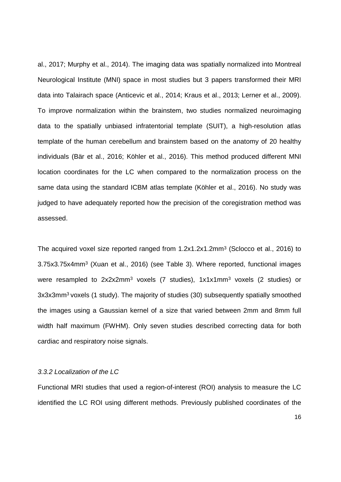al., 2017; Murphy et al., 2014). The imaging data was spatially normalized into Montreal Neurological Institute (MNI) space in most studies but 3 papers transformed their MRI data into Talairach space (Anticevic et al., 2014; Kraus et al., 2013; Lerner et al., 2009). To improve normalization within the brainstem, two studies normalized neuroimaging data to the spatially unbiased infratentorial template (SUIT), a high-resolution atlas template of the human cerebellum and brainstem based on the anatomy of 20 healthy individuals (Bär et al., 2016; Köhler et al., 2016). This method produced different MNI location coordinates for the LC when compared to the normalization process on the same data using the standard ICBM atlas template (Köhler et al., 2016). No study was judged to have adequately reported how the precision of the coregistration method was assessed.

The acquired voxel size reported ranged from 1.2x1.2x1.2mm<sup>3</sup> (Sclocco et al., 2016) to 3.75x3.75x4mm<sup>3</sup> (Xuan et al., 2016) (see Table 3). Where reported, functional images were resampled to 2x2x2mm<sup>3</sup> voxels (7 studies), 1x1x1mm<sup>3</sup> voxels (2 studies) or 3x3x3mm<sup>3</sup> voxels (1 study). The majority of studies (30) subsequently spatially smoothed the images using a Gaussian kernel of a size that varied between 2mm and 8mm full width half maximum (FWHM). Only seven studies described correcting data for both cardiac and respiratory noise signals.

# *3.3.2 Localization of the LC*

Functional MRI studies that used a region-of-interest (ROI) analysis to measure the LC identified the LC ROI using different methods. Previously published coordinates of the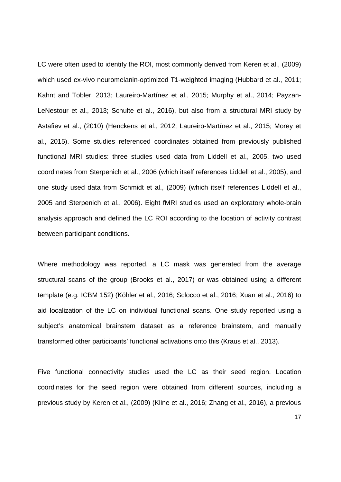LC were often used to identify the ROI, most commonly derived from Keren et al., (2009) which used ex-vivo neuromelanin-optimized T1-weighted imaging (Hubbard et al., 2011; Kahnt and Tobler, 2013; Laureiro-Martínez et al., 2015; Murphy et al., 2014; Payzan-LeNestour et al., 2013; Schulte et al., 2016), but also from a structural MRI study by Astafiev et al., (2010) (Henckens et al., 2012; Laureiro-Martínez et al., 2015; Morey et al., 2015). Some studies referenced coordinates obtained from previously published functional MRI studies: three studies used data from Liddell et al., 2005, two used coordinates from Sterpenich et al., 2006 (which itself references Liddell et al., 2005), and one study used data from Schmidt et al., (2009) (which itself references Liddell et al., 2005 and Sterpenich et al., 2006). Eight fMRI studies used an exploratory whole-brain analysis approach and defined the LC ROI according to the location of activity contrast between participant conditions.

Where methodology was reported, a LC mask was generated from the average structural scans of the group (Brooks et al., 2017) or was obtained using a different template (e.g. ICBM 152) (Köhler et al., 2016; Sclocco et al., 2016; Xuan et al., 2016) to aid localization of the LC on individual functional scans. One study reported using a subject's anatomical brainstem dataset as a reference brainstem, and manually transformed other participants' functional activations onto this (Kraus et al., 2013).

Five functional connectivity studies used the LC as their seed region. Location coordinates for the seed region were obtained from different sources, including a previous study by Keren et al., (2009) (Kline et al., 2016; Zhang et al., 2016), a previous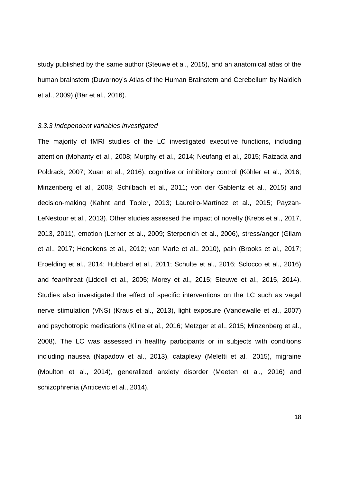study published by the same author (Steuwe et al., 2015), and an anatomical atlas of the human brainstem (Duvornoy's Atlas of the Human Brainstem and Cerebellum by Naidich et al., 2009) (Bär et al., 2016).

#### *3.3.3 Independent variables investigated*

The majority of fMRI studies of the LC investigated executive functions, including attention (Mohanty et al., 2008; Murphy et al., 2014; Neufang et al., 2015; Raizada and Poldrack, 2007; Xuan et al., 2016), cognitive or inhibitory control (Köhler et al., 2016; Minzenberg et al., 2008; Schilbach et al., 2011; von der Gablentz et al., 2015) and decision-making (Kahnt and Tobler, 2013; Laureiro-Martínez et al., 2015; Payzan-LeNestour et al., 2013). Other studies assessed the impact of novelty (Krebs et al., 2017, 2013, 2011), emotion (Lerner et al., 2009; Sterpenich et al., 2006), stress/anger (Gilam et al., 2017; Henckens et al., 2012; van Marle et al., 2010), pain (Brooks et al., 2017; Erpelding et al., 2014; Hubbard et al., 2011; Schulte et al., 2016; Sclocco et al., 2016) and fear/threat (Liddell et al., 2005; Morey et al., 2015; Steuwe et al., 2015, 2014). Studies also investigated the effect of specific interventions on the LC such as vagal nerve stimulation (VNS) (Kraus et al., 2013), light exposure (Vandewalle et al., 2007) and psychotropic medications (Kline et al., 2016; Metzger et al., 2015; Minzenberg et al., 2008). The LC was assessed in healthy participants or in subjects with conditions including nausea (Napadow et al., 2013), cataplexy (Meletti et al., 2015), migraine (Moulton et al., 2014), generalized anxiety disorder (Meeten et al., 2016) and schizophrenia (Anticevic et al., 2014).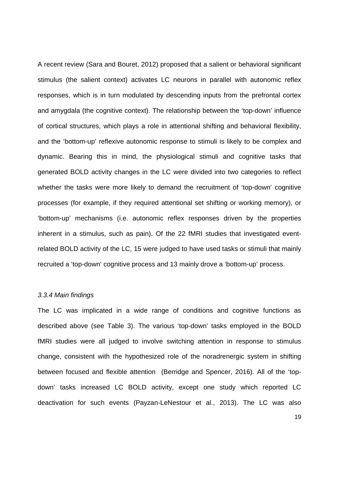A recent review (Sara and Bouret, 2012) proposed that a salient or behavioral significant stimulus (the salient context) activates LC neurons in parallel with autonomic reflex responses, which is in turn modulated by descending inputs from the prefrontal cortex and amygdala (the cognitive context). The relationship between the 'top-down' influence of cortical structures, which plays a role in attentional shifting and behavioral flexibility, and the 'bottom-up' reflexive autonomic response to stimuli is likely to be complex and dynamic. Bearing this in mind, the physiological stimuli and cognitive tasks that generated BOLD activity changes in the LC were divided into two categories to reflect whether the tasks were more likely to demand the recruitment of 'top-down' cognitive processes (for example, if they required attentional set shifting or working memory), or 'bottom-up' mechanisms (i.e. autonomic reflex responses driven by the properties inherent in a stimulus, such as pain). Of the 22 fMRI studies that investigated eventrelated BOLD activity of the LC, 15 were judged to have used tasks or stimuli that mainly recruited a 'top-down' cognitive process and 13 mainly drove a 'bottom-up' process.

# *3.3.4 Main findings*

The LC was implicated in a wide range of conditions and cognitive functions as described above (see Table 3). The various 'top-down' tasks employed in the BOLD fMRI studies were all judged to involve switching attention in response to stimulus change, consistent with the hypothesized role of the noradrenergic system in shifting between focused and flexible attention (Berridge and Spencer, 2016). All of the 'topdown' tasks increased LC BOLD activity, except one study which reported LC deactivation for such events (Payzan-LeNestour et al., 2013). The LC was also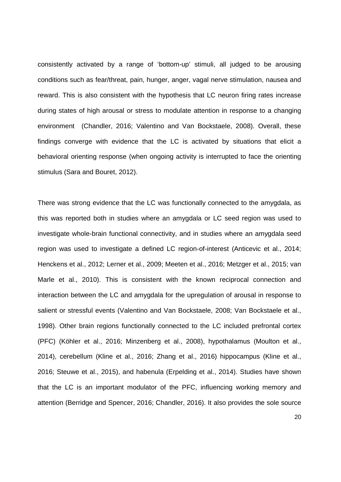consistently activated by a range of 'bottom-up' stimuli, all judged to be arousing conditions such as fear/threat, pain, hunger, anger, vagal nerve stimulation, nausea and reward. This is also consistent with the hypothesis that LC neuron firing rates increase during states of high arousal or stress to modulate attention in response to a changing environment (Chandler, 2016; Valentino and Van Bockstaele, 2008). Overall, these findings converge with evidence that the LC is activated by situations that elicit a behavioral orienting response (when ongoing activity is interrupted to face the orienting stimulus (Sara and Bouret, 2012).

There was strong evidence that the LC was functionally connected to the amygdala, as this was reported both in studies where an amygdala or LC seed region was used to investigate whole-brain functional connectivity, and in studies where an amygdala seed region was used to investigate a defined LC region-of-interest (Anticevic et al., 2014; Henckens et al., 2012; Lerner et al., 2009; Meeten et al., 2016; Metzger et al., 2015; van Marle et al., 2010). This is consistent with the known reciprocal connection and interaction between the LC and amygdala for the upregulation of arousal in response to salient or stressful events (Valentino and Van Bockstaele, 2008; Van Bockstaele et al., 1998). Other brain regions functionally connected to the LC included prefrontal cortex (PFC) (Köhler et al., 2016; Minzenberg et al., 2008), hypothalamus (Moulton et al., 2014), cerebellum (Kline et al., 2016; Zhang et al., 2016) hippocampus (Kline et al., 2016; Steuwe et al., 2015), and habenula (Erpelding et al., 2014). Studies have shown that the LC is an important modulator of the PFC, influencing working memory and attention (Berridge and Spencer, 2016; Chandler, 2016). It also provides the sole source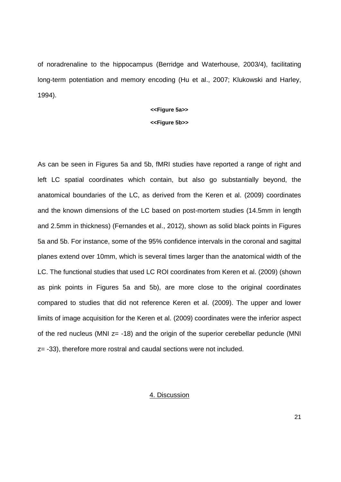of noradrenaline to the hippocampus (Berridge and Waterhouse, 2003/4), facilitating long-term potentiation and memory encoding (Hu et al., 2007; Klukowski and Harley, 1994).

# **<<Figure 5a>> <<Figure 5b>>**

As can be seen in Figures 5a and 5b, fMRI studies have reported a range of right and left LC spatial coordinates which contain, but also go substantially beyond, the anatomical boundaries of the LC, as derived from the Keren et al. (2009) coordinates and the known dimensions of the LC based on post-mortem studies (14.5mm in length and 2.5mm in thickness) (Fernandes et al., 2012), shown as solid black points in Figures 5a and 5b. For instance, some of the 95% confidence intervals in the coronal and sagittal planes extend over 10mm, which is several times larger than the anatomical width of the LC. The functional studies that used LC ROI coordinates from Keren et al. (2009) (shown as pink points in Figures 5a and 5b), are more close to the original coordinates compared to studies that did not reference Keren et al. (2009). The upper and lower limits of image acquisition for the Keren et al. (2009) coordinates were the inferior aspect of the red nucleus (MNI z= -18) and the origin of the superior cerebellar peduncle (MNI z= -33), therefore more rostral and caudal sections were not included.

# 4. Discussion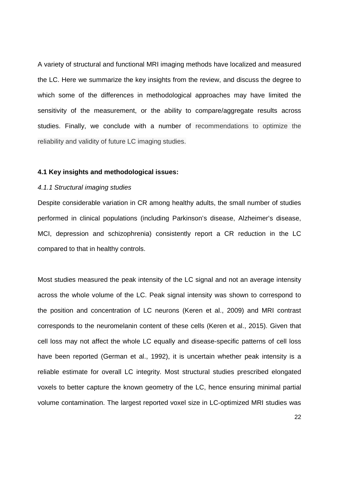A variety of structural and functional MRI imaging methods have localized and measured the LC. Here we summarize the key insights from the review, and discuss the degree to which some of the differences in methodological approaches may have limited the sensitivity of the measurement, or the ability to compare/aggregate results across studies. Finally, we conclude with a number of recommendations to optimize the reliability and validity of future LC imaging studies.

# **4.1 Key insights and methodological issues:**

# *4.1.1 Structural imaging studies*

Despite considerable variation in CR among healthy adults, the small number of studies performed in clinical populations (including Parkinson's disease, Alzheimer's disease, MCI, depression and schizophrenia) consistently report a CR reduction in the LC compared to that in healthy controls.

Most studies measured the peak intensity of the LC signal and not an average intensity across the whole volume of the LC. Peak signal intensity was shown to correspond to the position and concentration of LC neurons (Keren et al., 2009) and MRI contrast corresponds to the neuromelanin content of these cells (Keren et al., 2015). Given that cell loss may not affect the whole LC equally and disease-specific patterns of cell loss have been reported (German et al., 1992), it is uncertain whether peak intensity is a reliable estimate for overall LC integrity. Most structural studies prescribed elongated voxels to better capture the known geometry of the LC, hence ensuring minimal partial volume contamination. The largest reported voxel size in LC-optimized MRI studies was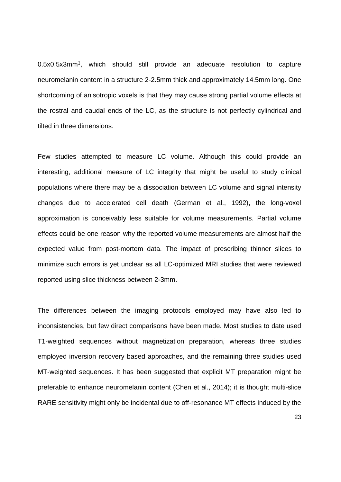0.5x0.5x3mm<sup>3</sup>, which should still provide an adequate resolution to capture neuromelanin content in a structure 2-2.5mm thick and approximately 14.5mm long. One shortcoming of anisotropic voxels is that they may cause strong partial volume effects at the rostral and caudal ends of the LC, as the structure is not perfectly cylindrical and tilted in three dimensions.

Few studies attempted to measure LC volume. Although this could provide an interesting, additional measure of LC integrity that might be useful to study clinical populations where there may be a dissociation between LC volume and signal intensity changes due to accelerated cell death (German et al., 1992), the long-voxel approximation is conceivably less suitable for volume measurements. Partial volume effects could be one reason why the reported volume measurements are almost half the expected value from post-mortem data. The impact of prescribing thinner slices to minimize such errors is yet unclear as all LC-optimized MRI studies that were reviewed reported using slice thickness between 2-3mm.

The differences between the imaging protocols employed may have also led to inconsistencies, but few direct comparisons have been made. Most studies to date used T1-weighted sequences without magnetization preparation, whereas three studies employed inversion recovery based approaches, and the remaining three studies used MT-weighted sequences. It has been suggested that explicit MT preparation might be preferable to enhance neuromelanin content (Chen et al., 2014); it is thought multi-slice RARE sensitivity might only be incidental due to off-resonance MT effects induced by the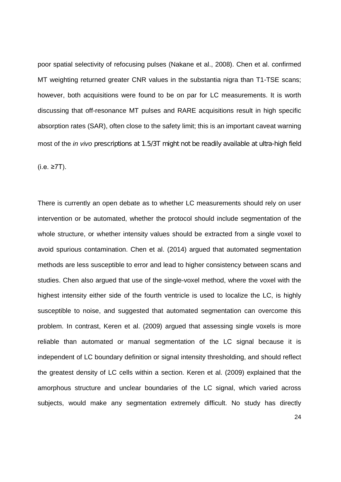poor spatial selectivity of refocusing pulses (Nakane et al., 2008). Chen et al. confirmed MT weighting returned greater CNR values in the substantia nigra than T1-TSE scans; however, both acquisitions were found to be on par for LC measurements. It is worth discussing that off-resonance MT pulses and RARE acquisitions result in high specific absorption rates (SAR), often close to the safety limit; this is an important caveat warning most of the *in vivo* prescriptions at 1.5/3T might not be readily available at ultra-high field

(i.e. ≥7T).

There is currently an open debate as to whether LC measurements should rely on user intervention or be automated, whether the protocol should include segmentation of the whole structure, or whether intensity values should be extracted from a single voxel to avoid spurious contamination. Chen et al. (2014) argued that automated segmentation methods are less susceptible to error and lead to higher consistency between scans and studies. Chen also argued that use of the single-voxel method, where the voxel with the highest intensity either side of the fourth ventricle is used to localize the LC, is highly susceptible to noise, and suggested that automated segmentation can overcome this problem. In contrast, Keren et al. (2009) argued that assessing single voxels is more reliable than automated or manual segmentation of the LC signal because it is independent of LC boundary definition or signal intensity thresholding, and should reflect the greatest density of LC cells within a section. Keren et al. (2009) explained that the amorphous structure and unclear boundaries of the LC signal, which varied across subjects, would make any segmentation extremely difficult. No study has directly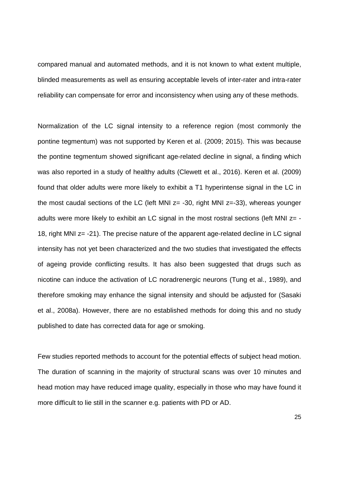compared manual and automated methods, and it is not known to what extent multiple, blinded measurements as well as ensuring acceptable levels of inter-rater and intra-rater reliability can compensate for error and inconsistency when using any of these methods.

Normalization of the LC signal intensity to a reference region (most commonly the pontine tegmentum) was not supported by Keren et al. (2009; 2015). This was because the pontine tegmentum showed significant age-related decline in signal, a finding which was also reported in a study of healthy adults (Clewett et al., 2016). Keren et al. (2009) found that older adults were more likely to exhibit a T1 hyperintense signal in the LC in the most caudal sections of the LC (left MNI  $z = -30$ , right MNI  $z = -33$ ), whereas younger adults were more likely to exhibit an LC signal in the most rostral sections (left MNI z= -18, right MNI z= -21). The precise nature of the apparent age-related decline in LC signal intensity has not yet been characterized and the two studies that investigated the effects of ageing provide conflicting results. It has also been suggested that drugs such as nicotine can induce the activation of LC noradrenergic neurons (Tung et al., 1989), and therefore smoking may enhance the signal intensity and should be adjusted for (Sasaki et al., 2008a). However, there are no established methods for doing this and no study published to date has corrected data for age or smoking.

Few studies reported methods to account for the potential effects of subject head motion. The duration of scanning in the majority of structural scans was over 10 minutes and head motion may have reduced image quality, especially in those who may have found it more difficult to lie still in the scanner e.g. patients with PD or AD.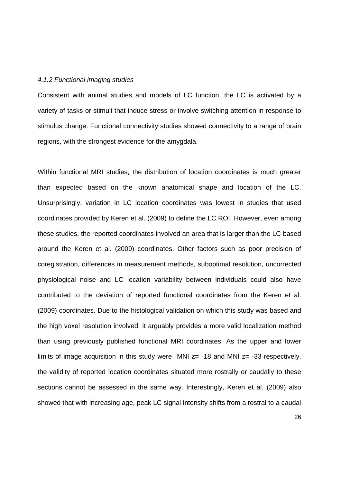# *4.1.2 Functional imaging studies*

Consistent with animal studies and models of LC function, the LC is activated by a variety of tasks or stimuli that induce stress or involve switching attention in response to stimulus change. Functional connectivity studies showed connectivity to a range of brain regions, with the strongest evidence for the amygdala.

Within functional MRI studies, the distribution of location coordinates is much greater than expected based on the known anatomical shape and location of the LC. Unsurprisingly, variation in LC location coordinates was lowest in studies that used coordinates provided by Keren et al. (2009) to define the LC ROI. However, even among these studies, the reported coordinates involved an area that is larger than the LC based around the Keren et al. (2009) coordinates. Other factors such as poor precision of coregistration, differences in measurement methods, suboptimal resolution, uncorrected physiological noise and LC location variability between individuals could also have contributed to the deviation of reported functional coordinates from the Keren et al. (2009) coordinates. Due to the histological validation on which this study was based and the high voxel resolution involved, it arguably provides a more valid localization method than using previously published functional MRI coordinates. As the upper and lower limits of image acquisition in this study were MNI  $z= -18$  and MNI  $z= -33$  respectively, the validity of reported location coordinates situated more rostrally or caudally to these sections cannot be assessed in the same way. Interestingly, Keren et al. (2009) also showed that with increasing age, peak LC signal intensity shifts from a rostral to a caudal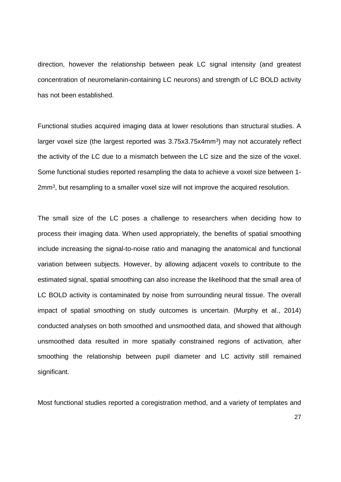direction, however the relationship between peak LC signal intensity (and greatest concentration of neuromelanin-containing LC neurons) and strength of LC BOLD activity has not been established.

Functional studies acquired imaging data at lower resolutions than structural studies. A larger voxel size (the largest reported was 3.75x3.75x4mm<sup>3</sup>) may not accurately reflect the activity of the LC due to a mismatch between the LC size and the size of the voxel. Some functional studies reported resampling the data to achieve a voxel size between 1- 2mm<sup>3</sup>, but resampling to a smaller voxel size will not improve the acquired resolution.

The small size of the LC poses a challenge to researchers when deciding how to process their imaging data. When used appropriately, the benefits of spatial smoothing include increasing the signal-to-noise ratio and managing the anatomical and functional variation between subjects. However, by allowing adjacent voxels to contribute to the estimated signal, spatial smoothing can also increase the likelihood that the small area of LC BOLD activity is contaminated by noise from surrounding neural tissue. The overall impact of spatial smoothing on study outcomes is uncertain. (Murphy et al., 2014) conducted analyses on both smoothed and unsmoothed data, and showed that although unsmoothed data resulted in more spatially constrained regions of activation, after smoothing the relationship between pupil diameter and LC activity still remained significant.

Most functional studies reported a coregistration method, and a variety of templates and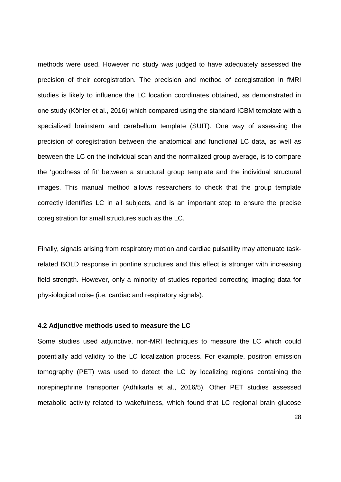methods were used. However no study was judged to have adequately assessed the precision of their coregistration. The precision and method of coregistration in fMRI studies is likely to influence the LC location coordinates obtained, as demonstrated in one study (Köhler et al., 2016) which compared using the standard ICBM template with a specialized brainstem and cerebellum template (SUIT). One way of assessing the precision of coregistration between the anatomical and functional LC data, as well as between the LC on the individual scan and the normalized group average, is to compare the 'goodness of fit' between a structural group template and the individual structural images. This manual method allows researchers to check that the group template correctly identifies LC in all subjects, and is an important step to ensure the precise coregistration for small structures such as the LC.

Finally, signals arising from respiratory motion and cardiac pulsatility may attenuate taskrelated BOLD response in pontine structures and this effect is stronger with increasing field strength. However, only a minority of studies reported correcting imaging data for physiological noise (i.e. cardiac and respiratory signals).

## **4.2 Adjunctive methods used to measure the LC**

Some studies used adjunctive, non-MRI techniques to measure the LC which could potentially add validity to the LC localization process. For example, positron emission tomography (PET) was used to detect the LC by localizing regions containing the norepinephrine transporter (Adhikarla et al., 2016/5). Other PET studies assessed metabolic activity related to wakefulness, which found that LC regional brain glucose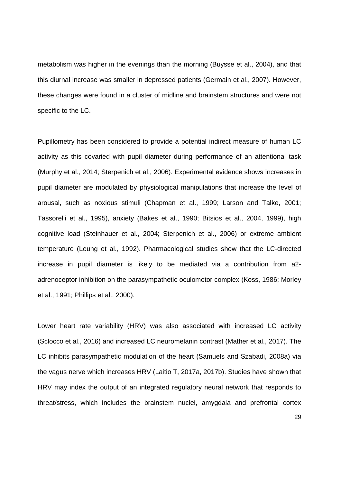metabolism was higher in the evenings than the morning (Buysse et al., 2004), and that this diurnal increase was smaller in depressed patients (Germain et al., 2007). However, these changes were found in a cluster of midline and brainstem structures and were not specific to the LC.

Pupillometry has been considered to provide a potential indirect measure of human LC activity as this covaried with pupil diameter during performance of an attentional task (Murphy et al., 2014; Sterpenich et al., 2006). Experimental evidence shows increases in pupil diameter are modulated by physiological manipulations that increase the level of arousal, such as noxious stimuli (Chapman et al., 1999; Larson and Talke, 2001; Tassorelli et al., 1995), anxiety (Bakes et al., 1990; Bitsios et al., 2004, 1999), high cognitive load (Steinhauer et al., 2004; Sterpenich et al., 2006) or extreme ambient temperature (Leung et al., 1992). Pharmacological studies show that the LC-directed increase in pupil diameter is likely to be mediated via a contribution from a2 adrenoceptor inhibition on the parasympathetic oculomotor complex (Koss, 1986; Morley et al., 1991; Phillips et al., 2000).

Lower heart rate variability (HRV) was also associated with increased LC activity (Sclocco et al., 2016) and increased LC neuromelanin contrast (Mather et al., 2017). The LC inhibits parasympathetic modulation of the heart (Samuels and Szabadi, 2008a) via the vagus nerve which increases HRV (Laitio T, 2017a, 2017b). Studies have shown that HRV may index the output of an integrated regulatory neural network that responds to threat/stress, which includes the brainstem nuclei, amygdala and prefrontal cortex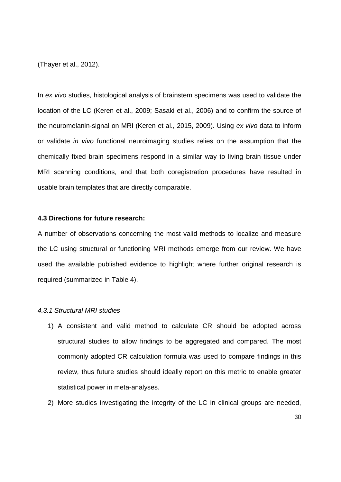(Thayer et al., 2012).

In *ex vivo* studies, histological analysis of brainstem specimens was used to validate the location of the LC (Keren et al., 2009; Sasaki et al., 2006) and to confirm the source of the neuromelanin-signal on MRI (Keren et al., 2015, 2009). Using *ex vivo* data to inform or validate *in vivo* functional neuroimaging studies relies on the assumption that the chemically fixed brain specimens respond in a similar way to living brain tissue under MRI scanning conditions, and that both coregistration procedures have resulted in usable brain templates that are directly comparable.

### **4.3 Directions for future research:**

A number of observations concerning the most valid methods to localize and measure the LC using structural or functioning MRI methods emerge from our review. We have used the available published evidence to highlight where further original research is required (summarized in Table 4).

# *4.3.1 Structural MRI studies*

- 1) A consistent and valid method to calculate CR should be adopted across structural studies to allow findings to be aggregated and compared. The most commonly adopted CR calculation formula was used to compare findings in this review, thus future studies should ideally report on this metric to enable greater statistical power in meta-analyses.
- 2) More studies investigating the integrity of the LC in clinical groups are needed,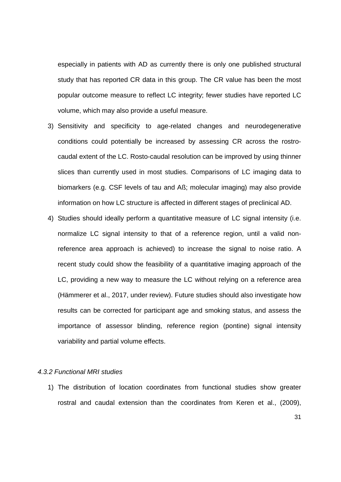especially in patients with AD as currently there is only one published structural study that has reported CR data in this group. The CR value has been the most popular outcome measure to reflect LC integrity; fewer studies have reported LC volume, which may also provide a useful measure.

- 3) Sensitivity and specificity to age-related changes and neurodegenerative conditions could potentially be increased by assessing CR across the rostrocaudal extent of the LC. Rosto-caudal resolution can be improved by using thinner slices than currently used in most studies. Comparisons of LC imaging data to biomarkers (e.g. CSF levels of tau and Aß; molecular imaging) may also provide information on how LC structure is affected in different stages of preclinical AD.
- 4) Studies should ideally perform a quantitative measure of LC signal intensity (i.e. normalize LC signal intensity to that of a reference region, until a valid nonreference area approach is achieved) to increase the signal to noise ratio. A recent study could show the feasibility of a quantitative imaging approach of the LC, providing a new way to measure the LC without relying on a reference area (Hämmerer et al., 2017, under review). Future studies should also investigate how results can be corrected for participant age and smoking status, and assess the importance of assessor blinding, reference region (pontine) signal intensity variability and partial volume effects.

#### *4.3.2 Functional MRI studies*

1) The distribution of location coordinates from functional studies show greater rostral and caudal extension than the coordinates from Keren et al., (2009),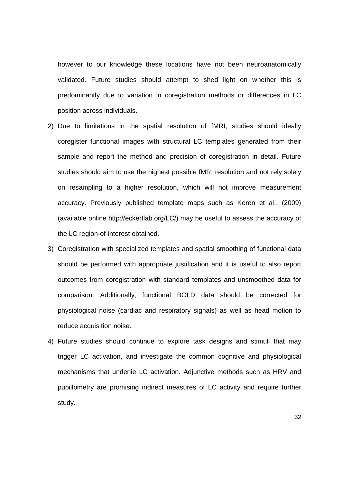however to our knowledge these locations have not been neuroanatomically validated. Future studies should attempt to shed light on whether this is predominantly due to variation in coregistration methods or differences in LC position across individuals.

- 2) Due to limitations in the spatial resolution of fMRI, studies should ideally coregister functional images with structural LC templates generated from their sample and report the method and precision of coregistration in detail. Future studies should aim to use the highest possible fMRI resolution and not rely solely on resampling to a higher resolution, which will not improve measurement accuracy. Previously published template maps such as Keren et al., (2009) (available online http://eckertlab.org/LC/) may be useful to assess the accuracy of the LC region-of-interest obtained.
- 3) Coregistration with specialized templates and spatial smoothing of functional data should be performed with appropriate justification and it is useful to also report outcomes from coregistration with standard templates and unsmoothed data for comparison. Additionally, functional BOLD data should be corrected for physiological noise (cardiac and respiratory signals) as well as head motion to reduce acquisition noise.
- 4) Future studies should continue to explore task designs and stimuli that may trigger LC activation, and investigate the common cognitive and physiological mechanisms that underlie LC activation. Adjunctive methods such as HRV and pupillometry are promising indirect measures of LC activity and require further study.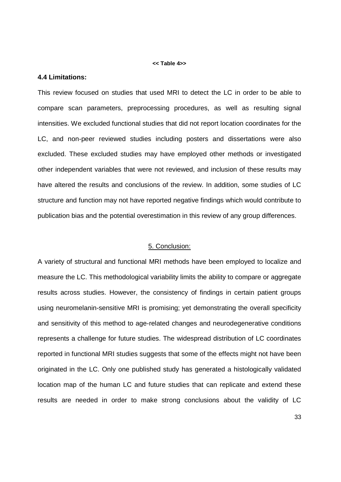#### **<< Table 4>>**

#### **4.4 Limitations:**

This review focused on studies that used MRI to detect the LC in order to be able to compare scan parameters, preprocessing procedures, as well as resulting signal intensities. We excluded functional studies that did not report location coordinates for the LC, and non-peer reviewed studies including posters and dissertations were also excluded. These excluded studies may have employed other methods or investigated other independent variables that were not reviewed, and inclusion of these results may have altered the results and conclusions of the review. In addition, some studies of LC structure and function may not have reported negative findings which would contribute to publication bias and the potential overestimation in this review of any group differences.

## 5. Conclusion:

A variety of structural and functional MRI methods have been employed to localize and measure the LC. This methodological variability limits the ability to compare or aggregate results across studies. However, the consistency of findings in certain patient groups using neuromelanin-sensitive MRI is promising; yet demonstrating the overall specificity and sensitivity of this method to age-related changes and neurodegenerative conditions represents a challenge for future studies. The widespread distribution of LC coordinates reported in functional MRI studies suggests that some of the effects might not have been originated in the LC. Only one published study has generated a histologically validated location map of the human LC and future studies that can replicate and extend these results are needed in order to make strong conclusions about the validity of LC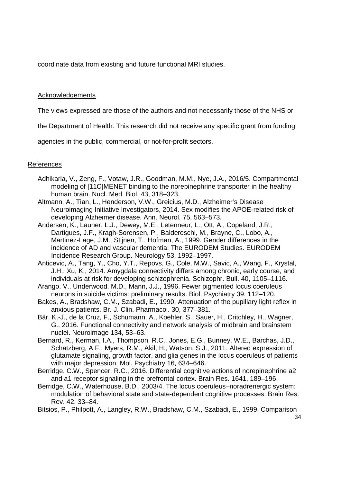coordinate data from existing and future functional MRI studies.

# Acknowledgements

The views expressed are those of the authors and not necessarily those of the NHS or

the Department of Health. This research did not receive any specific grant from funding

agencies in the public, commercial, or not-for-profit sectors.

# References

- Adhikarla, V., Zeng, F., Votaw, J.R., Goodman, M.M., Nye, J.A., 2016/5. Compartmental modeling of [11C]MENET binding to the norepinephrine transporter in the healthy human brain. Nucl. Med. Biol. 43, 318–323.
- Altmann, A., Tian, L., Henderson, V.W., Greicius, M.D., Alzheimer's Disease Neuroimaging Initiative Investigators, 2014. Sex modifies the APOE-related risk of developing Alzheimer disease. Ann. Neurol. 75, 563–573.
- Andersen, K., Launer, L.J., Dewey, M.E., Letenneur, L., Ott, A., Copeland, J.R., Dartigues, J.F., Kragh-Sorensen, P., Baldereschi, M., Brayne, C., Lobo, A., Martinez-Lage, J.M., Stijnen, T., Hofman, A., 1999. Gender differences in the incidence of AD and vascular dementia: The EURODEM Studies. EURODEM Incidence Research Group. Neurology 53, 1992–1997.
- Anticevic, A., Tang, Y., Cho, Y.T., Repovs, G., Cole, M.W., Savic, A., Wang, F., Krystal, J.H., Xu, K., 2014. Amygdala connectivity differs among chronic, early course, and individuals at risk for developing schizophrenia. Schizophr. Bull. 40, 1105–1116.
- Arango, V., Underwood, M.D., Mann, J.J., 1996. Fewer pigmented locus coeruleus neurons in suicide victims: preliminary results. Biol. Psychiatry 39, 112–120.
- Bakes, A., Bradshaw, C.M., Szabadi, E., 1990. Attenuation of the pupillary light reflex in anxious patients. Br. J. Clin. Pharmacol. 30, 377–381.
- Bär, K.-J., de la Cruz, F., Schumann, A., Koehler, S., Sauer, H., Critchley, H., Wagner, G., 2016. Functional connectivity and network analysis of midbrain and brainstem nuclei. Neuroimage 134, 53–63.
- Bernard, R., Kerman, I.A., Thompson, R.C., Jones, E.G., Bunney, W.E., Barchas, J.D., Schatzberg, A.F., Myers, R.M., Akil, H., Watson, S.J., 2011. Altered expression of glutamate signaling, growth factor, and glia genes in the locus coeruleus of patients with major depression. Mol. Psychiatry 16, 634–646.
- Berridge, C.W., Spencer, R.C., 2016. Differential cognitive actions of norepinephrine a2 and a1 receptor signaling in the prefrontal cortex. Brain Res. 1641, 189–196.
- Berridge, C.W., Waterhouse, B.D., 2003/4. The locus coeruleus–noradrenergic system: modulation of behavioral state and state-dependent cognitive processes. Brain Res. Rev. 42, 33–84.
- Bitsios, P., Philpott, A., Langley, R.W., Bradshaw, C.M., Szabadi, E., 1999. Comparison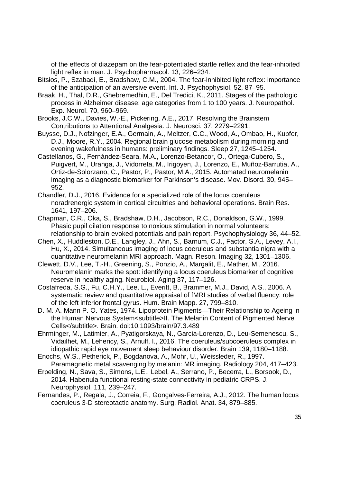of the effects of diazepam on the fear-potentiated startle reflex and the fear-inhibited light reflex in man. J. Psychopharmacol. 13, 226–234.

- Bitsios, P., Szabadi, E., Bradshaw, C.M., 2004. The fear-inhibited light reflex: importance of the anticipation of an aversive event. Int. J. Psychophysiol. 52, 87–95.
- Braak, H., Thal, D.R., Ghebremedhin, E., Del Tredici, K., 2011. Stages of the pathologic process in Alzheimer disease: age categories from 1 to 100 years. J. Neuropathol. Exp. Neurol. 70, 960–969.
- Brooks, J.C.W., Davies, W.-E., Pickering, A.E., 2017. Resolving the Brainstem Contributions to Attentional Analgesia. J. Neurosci. 37, 2279–2291.
- Buysse, D.J., Nofzinger, E.A., Germain, A., Meltzer, C.C., Wood, A., Ombao, H., Kupfer, D.J., Moore, R.Y., 2004. Regional brain glucose metabolism during morning and evening wakefulness in humans: preliminary findings. Sleep 27, 1245–1254.
- Castellanos, G., Fernández-Seara, M.A., Lorenzo-Betancor, O., Ortega-Cubero, S., Puigvert, M., Uranga, J., Vidorreta, M., Irigoyen, J., Lorenzo, E., Muñoz-Barrutia, A., Ortiz-de-Solorzano, C., Pastor, P., Pastor, M.A., 2015. Automated neuromelanin imaging as a diagnostic biomarker for Parkinson's disease. Mov. Disord. 30, 945– 952.
- Chandler, D.J., 2016. Evidence for a specialized role of the locus coeruleus noradrenergic system in cortical circuitries and behavioral operations. Brain Res. 1641, 197–206.
- Chapman, C.R., Oka, S., Bradshaw, D.H., Jacobson, R.C., Donaldson, G.W., 1999. Phasic pupil dilation response to noxious stimulation in normal volunteers: relationship to brain evoked potentials and pain report. Psychophysiology 36, 44–52.
- Chen, X., Huddleston, D.E., Langley, J., Ahn, S., Barnum, C.J., Factor, S.A., Levey, A.I., Hu, X., 2014. Simultaneous imaging of locus coeruleus and substantia nigra with a quantitative neuromelanin MRI approach. Magn. Reson. Imaging 32, 1301–1306.
- Clewett, D.V., Lee, T.-H., Greening, S., Ponzio, A., Margalit, E., Mather, M., 2016. Neuromelanin marks the spot: identifying a locus coeruleus biomarker of cognitive reserve in healthy aging. Neurobiol. Aging 37, 117–126.
- Costafreda, S.G., Fu, C.H.Y., Lee, L., Everitt, B., Brammer, M.J., David, A.S., 2006. A systematic review and quantitative appraisal of fMRI studies of verbal fluency: role of the left inferior frontal gyrus. Hum. Brain Mapp. 27, 799–810.
- D. M. A. Mann P. O. Yates, 1974. Lipoprotein Pigments—Their Relationship to Ageing in the Human Nervous System<subtitle>II. The Melanin Content of Pigmented Nerve Cells</subtitle>. Brain. doi:10.1093/brain/97.3.489
- Ehrminger, M., Latimier, A., Pyatigorskaya, N., Garcia-Lorenzo, D., Leu-Semenescu, S., Vidailhet, M., Lehericy, S., Arnulf, I., 2016. The coeruleus/subcoeruleus complex in idiopathic rapid eye movement sleep behaviour disorder. Brain 139, 1180–1188.
- Enochs, W.S., Petherick, P., Bogdanova, A., Mohr, U., Weissleder, R., 1997. Paramagnetic metal scavenging by melanin: MR imaging. Radiology 204, 417–423.
- Erpelding, N., Sava, S., Simons, L.E., Lebel, A., Serrano, P., Becerra, L., Borsook, D., 2014. Habenula functional resting-state connectivity in pediatric CRPS. J. Neurophysiol. 111, 239–247.
- Fernandes, P., Regala, J., Correia, F., Gonçalves-Ferreira, A.J., 2012. The human locus coeruleus 3-D stereotactic anatomy. Surg. Radiol. Anat. 34, 879–885.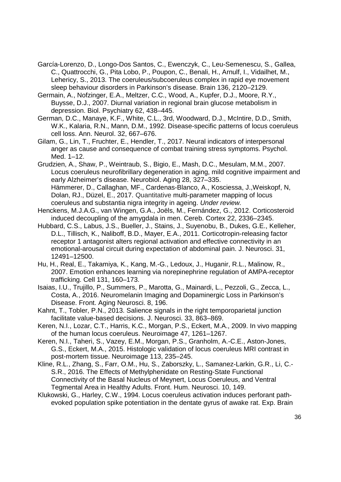- García-Lorenzo, D., Longo-Dos Santos, C., Ewenczyk, C., Leu-Semenescu, S., Gallea, C., Quattrocchi, G., Pita Lobo, P., Poupon, C., Benali, H., Arnulf, I., Vidailhet, M., Lehericy, S., 2013. The coeruleus/subcoeruleus complex in rapid eve movement sleep behaviour disorders in Parkinson's disease. Brain 136, 2120–2129.
- Germain, A., Nofzinger, E.A., Meltzer, C.C., Wood, A., Kupfer, D.J., Moore, R.Y., Buysse, D.J., 2007. Diurnal variation in regional brain glucose metabolism in depression. Biol. Psychiatry 62, 438–445.
- German, D.C., Manaye, K.F., White, C.L., 3rd, Woodward, D.J., McIntire, D.D., Smith, W.K., Kalaria, R.N., Mann, D.M., 1992. Disease-specific patterns of locus coeruleus cell loss. Ann. Neurol. 32, 667–676.
- Gilam, G., Lin, T., Fruchter, E., Hendler, T., 2017. Neural indicators of interpersonal anger as cause and consequence of combat training stress symptoms. Psychol. Med. 1–12.
- Grudzien, A., Shaw, P., Weintraub, S., Bigio, E., Mash, D.C., Mesulam, M.M., 2007. Locus coeruleus neurofibrillary degeneration in aging, mild cognitive impairment and early Alzheimer's disease. Neurobiol. Aging 28, 327–335. Hämmerer, D., Callaghan, MF., Cardenas-Blanco, A., Kosciessa, J.,Weiskopf, N, Dolan, RJ., Düzel, E., 2017. Quantitative multi-parameter mapping of locus coeruleus and substantia nigra integrity in ageing. *Under review.*
- Henckens, M.J.A.G., van Wingen, G.A., Joëls, M., Fernández, G., 2012. Corticosteroid induced decoupling of the amygdala in men. Cereb. Cortex 22, 2336–2345.
- Hubbard, C.S., Labus, J.S., Bueller, J., Stains, J., Suyenobu, B., Dukes, G.E., Kelleher, D.L., Tillisch, K., Naliboff, B.D., Mayer, E.A., 2011. Corticotropin-releasing factor receptor 1 antagonist alters regional activation and effective connectivity in an emotional-arousal circuit during expectation of abdominal pain. J. Neurosci. 31, 12491–12500.
- Hu, H., Real, E., Takamiya, K., Kang, M.-G., Ledoux, J., Huganir, R.L., Malinow, R., 2007. Emotion enhances learning via norepinephrine regulation of AMPA-receptor trafficking. Cell 131, 160–173.
- Isaias, I.U., Trujillo, P., Summers, P., Marotta, G., Mainardi, L., Pezzoli, G., Zecca, L., Costa, A., 2016. Neuromelanin Imaging and Dopaminergic Loss in Parkinson's Disease. Front. Aging Neurosci. 8, 196.
- Kahnt, T., Tobler, P.N., 2013. Salience signals in the right temporoparietal junction facilitate value-based decisions. J. Neurosci. 33, 863–869.
- Keren, N.I., Lozar, C.T., Harris, K.C., Morgan, P.S., Eckert, M.A., 2009. In vivo mapping of the human locus coeruleus. Neuroimage 47, 1261–1267.
- Keren, N.I., Taheri, S., Vazey, E.M., Morgan, P.S., Granholm, A.-C.E., Aston-Jones, G.S., Eckert, M.A., 2015. Histologic validation of locus coeruleus MRI contrast in post-mortem tissue. Neuroimage 113, 235–245.
- Kline, R.L., Zhang, S., Farr, O.M., Hu, S., Zaborszky, L., Samanez-Larkin, G.R., Li, C.- S.R., 2016. The Effects of Methylphenidate on Resting-State Functional Connectivity of the Basal Nucleus of Meynert, Locus Coeruleus, and Ventral Tegmental Area in Healthy Adults. Front. Hum. Neurosci. 10, 149.
- Klukowski, G., Harley, C.W., 1994. Locus coeruleus activation induces perforant pathevoked population spike potentiation in the dentate gyrus of awake rat. Exp. Brain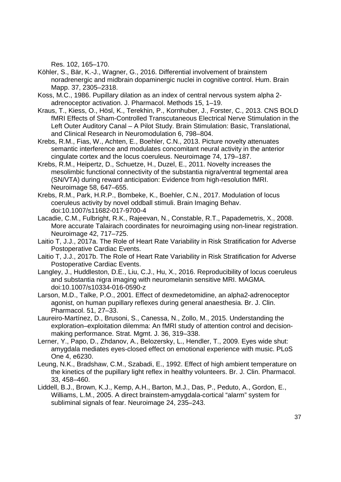Res. 102, 165–170.

- Köhler, S., Bär, K.-J., Wagner, G., 2016. Differential involvement of brainstem noradrenergic and midbrain dopaminergic nuclei in cognitive control. Hum. Brain Mapp. 37, 2305–2318.
- Koss, M.C., 1986. Pupillary dilation as an index of central nervous system alpha 2 adrenoceptor activation. J. Pharmacol. Methods 15, 1–19.
- Kraus, T., Kiess, O., Hösl, K., Terekhin, P., Kornhuber, J., Forster, C., 2013. CNS BOLD fMRI Effects of Sham-Controlled Transcutaneous Electrical Nerve Stimulation in the Left Outer Auditory Canal – A Pilot Study. Brain Stimulation: Basic, Translational, and Clinical Research in Neuromodulation 6, 798–804.
- Krebs, R.M., Fias, W., Achten, E., Boehler, C.N., 2013. Picture novelty attenuates semantic interference and modulates concomitant neural activity in the anterior cingulate cortex and the locus coeruleus. Neuroimage 74, 179–187.
- Krebs, R.M., Heipertz, D., Schuetze, H., Duzel, E., 2011. Novelty increases the mesolimbic functional connectivity of the substantia nigra/ventral tegmental area (SN/VTA) during reward anticipation: Evidence from high-resolution fMRI. Neuroimage 58, 647–655.
- Krebs, R.M., Park, H.R.P., Bombeke, K., Boehler, C.N., 2017. Modulation of locus coeruleus activity by novel oddball stimuli. Brain Imaging Behav. doi:10.1007/s11682-017-9700-4
- Lacadie, C.M., Fulbright, R.K., Rajeevan, N., Constable, R.T., Papademetris, X., 2008. More accurate Talairach coordinates for neuroimaging using non-linear registration. Neuroimage 42, 717–725.
- Laitio T, J.J., 2017a. The Role of Heart Rate Variability in Risk Stratification for Adverse Postoperative Cardiac Events.
- Laitio T, J.J., 2017b. The Role of Heart Rate Variability in Risk Stratification for Adverse Postoperative Cardiac Events.
- Langley, J., Huddleston, D.E., Liu, C.J., Hu, X., 2016. Reproducibility of locus coeruleus and substantia nigra imaging with neuromelanin sensitive MRI. MAGMA. doi:10.1007/s10334-016-0590-z
- Larson, M.D., Talke, P.O., 2001. Effect of dexmedetomidine, an alpha2-adrenoceptor agonist, on human pupillary reflexes during general anaesthesia. Br. J. Clin. Pharmacol. 51, 27–33.
- Laureiro-Martínez, D., Brusoni, S., Canessa, N., Zollo, M., 2015. Understanding the exploration–exploitation dilemma: An fMRI study of attention control and decisionmaking performance. Strat. Mgmt. J. 36, 319–338.
- Lerner, Y., Papo, D., Zhdanov, A., Belozersky, L., Hendler, T., 2009. Eyes wide shut: amygdala mediates eyes-closed effect on emotional experience with music. PLoS One 4, e6230.
- Leung, N.K., Bradshaw, C.M., Szabadi, E., 1992. Effect of high ambient temperature on the kinetics of the pupillary light reflex in healthy volunteers. Br. J. Clin. Pharmacol. 33, 458–460.
- Liddell, B.J., Brown, K.J., Kemp, A.H., Barton, M.J., Das, P., Peduto, A., Gordon, E., Williams, L.M., 2005. A direct brainstem-amygdala-cortical "alarm" system for subliminal signals of fear. Neuroimage 24, 235–243.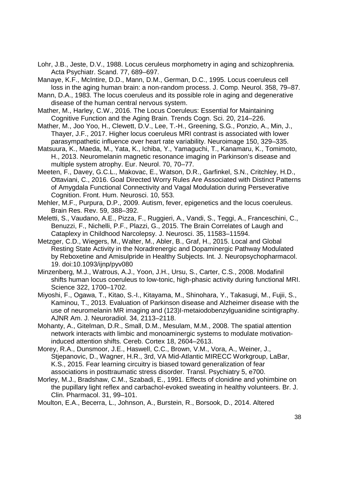- Lohr, J.B., Jeste, D.V., 1988. Locus ceruleus morphometry in aging and schizophrenia. Acta Psychiatr. Scand. 77, 689–697.
- Manaye, K.F., McIntire, D.D., Mann, D.M., German, D.C., 1995. Locus coeruleus cell loss in the aging human brain: a non-random process. J. Comp. Neurol. 358, 79–87.
- Mann, D.A., 1983. The locus coeruleus and its possible role in aging and degenerative disease of the human central nervous system.
- Mather, M., Harley, C.W., 2016. The Locus Coeruleus: Essential for Maintaining Cognitive Function and the Aging Brain. Trends Cogn. Sci. 20, 214–226.
- Mather, M., Joo Yoo, H., Clewett, D.V., Lee, T.-H., Greening, S.G., Ponzio, A., Min, J., Thayer, J.F., 2017. Higher locus coeruleus MRI contrast is associated with lower parasympathetic influence over heart rate variability. Neuroimage 150, 329–335.
- Matsuura, K., Maeda, M., Yata, K., Ichiba, Y., Yamaguchi, T., Kanamaru, K., Tomimoto, H., 2013. Neuromelanin magnetic resonance imaging in Parkinson's disease and multiple system atrophy. Eur. Neurol. 70, 70–77.
- Meeten, F., Davey, G.C.L., Makovac, E., Watson, D.R., Garfinkel, S.N., Critchley, H.D., Ottaviani, C., 2016. Goal Directed Worry Rules Are Associated with Distinct Patterns of Amygdala Functional Connectivity and Vagal Modulation during Perseverative Cognition. Front. Hum. Neurosci. 10, 553.
- Mehler, M.F., Purpura, D.P., 2009. Autism, fever, epigenetics and the locus coeruleus. Brain Res. Rev. 59, 388–392.
- Meletti, S., Vaudano, A.E., Pizza, F., Ruggieri, A., Vandi, S., Teggi, A., Franceschini, C., Benuzzi, F., Nichelli, P.F., Plazzi, G., 2015. The Brain Correlates of Laugh and Cataplexy in Childhood Narcolepsy. J. Neurosci. 35, 11583–11594.
- Metzger, C.D., Wiegers, M., Walter, M., Abler, B., Graf, H., 2015. Local and Global Resting State Activity in the Noradrenergic and Dopaminergic Pathway Modulated by Reboxetine and Amisulpride in Healthy Subjects. Int. J. Neuropsychopharmacol. 19. doi:10.1093/ijnp/pyv080
- Minzenberg, M.J., Watrous, A.J., Yoon, J.H., Ursu, S., Carter, C.S., 2008. Modafinil shifts human locus coeruleus to low-tonic, high-phasic activity during functional MRI. Science 322, 1700–1702.
- Miyoshi, F., Ogawa, T., Kitao, S.-I., Kitayama, M., Shinohara, Y., Takasugi, M., Fujii, S., Kaminou, T., 2013. Evaluation of Parkinson disease and Alzheimer disease with the use of neuromelanin MR imaging and (123)I-metaiodobenzylguanidine scintigraphy. AJNR Am. J. Neuroradiol. 34, 2113–2118.
- Mohanty, A., Gitelman, D.R., Small, D.M., Mesulam, M.M., 2008. The spatial attention network interacts with limbic and monoaminergic systems to modulate motivationinduced attention shifts. Cereb. Cortex 18, 2604–2613.
- Morey, R.A., Dunsmoor, J.E., Haswell, C.C., Brown, V.M., Vora, A., Weiner, J., Stjepanovic, D., Wagner, H.R., 3rd, VA Mid-Atlantic MIRECC Workgroup, LaBar, K.S., 2015. Fear learning circuitry is biased toward generalization of fear associations in posttraumatic stress disorder. Transl. Psychiatry 5, e700.
- Morley, M.J., Bradshaw, C.M., Szabadi, E., 1991. Effects of clonidine and yohimbine on the pupillary light reflex and carbachol-evoked sweating in healthy volunteers. Br. J. Clin. Pharmacol. 31, 99–101.
- Moulton, E.A., Becerra, L., Johnson, A., Burstein, R., Borsook, D., 2014. Altered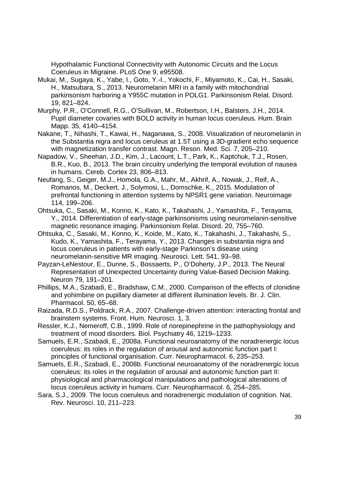Hypothalamic Functional Connectivity with Autonomic Circuits and the Locus Coeruleus in Migraine. PLoS One 9, e95508.

- Mukai, M., Sugaya, K., Yabe, I., Goto, Y.-I., Yokochi, F., Miyamoto, K., Cai, H., Sasaki, H., Matsubara, S., 2013. Neuromelanin MRI in a family with mitochondrial parkinsonism harboring a Y955C mutation in POLG1. Parkinsonism Relat. Disord. 19, 821–824.
- Murphy, P.R., O'Connell, R.G., O'Sullivan, M., Robertson, I.H., Balsters, J.H., 2014. Pupil diameter covaries with BOLD activity in human locus coeruleus. Hum. Brain Mapp. 35, 4140–4154.
- Nakane, T., Nihashi, T., Kawai, H., Naganawa, S., 2008. Visualization of neuromelanin in the Substantia nigra and locus ceruleus at 1.5T using a 3D-gradient echo sequence with magnetization transfer contrast. Magn. Reson. Med. Sci. 7, 205–210.
- Napadow, V., Sheehan, J.D., Kim, J., Lacount, L.T., Park, K., Kaptchuk, T.J., Rosen, B.R., Kuo, B., 2013. The brain circuitry underlying the temporal evolution of nausea in humans. Cereb. Cortex 23, 806–813.
- Neufang, S., Geiger, M.J., Homola, G.A., Mahr, M., Akhrif, A., Nowak, J., Reif, A., Romanos, M., Deckert, J., Solymosi, L., Domschke, K., 2015. Modulation of prefrontal functioning in attention systems by NPSR1 gene variation. Neuroimage 114, 199–206.
- Ohtsuka, C., Sasaki, M., Konno, K., Kato, K., Takahashi, J., Yamashita, F., Terayama, Y., 2014. Differentiation of early-stage parkinsonisms using neuromelanin-sensitive magnetic resonance imaging. Parkinsonism Relat. Disord. 20, 755–760.
- Ohtsuka, C., Sasaki, M., Konno, K., Koide, M., Kato, K., Takahashi, J., Takahashi, S., Kudo, K., Yamashita, F., Terayama, Y., 2013. Changes in substantia nigra and locus coeruleus in patients with early-stage Parkinson's disease using neuromelanin-sensitive MR imaging. Neurosci. Lett. 541, 93–98.
- Payzan-LeNestour, E., Dunne, S., Bossaerts, P., O'Doherty, J.P., 2013. The Neural Representation of Unexpected Uncertainty during Value-Based Decision Making. Neuron 79, 191–201.
- Phillips, M.A., Szabadi, E., Bradshaw, C.M., 2000. Comparison of the effects of clonidine and yohimbine on pupillary diameter at different illumination levels. Br. J. Clin. Pharmacol. 50, 65–68.
- Raizada, R.D.S., Poldrack, R.A., 2007. Challenge-driven attention: interacting frontal and brainstem systems. Front. Hum. Neurosci. 1, 3.
- Ressler, K.J., Nemeroff, C.B., 1999. Role of norepinephrine in the pathophysiology and treatment of mood disorders. Biol. Psychiatry 46, 1219–1233.
- Samuels, E.R., Szabadi, E., 2008a. Functional neuroanatomy of the noradrenergic locus coeruleus: its roles in the regulation of arousal and autonomic function part I: principles of functional organisation. Curr. Neuropharmacol. 6, 235–253.
- Samuels, E.R., Szabadi, E., 2008b. Functional neuroanatomy of the noradrenergic locus coeruleus: its roles in the regulation of arousal and autonomic function part II: physiological and pharmacological manipulations and pathological alterations of locus coeruleus activity in humans. Curr. Neuropharmacol. 6, 254–285.
- Sara, S.J., 2009. The locus coeruleus and noradrenergic modulation of cognition. Nat. Rev. Neurosci. 10, 211–223.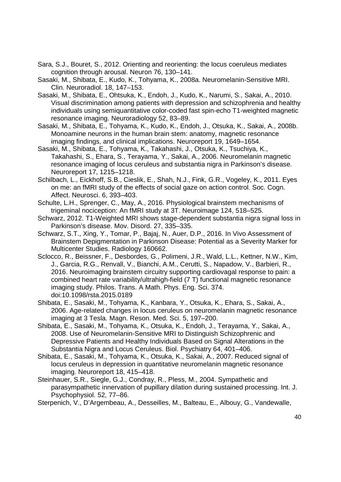- Sara, S.J., Bouret, S., 2012. Orienting and reorienting: the locus coeruleus mediates cognition through arousal. Neuron 76, 130–141.
- Sasaki, M., Shibata, E., Kudo, K., Tohyama, K., 2008a. Neuromelanin-Sensitive MRI. Clin. Neuroradiol. 18, 147–153.
- Sasaki, M., Shibata, E., Ohtsuka, K., Endoh, J., Kudo, K., Narumi, S., Sakai, A., 2010. Visual discrimination among patients with depression and schizophrenia and healthy individuals using semiquantitative color-coded fast spin-echo T1-weighted magnetic resonance imaging. Neuroradiology 52, 83–89.
- Sasaki, M., Shibata, E., Tohyama, K., Kudo, K., Endoh, J., Otsuka, K., Sakai, A., 2008b. Monoamine neurons in the human brain stem: anatomy, magnetic resonance imaging findings, and clinical implications. Neuroreport 19, 1649–1654.
- Sasaki, M., Shibata, E., Tohyama, K., Takahashi, J., Otsuka, K., Tsuchiya, K., Takahashi, S., Ehara, S., Terayama, Y., Sakai, A., 2006. Neuromelanin magnetic resonance imaging of locus ceruleus and substantia nigra in Parkinson's disease. Neuroreport 17, 1215–1218.
- Schilbach, L., Eickhoff, S.B., Cieslik, E., Shah, N.J., Fink, G.R., Vogeley, K., 2011. Eyes on me: an fMRI study of the effects of social gaze on action control. Soc. Cogn. Affect. Neurosci. 6, 393–403.
- Schulte, L.H., Sprenger, C., May, A., 2016. Physiological brainstem mechanisms of trigeminal nociception: An fMRI study at 3T. Neuroimage 124, 518–525.
- Schwarz, 2012. T1-Weighted MRI shows stage-dependent substantia nigra signal loss in Parkinson's disease. Mov. Disord. 27, 335–335.
- Schwarz, S.T., Xing, Y., Tomar, P., Bajaj, N., Auer, D.P., 2016. In Vivo Assessment of Brainstem Depigmentation in Parkinson Disease: Potential as a Severity Marker for Multicenter Studies. Radiology 160662.
- Sclocco, R., Beissner, F., Desbordes, G., Polimeni, J.R., Wald, L.L., Kettner, N.W., Kim, J., Garcia, R.G., Renvall, V., Bianchi, A.M., Cerutti, S., Napadow, V., Barbieri, R., 2016. Neuroimaging brainstem circuitry supporting cardiovagal response to pain: a combined heart rate variability/ultrahigh-field (7 T) functional magnetic resonance imaging study. Philos. Trans. A Math. Phys. Eng. Sci. 374. doi:10.1098/rsta.2015.0189
- Shibata, E., Sasaki, M., Tohyama, K., Kanbara, Y., Otsuka, K., Ehara, S., Sakai, A., 2006. Age-related changes in locus ceruleus on neuromelanin magnetic resonance imaging at 3 Tesla. Magn. Reson. Med. Sci. 5, 197–200.
- Shibata, E., Sasaki, M., Tohyama, K., Otsuka, K., Endoh, J., Terayama, Y., Sakai, A., 2008. Use of Neuromelanin-Sensitive MRI to Distinguish Schizophrenic and Depressive Patients and Healthy Individuals Based on Signal Alterations in the Substantia Nigra and Locus Ceruleus. Biol. Psychiatry 64, 401–406.
- Shibata, E., Sasaki, M., Tohyama, K., Otsuka, K., Sakai, A., 2007. Reduced signal of locus ceruleus in depression in quantitative neuromelanin magnetic resonance imaging. Neuroreport 18, 415–418.
- Steinhauer, S.R., Siegle, G.J., Condray, R., Pless, M., 2004. Sympathetic and parasympathetic innervation of pupillary dilation during sustained processing. Int. J. Psychophysiol. 52, 77–86.
- Sterpenich, V., D'Argembeau, A., Desseilles, M., Balteau, E., Albouy, G., Vandewalle,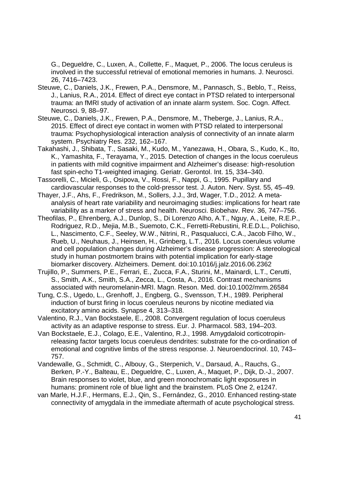G., Degueldre, C., Luxen, A., Collette, F., Maquet, P., 2006. The locus ceruleus is involved in the successful retrieval of emotional memories in humans. J. Neurosci. 26, 7416–7423.

- Steuwe, C., Daniels, J.K., Frewen, P.A., Densmore, M., Pannasch, S., Beblo, T., Reiss, J., Lanius, R.A., 2014. Effect of direct eye contact in PTSD related to interpersonal trauma: an fMRI study of activation of an innate alarm system. Soc. Cogn. Affect. Neurosci. 9, 88–97.
- Steuwe, C., Daniels, J.K., Frewen, P.A., Densmore, M., Theberge, J., Lanius, R.A., 2015. Effect of direct eye contact in women with PTSD related to interpersonal trauma: Psychophysiological interaction analysis of connectivity of an innate alarm system. Psychiatry Res. 232, 162–167.
- Takahashi, J., Shibata, T., Sasaki, M., Kudo, M., Yanezawa, H., Obara, S., Kudo, K., Ito, K., Yamashita, F., Terayama, Y., 2015. Detection of changes in the locus coeruleus in patients with mild cognitive impairment and Alzheimer's disease: high-resolution fast spin-echo T1-weighted imaging. Geriatr. Gerontol. Int. 15, 334–340.
- Tassorelli, C., Micieli, G., Osipova, V., Rossi, F., Nappi, G., 1995. Pupillary and cardiovascular responses to the cold-pressor test. J. Auton. Nerv. Syst. 55, 45–49.
- Thayer, J.F., Ahs, F., Fredrikson, M., Sollers, J.J., 3rd, Wager, T.D., 2012. A metaanalysis of heart rate variability and neuroimaging studies: implications for heart rate variability as a marker of stress and health. Neurosci. Biobehav. Rev. 36, 747–756.
- Theofilas, P., Ehrenberg, A.J., Dunlop, S., Di Lorenzo Alho, A.T., Nguy, A., Leite, R.E.P., Rodriguez, R.D., Mejia, M.B., Suemoto, C.K., Ferretti-Rebustini, R.E.D.L., Polichiso, L., Nascimento, C.F., Seeley, W.W., Nitrini, R., Pasqualucci, C.A., Jacob Filho, W., Rueb, U., Neuhaus, J., Heinsen, H., Grinberg, L.T., 2016. Locus coeruleus volume and cell population changes during Alzheimer's disease progression: A stereological study in human postmortem brains with potential implication for early-stage biomarker discovery. Alzheimers. Dement. doi:10.1016/j.jalz.2016.06.2362
- Trujillo, P., Summers, P.E., Ferrari, E., Zucca, F.A., Sturini, M., Mainardi, L.T., Cerutti, S., Smith, A.K., Smith, S.A., Zecca, L., Costa, A., 2016. Contrast mechanisms associated with neuromelanin-MRI. Magn. Reson. Med. doi:10.1002/mrm.26584
- Tung, C.S., Ugedo, L., Grenhoff, J., Engberg, G., Svensson, T.H., 1989. Peripheral induction of burst firing in locus coeruleus neurons by nicotine mediated via excitatory amino acids. Synapse 4, 313–318.
- Valentino, R.J., Van Bockstaele, E., 2008. Convergent regulation of locus coeruleus activity as an adaptive response to stress. Eur. J. Pharmacol. 583, 194–203.
- Van Bockstaele, E.J., Colago, E.E., Valentino, R.J., 1998. Amygdaloid corticotropinreleasing factor targets locus coeruleus dendrites: substrate for the co-ordination of emotional and cognitive limbs of the stress response. J. Neuroendocrinol. 10, 743– 757.
- Vandewalle, G., Schmidt, C., Albouy, G., Sterpenich, V., Darsaud, A., Rauchs, G., Berken, P.-Y., Balteau, E., Degueldre, C., Luxen, A., Maquet, P., Dijk, D.-J., 2007. Brain responses to violet, blue, and green monochromatic light exposures in humans: prominent role of blue light and the brainstem. PLoS One 2, e1247.
- van Marle, H.J.F., Hermans, E.J., Qin, S., Fernández, G., 2010. Enhanced resting-state connectivity of amygdala in the immediate aftermath of acute psychological stress.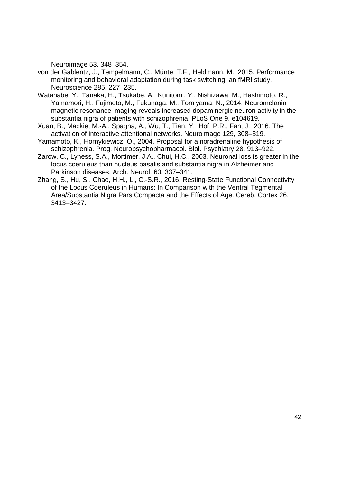Neuroimage 53, 348–354.

- von der Gablentz, J., Tempelmann, C., Münte, T.F., Heldmann, M., 2015. Performance monitoring and behavioral adaptation during task switching: an fMRI study. Neuroscience 285, 227–235.
- Watanabe, Y., Tanaka, H., Tsukabe, A., Kunitomi, Y., Nishizawa, M., Hashimoto, R., Yamamori, H., Fujimoto, M., Fukunaga, M., Tomiyama, N., 2014. Neuromelanin magnetic resonance imaging reveals increased dopaminergic neuron activity in the substantia nigra of patients with schizophrenia. PLoS One 9, e104619.
- Xuan, B., Mackie, M.-A., Spagna, A., Wu, T., Tian, Y., Hof, P.R., Fan, J., 2016. The activation of interactive attentional networks. Neuroimage 129, 308–319.
- Yamamoto, K., Hornykiewicz, O., 2004. Proposal for a noradrenaline hypothesis of schizophrenia. Prog. Neuropsychopharmacol. Biol. Psychiatry 28, 913–922.
- Zarow, C., Lyness, S.A., Mortimer, J.A., Chui, H.C., 2003. Neuronal loss is greater in the locus coeruleus than nucleus basalis and substantia nigra in Alzheimer and Parkinson diseases. Arch. Neurol. 60, 337–341.
- Zhang, S., Hu, S., Chao, H.H., Li, C.-S.R., 2016. Resting-State Functional Connectivity of the Locus Coeruleus in Humans: In Comparison with the Ventral Tegmental Area/Substantia Nigra Pars Compacta and the Effects of Age. Cereb. Cortex 26, 3413–3427.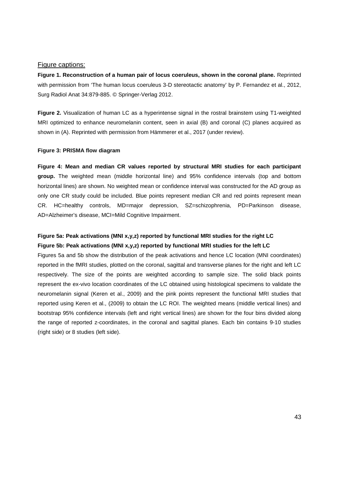## Figure captions:

**Figure 1. Reconstruction of a human pair of locus coeruleus, shown in the coronal plane.** Reprinted with permission from 'The human locus coeruleus 3-D stereotactic anatomy' by P. Fernandez et al., 2012, Surg Radiol Anat 34:879-885. © Springer-Verlag 2012.

**Figure 2.** Visualization of human LC as a hyperintense signal in the rostral brainstem using T1-weighted MRI optimized to enhance neuromelanin content, seen in axial (B) and coronal (C) planes acquired as shown in (A). Reprinted with permission from Hämmerer et al., 2017 (under review).

### **Figure 3: PRISMA flow diagram**

**Figure 4: Mean and median CR values reported by structural MRI studies for each participant group.** The weighted mean (middle horizontal line) and 95% confidence intervals (top and bottom horizontal lines) are shown. No weighted mean or confidence interval was constructed for the AD group as only one CR study could be included. Blue points represent median CR and red points represent mean CR. HC=healthy controls, MD=major depression, SZ=schizophrenia, PD=Parkinson disease, AD=Alzheimer's disease, MCI=Mild Cognitive Impairment.

## **Figure 5a: Peak activations (MNI x,y,z) reported by functional MRI studies for the right LC Figure 5b: Peak activations (MNI x,y,z) reported by functional MRI studies for the left LC**

Figures 5a and 5b show the distribution of the peak activations and hence LC location (MNI coordinates) reported in the fMRI studies, plotted on the coronal, sagittal and transverse planes for the right and left LC respectively. The size of the points are weighted according to sample size. The solid black points represent the ex-vivo location coordinates of the LC obtained using histological specimens to validate the neuromelanin signal (Keren et al., 2009) and the pink points represent the functional MRI studies that reported using Keren et al., (2009) to obtain the LC ROI. The weighted means (middle vertical lines) and bootstrap 95% confidence intervals (left and right vertical lines) are shown for the four bins divided along the range of reported z-coordinates, in the coronal and sagittal planes. Each bin contains 9-10 studies (right side) or 8 studies (left side).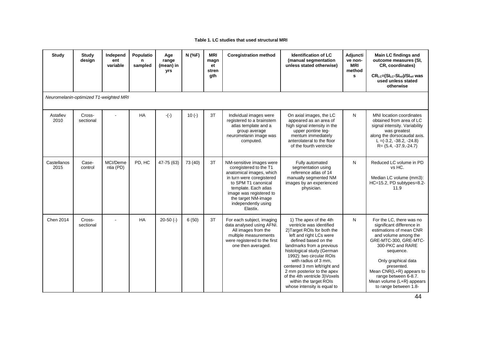#### **Table 1. LC studies that used structural MRI**

| <b>Study</b>        | Study<br>design                        | Independ<br>ent<br>variable | Populatio<br>n<br>sampled | Age<br>range<br>(mean) in<br>yrs | N (%F)  | <b>MRI</b><br>magn<br>et<br>stren<br>gth | <b>Coregistration method</b>                                                                                                                                                                                                                    | <b>Identification of LC</b><br>(manual segmentation<br>unless stated otherwise)                                                                                                                                                                                                                                                                                                                              | Adjuncti<br>ve non-<br><b>MRI</b><br>method<br>s | <b>Main LC findings and</b><br>outcome measures (SI,<br>CR, coordinates)<br>CRLC=(SILC-SI <sub>ref</sub> )/SI <sub>ref</sub> was<br>used unless stated<br>otherwise                                                                                                                                               |
|---------------------|----------------------------------------|-----------------------------|---------------------------|----------------------------------|---------|------------------------------------------|-------------------------------------------------------------------------------------------------------------------------------------------------------------------------------------------------------------------------------------------------|--------------------------------------------------------------------------------------------------------------------------------------------------------------------------------------------------------------------------------------------------------------------------------------------------------------------------------------------------------------------------------------------------------------|--------------------------------------------------|-------------------------------------------------------------------------------------------------------------------------------------------------------------------------------------------------------------------------------------------------------------------------------------------------------------------|
|                     | Neuromelanin-optimized T1-weighted MRI |                             |                           |                                  |         |                                          |                                                                                                                                                                                                                                                 |                                                                                                                                                                                                                                                                                                                                                                                                              |                                                  |                                                                                                                                                                                                                                                                                                                   |
| Astafiev<br>2010    | Cross-<br>sectional                    |                             | <b>HA</b>                 | $-(-)$                           | $10(-)$ | 3T                                       | Individual images were<br>registered to a brainstem<br>atlas template and a<br>group average<br>neuromelanin image was<br>computed.                                                                                                             | On axial images, the LC<br>appeared as an area of<br>high signal intensity in the<br>upper pontine teg-<br>mentum immediately<br>anterolateral to the floor<br>of the fourth ventricle                                                                                                                                                                                                                       | N                                                | <b>MNI</b> location coordinates<br>obtained from area of LC<br>signal intensity. Variability<br>was greatest<br>along the dorsocaudal axis.<br>$L = (-3.2, -38.2, -24.8)$<br>$R = (5.4, -37.9, -24.7)$                                                                                                            |
| Castellanos<br>2015 | Case-<br>control                       | MCI/Deme<br>ntia (PD)       | PD, HC                    | 47-75 (63)                       | 73 (40) | 3T                                       | NM-sensitive images were<br>coregistered to the T1<br>anatomical images, which<br>in turn were coregistered<br>to SPM T1 canonical<br>template. Each atlas<br>image was registered to<br>the target NM-image<br>independently using<br>Elastix. | Fully automated<br>segmentation using<br>reference atlas of 14<br>manually segmented NM<br>images by an experienced<br>physician.                                                                                                                                                                                                                                                                            | N                                                | Reduced LC volume in PD<br>vs HC.<br>Median LC volume (mm3):<br>HC=15.2, PD subtypes=8.2-<br>11.9                                                                                                                                                                                                                 |
| Chen 2014           | Cross-<br>sectional                    |                             | HA                        | $20-50$ (-)                      | 6(50)   | 3T                                       | For each subject, imaging<br>data analysed using AFNI.<br>All images from the<br>multiple measurements<br>were registered to the first<br>one then averaged.                                                                                    | 1) The apex of the 4th<br>ventricle was identified<br>2) Target ROIs for both the<br>left and right LCs were<br>defined based on the<br>landmarks from a previous<br>histological study (German<br>1992): two circular ROIs<br>with radius of 3 mm.<br>centered 3 mm left/right and<br>2 mm posterior to the apex<br>of the 4th ventricle 3) Voxels<br>within the target ROIs<br>whose intensity is equal to | N                                                | For the LC, there was no<br>significant difference in<br>estimations of mean CNR<br>and volume among the<br>GRE-MTC-300, GRE-MTC-<br>300-PKC and RARE<br>sequence.<br>Only graphical data<br>presented.<br>Mean CNR(L+R) appears to<br>range between 6-8.7.<br>Mean volume (L+R) appears<br>to range between 1.8- |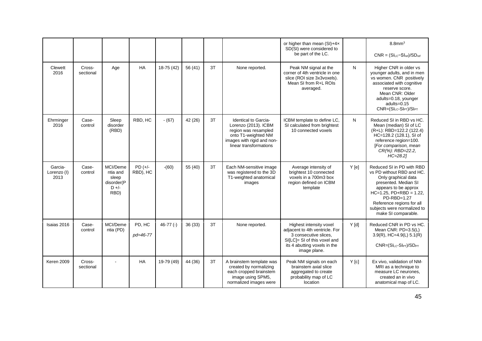|                                |                     |                                                                |                       |             |         |    |                                                                                                                                                     | or higher than mean (SI)+4x<br>SD(SI) were considered to<br>be part of the LC.                                                                                     |       | $8.8$ mm $3$<br>$CNR = (SI_{LC} - SI_{ref})/SD_{ref}$                                                                                                                                                                                                              |
|--------------------------------|---------------------|----------------------------------------------------------------|-----------------------|-------------|---------|----|-----------------------------------------------------------------------------------------------------------------------------------------------------|--------------------------------------------------------------------------------------------------------------------------------------------------------------------|-------|--------------------------------------------------------------------------------------------------------------------------------------------------------------------------------------------------------------------------------------------------------------------|
| Clewett<br>2016                | Cross-<br>sectional | Age                                                            | <b>HA</b>             | 18-75 (42)  | 56 (41) | 3T | None reported.                                                                                                                                      | Peak NM signal at the<br>corner of 4th ventricle in one<br>slice (ROI size 3x3voxels).<br>Mean SI from R+L ROIs<br>averaged.                                       | N     | Higher CNR in older vs<br>younger adults, and in men<br>vs women. CNR positively<br>associated with cognitive<br>reserve score.<br>Mean CNR: Older<br>adults=0.18, younger<br>adults=0.15<br>CNR=(SILc-SIPT)/SIPT                                                  |
| Ehrminger<br>2016              | Case-<br>control    | Sleep<br>disorder<br>(RBD)                                     | RBD, HC               | $-(67)$     | 42 (26) | 3T | Identical to Garcia-<br>Lorenzo (2013). ICBM<br>region was resampled<br>onto T1-weighted NM<br>images with rigid and non-<br>linear transformations | ICBM template to define LC,<br>SI calculated from brightest<br>10 connected voxels                                                                                 | N     | Reduced SI in RBD vs HC.<br>Mean (median) SI of LC<br>(R+L): RBD=122.2 (122.4)<br>HC=128.2 (128.1), SI of<br>reference region=100.<br>[For comparison, mean<br>CR(%): RBD=22.2,<br>$HC = 28.21$                                                                    |
| Garcia-<br>Lorenzo (I)<br>2013 | Case-<br>control    | MCI/Deme<br>ntia and<br>sleep<br>disorder(P<br>$D +/-$<br>RBD) | $PD (+/-$<br>RBD), HC | $-(60)$     | 55 (40) | 3T | Each NM-sensitive image<br>was registered to the 3D<br>T1-weighted anatomical<br>images                                                             | Average intensity of<br>brightest 10 connected<br>voxels in a 700m3 box<br>region defined on ICBM<br>template                                                      | Y[e]  | Reduced SI in PD with RBD<br>vs PD without RBD and HC.<br>Only graphical data<br>presented. Median SI<br>appears to be approx<br>$HC=1.25$ , $PD+RBD = 1.22$ ,<br>$PD-RBD=1.27$<br>Reference regions for all<br>subjects were normalized to<br>make SI comparable. |
| Isaias 2016                    | Case-<br>control    | MCI/Deme<br>ntia (PD)                                          | PD, HC<br>pd=46-77    | $46-77$ (-) | 36(33)  | 3T | None reported.                                                                                                                                      | Highest intensity voxel<br>adjacent to 4th ventricle. For<br>3 consecutive slices.<br>SI[LC]= SI of this voxel and<br>its 4 abutting voxels in the<br>image plane. | Y [d] | Reduced CNR in PD vs HC.<br>Mean CNR: PD=3.5(L)<br>$3.9(R)$ , HC=4.9(L) $5.1(R)$<br>CNR=(SILC-SIPT)/SDPT                                                                                                                                                           |
| Keren 2009                     | Cross-<br>sectional |                                                                | <b>HA</b>             | 19-79 (49)  | 44 (36) | 3T | A brainstem template was<br>created by normalizing<br>each cropped brainstem<br>image using SPM5,<br>normalized images were                         | Peak NM signals on each<br>brainstem axial slice<br>aggregated to create<br>probability map of LC<br>location                                                      | Y[c]  | Ex vivo, validation of NM-<br>MRI as a technique to<br>measure LC neurones,<br>created an in vivo<br>anatomical map of LC.                                                                                                                                         |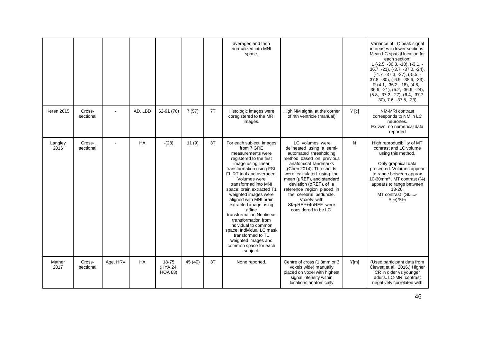|                 |                     |          |           |                                     |         |    | averaged and then<br>normalized into MNI<br>space.                                                                                                                                                                                                                                                                                                                                                                                                                                                                      |                                                                                                                                                                                                                                                                                                                                                                        |      | Variance of LC peak signal<br>increases in lower sections.<br>Mean LC spatial location for<br>each section:<br>L $(-2.5, -36.3, -18)$ , $(-3.1, -$<br>36.7, -21), (-3.7, -37.0, -24),<br>$(-4.7, -37.3, -27)$ , $(-5.5, -7)$<br>$37.8, -30$ , $(-6.9, -38.6, -33)$ .<br>R (4.1, -36.2, -18), (4.6, -<br>36.6, -21), (5.2, -36.9, -24),<br>$(5.8, -37.2, -27), (6.4, -37.7,$<br>$-30$ , 7.6, $-37.5$ , $-33$ ). |
|-----------------|---------------------|----------|-----------|-------------------------------------|---------|----|-------------------------------------------------------------------------------------------------------------------------------------------------------------------------------------------------------------------------------------------------------------------------------------------------------------------------------------------------------------------------------------------------------------------------------------------------------------------------------------------------------------------------|------------------------------------------------------------------------------------------------------------------------------------------------------------------------------------------------------------------------------------------------------------------------------------------------------------------------------------------------------------------------|------|----------------------------------------------------------------------------------------------------------------------------------------------------------------------------------------------------------------------------------------------------------------------------------------------------------------------------------------------------------------------------------------------------------------|
| Keren 2015      | Cross-<br>sectional |          | AD, LBD   | 62-91 (76)                          | 7(57)   | 7T | Histologic images were<br>coregistered to the MRI<br>images.                                                                                                                                                                                                                                                                                                                                                                                                                                                            | High NM signal at the corner<br>of 4th ventricle (manual)                                                                                                                                                                                                                                                                                                              | Y[c] | NM-MRI contrast<br>corresponds to NM in LC<br>neurones.<br>Ex vivo, no numerical data<br>reported                                                                                                                                                                                                                                                                                                              |
| Langley<br>2016 | Cross-<br>sectional |          | <b>HA</b> | $-(28)$                             | 11(9)   | 3T | For each subject, images<br>from 7 GRE<br>measurements were<br>registered to the first<br>image using linear<br>transformation using FSL<br>FLIRT tool and averaged.<br>Volumes were<br>transformed into MNI<br>space: brain extracted T1<br>weighted images were<br>aligned with MNI brain<br>extracted image using<br>affine<br>transformation.Nonlinear<br>transformation from<br>individual to common<br>space. Individual LC mask<br>transformed to T1<br>weighted images and<br>common space for each<br>subject. | LC volumes were<br>delineated using a semi-<br>automated thresholding<br>method based on previous<br>anatomical landmarks<br>(Chen 2014). Thresholds<br>were calculated using the<br>mean (µREF), and standard<br>deviation ( $\sigma$ REF), of a<br>reference region placed in<br>the cerebral peduncle.<br>Voxels with<br>SI>µREF+4oREF were<br>considered to be LC. | N    | High reproducibility of MT<br>contrast and LC volume<br>using this method.<br>Only graphical data<br>presented. Volumes appear<br>to range between approx<br>10-30mm <sup>3</sup> . MT contrast (%)<br>appears to range between<br>18-26.<br>MT contrast=(SI <sub>voxel</sub> -<br>$SIref$ / $SIref$                                                                                                           |
| Mather<br>2017  | Cross-<br>sectional | Age, HRV | HA        | 18-75<br>(HYA 24,<br><b>HOA 68)</b> | 45 (40) | 3T | None reported.                                                                                                                                                                                                                                                                                                                                                                                                                                                                                                          | Centre of cross (1.3mm or 3<br>voxels wide) manually<br>placed on voxel with highest<br>signal intensity within<br>locations anatomically                                                                                                                                                                                                                              | Y[m] | (Used participant data from<br>Clewett et al., 2016.) Higher<br>CR in older vs younger<br>adults. LC-MRI contrast<br>negatively correlated with                                                                                                                                                                                                                                                                |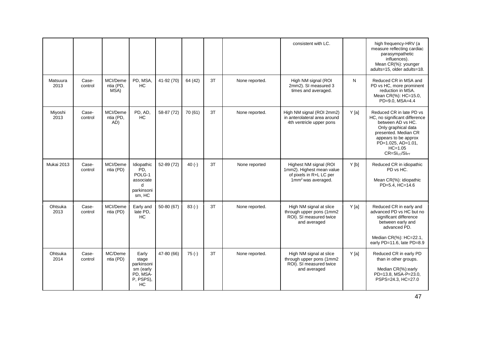|                  |                  |                               |                                                                          |            |         |    |                | consistent with LC.                                                                                              |       | high frequency-HRV (a<br>measure reflecting cardiac<br>parasympathetic<br>influences).<br>Mean CR(%): younger<br>adults=15, older adults=18.                                                               |
|------------------|------------------|-------------------------------|--------------------------------------------------------------------------|------------|---------|----|----------------|------------------------------------------------------------------------------------------------------------------|-------|------------------------------------------------------------------------------------------------------------------------------------------------------------------------------------------------------------|
| Matsuura<br>2013 | Case-<br>control | MCI/Deme<br>ntia (PD,<br>MSA) | PD, MSA,<br><b>HC</b>                                                    | 41-92 (70) | 64 (42) | 3T | None reported. | High NM signal (ROI<br>2mm2). SI measured 3<br>times and averaged.                                               | N     | Reduced CR in MSA and<br>PD vs HC, more prominent<br>reduction in MSA.<br>Mean CR(%): HC=15.0,<br>PD=9.0, MSA=4.4                                                                                          |
| Miyoshi<br>2013  | Case-<br>control | MCI/Deme<br>ntia (PD,<br>AD)  | PD, AD,<br><b>HC</b>                                                     | 58-87 (72) | 70 (61) | 3T | None reported. | High NM signal (ROI 2mm2)<br>in anterolateral area around<br>4th ventricle upper pons                            | Y[a]  | Reduced CR in late PD vs<br>HC, no significant difference<br>between AD vs HC.<br>Only graphical data<br>presented. Median CR<br>appears to be approx<br>PD=1.025, AD=1.01,<br>$HC = 1.05$<br>CR=SILC/SIPT |
| Mukai 2013       | Case-<br>control | MCI/Deme<br>ntia (PD)         | Idiopathic<br>PD,<br>POLG-1<br>associate<br>d<br>parkinsoni<br>sm, HC    | 52-89 (72) | $40(-)$ | 3T | None reported  | Highest NM signal (ROI<br>1mm2). Highest mean value<br>of pixels in R+L LC per<br>1mm <sup>2</sup> was averaged. | Y[b]  | Reduced CR in idiopathic<br>PD vs HC.<br>Mean CR(%): idiopathic<br>PD=5.4, HC=14.6                                                                                                                         |
| Ohtsuka<br>2013  | Case-<br>control | MCI/Deme<br>ntia (PD)         | Early and<br>late PD,<br><b>HC</b>                                       | 50-80 (67) | $83(-)$ | 3T | None reported. | High NM signal at slice<br>through upper pons (1mm2<br>ROI). SI measured twice<br>and averaged                   | Y[a]  | Reduced CR in early and<br>advanced PD vs HC but no<br>significant difference<br>between early and<br>advanced PD.<br>Median CR(%): HC=22.1,                                                               |
|                  |                  |                               |                                                                          |            |         |    |                |                                                                                                                  |       | early PD=11.6, late PD=8.9                                                                                                                                                                                 |
| Ohtsuka<br>2014  | Case-<br>control | MC/Deme<br>ntia (PD)          | Early<br>stage<br>parkinsoni<br>sm (early<br>PD, MSA-<br>P, PSPS),<br>HC | 47-80 (66) | $75(-)$ | 3T | None reported. | High NM signal at slice<br>through upper pons (1mm2<br>ROI). SI measured twice<br>and averaged                   | Y [a] | Reduced CR in early PD<br>than in other groups.<br>Median CR(%):early<br>PD=13.8, MSA-P=23.0,<br>PSPS=24.3, HC=27.0                                                                                        |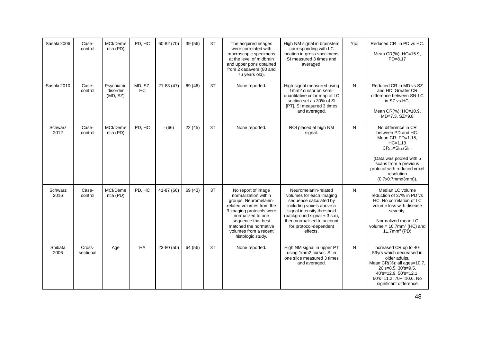| Sasaki 2006     | Case-<br>control    | MCI/Deme<br>ntia (PD)               | PD, HC        | 60-82 (70)    | 39 (56) | 3T | The acquired images<br>were correlated with<br>macroscopic specimens<br>at the level of midbrain<br>and upper pons obtained<br>from 2 cadavers (80 and<br>76 years old).                                                                      | High NM signal in brainstem<br>corresponding with LC<br>location in gross specimens.<br>SI measured 3 times and<br>averaged.                                                                                                              | Y[c] | Reduced CR in PD vs HC.<br>Mean CR(%): HC=15.9,<br>$PD=8.17$                                                                                                                                                               |
|-----------------|---------------------|-------------------------------------|---------------|---------------|---------|----|-----------------------------------------------------------------------------------------------------------------------------------------------------------------------------------------------------------------------------------------------|-------------------------------------------------------------------------------------------------------------------------------------------------------------------------------------------------------------------------------------------|------|----------------------------------------------------------------------------------------------------------------------------------------------------------------------------------------------------------------------------|
| Sasaki 2010     | Case-<br>control    | Psychiatric<br>disorder<br>(MD, SZ) | MD, SZ,<br>HC | $21 - 83(47)$ | 69 (46) | 3T | None reported.                                                                                                                                                                                                                                | High signal measured using<br>1mm2 cursor on semi-<br>quantitative color map of LC<br>section set as 30% of SI<br>[PT]. SI measured 3 times<br>and averaged.                                                                              | N    | Reduced CR in MD vs SZ<br>and HC. Greater CR<br>difference between SN-LC<br>in SZ vs HC.<br>Mean CR(%): HC=10.9,<br>MD=7.3, SZ=9.8                                                                                         |
| Schwarz<br>2012 | Case-<br>control    | MCI/Deme<br>ntia (PD)               | PD, HC        | $- (66)$      | 22 (45) | 3T | None reported.                                                                                                                                                                                                                                | ROI placed at high NM<br>signal.                                                                                                                                                                                                          | N    | No difference in CR<br>between PD and HC.<br>Mean CR: PD=1.15,<br>$HC = 1.13$<br>$CR_{LC} = SLC / SI_{PT}$                                                                                                                 |
|                 |                     |                                     |               |               |         |    |                                                                                                                                                                                                                                               |                                                                                                                                                                                                                                           |      | (Data was pooled with 5<br>scans from a previous<br>protocol with reduced voxel<br>resolution<br>$(0.7x0.7mmx3mm)$ ).                                                                                                      |
| Schwarz<br>2016 | Case-<br>control    | MCI/Deme<br>ntia (PD)               | PD, HC        | 41-87 (66)    | 69 (43) | 3T | No report of image<br>normalization within<br>groups. Neuromelanin-<br>related volumes from the<br>3 imaging protocols were<br>normalized to one<br>sequence that best<br>matched the normative<br>volumes from a recent<br>histologic study. | Neuromelanin-related<br>volumes for each imaging<br>sequence calculated by<br>including voxels above a<br>signal intensity threshold<br>(background signal $+3$ s.d),<br>then normalised to account<br>for protocol-dependent<br>effects. | N    | Median LC volume<br>reduction of 37% in PD vs<br>HC. No correlation of LC<br>volume loss with disease<br>severity.<br>Normalized mean LC<br>volume = $16.7$ mm <sup>3</sup> (HC) and<br>11.7 $mm3$ (PD)                    |
| Shibata<br>2006 | Cross-<br>sectional | Age                                 | HA            | 23-80 (50)    | 64 (56) | 3T | None reported.                                                                                                                                                                                                                                | High NM signal in upper PT<br>using 1mm2 cursor. SI in<br>one slice measured 3 times<br>and averaged.                                                                                                                                     | N    | Increased CR up to 40-<br>59yrs which decreased in<br>older adults.<br>Mean CR(%): all ages=10.7,<br>$20's = 8.5$ , $30's = 9.5$ ,<br>40's=12.9, 50's=12.1,<br>$60's = 11.2$ , $70 += 10.6$ . No<br>significant difference |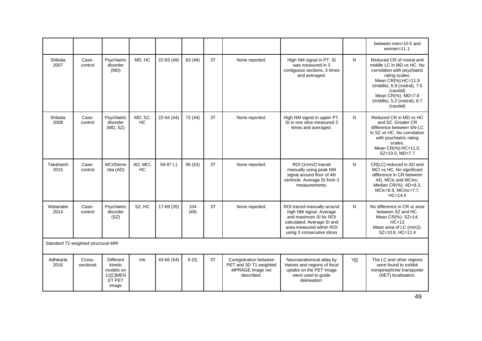|                   |                                     |                                                                                      |                      |             |             |    |                                                                                    |                                                                                                                                                                         |      | between men=10.5 and<br>women= $11.1$ .                                                                                                                                                                                                      |
|-------------------|-------------------------------------|--------------------------------------------------------------------------------------|----------------------|-------------|-------------|----|------------------------------------------------------------------------------------|-------------------------------------------------------------------------------------------------------------------------------------------------------------------------|------|----------------------------------------------------------------------------------------------------------------------------------------------------------------------------------------------------------------------------------------------|
| Shibata<br>2007   | Case-<br>control                    | Psychiatric<br>disorder<br>(MD)                                                      | MD, HC               | 22-83 (49)  | 63 (49)     | 3T | None reported.                                                                     | High NM signal in PT. SI<br>was measured in 3<br>contiguous sections, 3 times<br>and averaged.                                                                          | N    | Reduced CR of rostral and<br>middle LC in MD vs HC. No<br>correlation with psychiatric<br>rating scales.<br>Mean CR(%):HC=11.9<br>(middle), 6.9 (rostral), 7.5<br>(caudal)<br>Mean CR(%): MD=7.8<br>(middle), 5.2 (rostral), 6.7<br>(caudal) |
| Shibata<br>2008   | Case-<br>control                    | Psychiatric<br>disorder<br>(MD, SZ)                                                  | MD, SZ,<br><b>HC</b> | $22-64(44)$ | 72 (44)     | 3T | None reported.                                                                     | High NM signal in upper PT.<br>SI in one slice measured 3<br>times and averaged.                                                                                        | N    | Reduced CR in MD vs HC<br>and SZ. Greater CR<br>difference between SN-LC<br>in SZ vs HC. No correlation<br>with psychiatric rating<br>scales.<br>Mean CR(%): HC=11.0,<br>SZ=10.0, MD=7.7                                                     |
| Takahashi<br>2015 | Case-<br>control                    | MCI/Deme<br>ntia (AD)                                                                | AD. MCI.<br>HC       | $59-87$ (-) | 95 (53)     | 3T | None reported.                                                                     | ROI (1mm2) traced<br>manually using peak NM<br>signal around floor of 4th<br>ventricle. Average SI from 3<br>measurements.                                              | N    | CR[LC] reduced in AD and<br>MCI vs HC. No significant<br>difference in CR between<br>AD. MCIc and MCInc.<br>Median CR(%): AD=9.3,<br>MCIc=6.9, MCInc=7.7,<br>$HC = 14.4$                                                                     |
| Watanabe<br>2014  | Case-<br>control                    | Psychiatric<br>disorder<br>(SZ)                                                      | SZ, HC               | 17-69 (35)  | 104<br>(48) | 3T | None reported.                                                                     | ROI traced manually around<br>high NM signal. Average<br>and maximum SI for ROI<br>calculated. Average SI and<br>area measured within ROI<br>using 3 consecutive slices | N    | No difference in CR or area<br>between SZ and HC.<br>Mean CR(%): SZ=14,<br>$HC = 13$<br>Mean area of LC (mm2):<br>SZ=10.8, HC=11.4                                                                                                           |
|                   | Standard T1-weighted structural MRI |                                                                                      |                      |             |             |    |                                                                                    |                                                                                                                                                                         |      |                                                                                                                                                                                                                                              |
| Adhikarla<br>2016 | Cross-<br>sectional                 | <b>Different</b><br>kinetic<br>models on<br>11 <sub>IC</sub> IMEN<br>ET PET<br>image | HA                   | 43-66 (54)  | 6(0)        | 3T | Coregistration between<br>PET and 3D T1 weighted<br>MPRAGE image not<br>described. | Neuroanatomical atlas by<br>Haines and regions of focal<br>uptake on the PET image<br>were used to quide<br>delineation.                                                | Y[j] | The LC and other regions<br>were found to exhibit<br>norepinephrine transporter<br>(NET) localisation.                                                                                                                                       |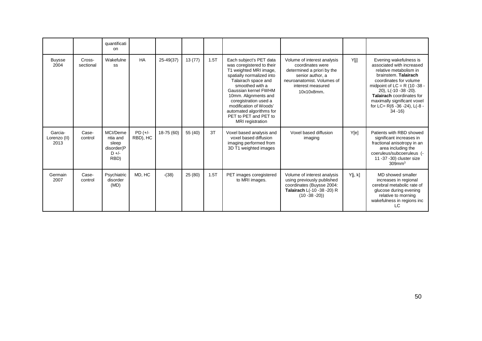|                                 |                     | quantificati<br>on                                             |                        |               |         |      |                                                                                                                                                                                                                                                                                                                                   |                                                                                                                                                                    |         |                                                                                                                                                                                                                                                                                                            |
|---------------------------------|---------------------|----------------------------------------------------------------|------------------------|---------------|---------|------|-----------------------------------------------------------------------------------------------------------------------------------------------------------------------------------------------------------------------------------------------------------------------------------------------------------------------------------|--------------------------------------------------------------------------------------------------------------------------------------------------------------------|---------|------------------------------------------------------------------------------------------------------------------------------------------------------------------------------------------------------------------------------------------------------------------------------------------------------------|
| <b>Buysse</b><br>2004           | Cross-<br>sectional | Wakefulne<br>SS                                                | <b>HA</b>              | $25 - 49(37)$ | 13(77)  | 1.5T | Each subject's PET data<br>was coregistered to their<br>T1 weighted MRI image,<br>spatially normalized into<br>Talairach space and<br>smoothed with a<br>Gaussian kernel FWHM<br>10mm. Alignments and<br>coregistration used a<br>modification of Woods'<br>automated algorithms for<br>PET to PET and PET to<br>MRI registration | Volume of interest analysis<br>coordinates were<br>determined a priori by the<br>senior author, a<br>neuroanatomist. Volumes of<br>interest measured<br>10x10x8mm. | Y[j]    | Evening wakefulness is<br>associated with increased<br>relative metabolism in<br>brainstem. Talairach<br>coordinates for volume<br>midpoint of $LC = R$ (10 -38 -<br>20), L(-10 -38 -20).<br>Talairach coordinates for<br>maximally significant voxel<br>for LC= $R(6 - 36 - 24)$ , L( $-8 -$<br>$34 - 16$ |
| Garcia-<br>Lorenzo (II)<br>2013 | Case-<br>control    | MCI/Deme<br>ntia and<br>sleep<br>disorder(P<br>$D +/-$<br>RBD) | $PD (+/-)$<br>RBD), HC | 18-75 (60)    | 55 (40) | 3T   | Voxel based analysis and<br>voxel based diffusion<br>imaging performed from<br>3D T1 weighted images                                                                                                                                                                                                                              | Voxel based diffusion<br>imaging                                                                                                                                   | Y[e]    | Patients with RBD showed<br>significant increases in<br>fractional anisotropy in an<br>area including the<br>coeruleus/subcoeruleus (-<br>11 - 37 - 30) cluster size<br>$309$ mm <sup>3</sup>                                                                                                              |
| Germain<br>2007                 | Case-<br>control    | Psychiatric<br>disorder<br>(MD)                                | MD, HC                 | $-(38)$       | 25(80)  | 1.5T | PET images coregistered<br>to MRI images.                                                                                                                                                                                                                                                                                         | Volume of interest analysis<br>using previously published<br>coordinates (Buysse 2004:<br>Talairach L(-10 -38 -20) R<br>$(10 - 38 - 20)$                           | Y[i, k] | MD showed smaller<br>increases in regional<br>cerebral metabolic rate of<br>glucose during evening<br>relative to morning<br>wakefulness in regions inc<br>LC                                                                                                                                              |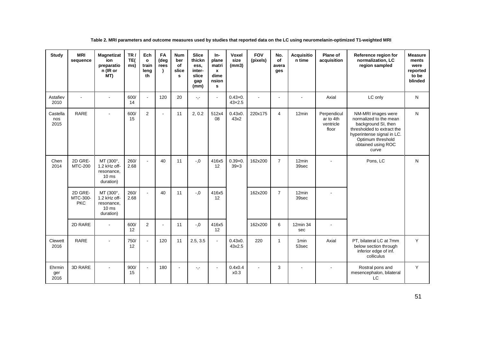| <b>Study</b>            | <b>MRI</b><br>sequence            | <b>Magnetizat</b><br>ion<br>preparatio<br>n (IR or<br>MT)                | TR/<br>TE(<br>ms) | Ech<br>$\mathbf{o}$<br>train<br>leng<br>th | FA<br>(deg<br>rees<br>$\lambda$ | <b>Num</b><br>ber<br>of<br>slice<br>s | <b>Slice</b><br>thickn<br>ess,<br>inter-<br>slice<br>gap<br>(mm) | In-<br>plane<br>matri<br>$\mathbf{x}$<br>dime<br>nsion<br>s | Voxel<br>size<br>(mm3)          | <b>FOV</b><br>(pixels) | No.<br>of<br>avera<br>ges | <b>Acquisitio</b><br>n time | Plane of<br>acquisition                        | Reference region for<br>normalization, LC<br>region sampled                                                                                                                         | <b>Measure</b><br>ments<br>were<br>reported<br>to be<br>blinded |
|-------------------------|-----------------------------------|--------------------------------------------------------------------------|-------------------|--------------------------------------------|---------------------------------|---------------------------------------|------------------------------------------------------------------|-------------------------------------------------------------|---------------------------------|------------------------|---------------------------|-----------------------------|------------------------------------------------|-------------------------------------------------------------------------------------------------------------------------------------------------------------------------------------|-----------------------------------------------------------------|
| Astafiev<br>2010        |                                   |                                                                          | 600/<br>14        |                                            | 120                             | 20                                    | $-,-$                                                            | $\sim$                                                      | $0.43 \times 0.$<br>43×2.5      |                        |                           |                             | Axial                                          | LC only                                                                                                                                                                             | N                                                               |
| Castella<br>nos<br>2015 | <b>RARE</b>                       |                                                                          | 600/<br>15        | 2                                          |                                 | 11                                    | 2, 0.2                                                           | 512x4<br>08                                                 | 0.43x0.<br>43x2                 | 220x175                | 4                         | 12min                       | Perpendicul<br>ar to 4th<br>ventricle<br>floor | NM-MRI images were<br>normalized to the mean<br>background SI, then<br>thresholded to extract the<br>hyperintense signal in LC.<br>Optimum threshold<br>obtained using ROC<br>curve | N                                                               |
| Chen<br>2014            | 2D GRE-<br><b>MTC-200</b>         | MT (300°,<br>1.2 kHz off-<br>resonance,<br>10 <sub>ms</sub><br>duration) | 260/<br>2.68      | $\mathbf{r}$                               | 40                              | 11                                    | $-0.0$                                                           | 416x5<br>12                                                 | $0.39 \times 0.$<br>$39\times3$ | 162x200                | $\overline{7}$            | 12min<br>39sec              |                                                | Pons, LC                                                                                                                                                                            | N                                                               |
|                         | 2D GRE-<br>MTC-300-<br><b>PKC</b> | MT (300°,<br>1.2 kHz off-<br>resonance,<br>10 <sub>ms</sub><br>duration) | 260/<br>2.68      |                                            | 40                              | 11                                    | $-0.0$                                                           | 416x5<br>12                                                 |                                 | 162x200                | $\overline{7}$            | 12min<br>39sec              |                                                |                                                                                                                                                                                     |                                                                 |
|                         | 2D RARE                           | $\overline{a}$                                                           | 600/<br>12        | 2                                          |                                 | 11                                    | $-0.5$                                                           | 416x5<br>12                                                 |                                 | 162x200                | 6                         | 12min 34<br>sec             |                                                |                                                                                                                                                                                     |                                                                 |
| Clewett<br>2016         | <b>RARE</b>                       |                                                                          | 750/<br>12        |                                            | 120                             | 11                                    | 2.5, 3.5                                                         | $\blacksquare$                                              | 0.43x0.<br>43x2.5               | 220                    | $\mathbf{1}$              | 1 <sub>min</sub><br>53sec   | Axial                                          | PT, bilateral LC at 7mm<br>below section through<br>inferior edge of inf.<br>colliculus                                                                                             | Y                                                               |
| Ehrmin<br>ger<br>2016   | 3D RARE                           | $\blacksquare$                                                           | 900/<br>15        | $\blacksquare$                             | 180                             | $\blacksquare$                        | -,-                                                              | $\blacksquare$                                              | 0.4x0.4<br>x0.3                 | L,                     | 3                         |                             |                                                | Rostral pons and<br>mesencephalon, bilateral<br>LC                                                                                                                                  | Y                                                               |

**Table 2. MRI parameters and outcome measures used by studies that reported data on the LC using neuromelanin-optimized T1-weighted MRI**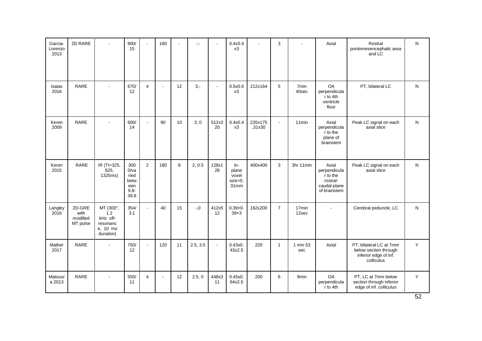| Garcia-<br>Lorenzo<br>2013 | 2D RARE                                |                                                                   | 900/<br>15                                            |                | 180            |    | -,-      | ÷,                         | 0.4x0.4<br>x3                            |                   | 3              |                            | Axial                                                                         | Rostral<br>pontomesencephalic area<br>and LC                                            | N |
|----------------------------|----------------------------------------|-------------------------------------------------------------------|-------------------------------------------------------|----------------|----------------|----|----------|----------------------------|------------------------------------------|-------------------|----------------|----------------------------|-------------------------------------------------------------------------------|-----------------------------------------------------------------------------------------|---|
| Isaias<br>2016             | <b>RARE</b>                            | $\blacksquare$                                                    | 670/<br>12                                            | $\overline{4}$ | $\overline{a}$ | 12 | $3 -$    | $\blacksquare$             | 0.5x0.6<br>x3                            | 212x164           | 5              | 7 <sub>min</sub><br>40sec  | <b>OA</b><br>perpendicula<br>r to 4th<br>ventricle<br>floor                   | PT, bilateral LC                                                                        | N |
| Keren<br>2009              | RARE                                   | $\blacksquare$                                                    | 600/<br>14                                            | $\mathbf{r}$   | 90             | 10 | 3, 0     | 512x3<br>20                | 0.4x0.4<br>x3                            | 220x175<br>.31x30 | $\overline{a}$ | 11 <sub>min</sub>          | Axial<br>perpendicula<br>r to the<br>plane of<br>brainstem                    | Peak LC signal on each<br>axial slice                                                   | N |
| Keren<br>2015              | <b>RARE</b>                            | IR (TI=325,<br>825,<br>1325ms)                                    | 300<br>0/va<br>ried<br>betw<br>een<br>$9.8 -$<br>39.8 | 2              | 180            | 8  | 2, 0.5   | 128x1<br>28                | In-<br>plane<br>voxel<br>size=0.<br>31mm | 400x400           | 3              | 3hr 11min                  | Axial<br>perpendicula<br>r to the<br>rostral-<br>caudal plane<br>of brainstem | Peak LC signal on each<br>axial slice                                                   | N |
| Langley<br>2016            | 2D-GRE<br>with<br>modified<br>MT pulse | MT (300°,<br>1.2<br>kHz off-<br>resonanc<br>e, 10 ms<br>duration) | 354/<br>3.1                                           | $\overline{a}$ | 40             | 15 | $-0.5$   | 412x5<br>$12 \overline{ }$ | $0.39 \times 0.$<br>$39\times3$          | 162x200           | $\overline{7}$ | 17 <sub>min</sub><br>12sec |                                                                               | Cerebral peduncle, LC                                                                   | N |
| Mather<br>2017             | <b>RARE</b>                            | $\Delta$                                                          | 750/<br>12                                            | $\sim$         | 120            | 11 | 2.5, 3.5 | $\omega$                   | 0.43x0.<br>43x2.5                        | 220               | $\overline{1}$ | 1 min 53<br>sec            | Axial                                                                         | PT, bilateral LC at 7mm<br>below section through<br>inferior edge of inf.<br>colliculus | Y |
| Matsuur<br>a 2013          | <b>RARE</b>                            | $\blacksquare$                                                    | 550/<br>11                                            | 4              |                | 12 | 2.5, 0   | 448x3<br>11                | 0.45x0.<br>64x2.5                        | 200               | 6              | 9min                       | OA<br>perpendicula<br>r to 4th                                                | PT, LC at 7mm below<br>section through inferior<br>edge of inf. colliculus              | Y |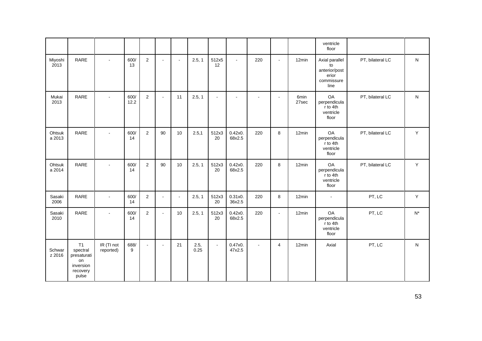|                  |                                                                       |                          |              |                |                |                |              |                          |                          |                |                          |               | ventricle<br>floor                                                   |                  |       |
|------------------|-----------------------------------------------------------------------|--------------------------|--------------|----------------|----------------|----------------|--------------|--------------------------|--------------------------|----------------|--------------------------|---------------|----------------------------------------------------------------------|------------------|-------|
| Miyoshi<br>2013  | RARE                                                                  | $\blacksquare$           | 600/<br>13   | $\overline{2}$ | $\sim$         | $\blacksquare$ | 2.5, 1       | 512x5<br>12              | $\overline{\phantom{a}}$ | 220            | $\overline{\phantom{a}}$ | 12min         | Axial parallel<br>to<br>anterior/post<br>erior<br>commissure<br>line | PT, bilateral LC | N     |
| Mukai<br>2013    | RARE                                                                  | $\blacksquare$           | 600/<br>12.2 | $\overline{2}$ | $\mathbf{r}$   | 11             | 2.5, 1       | $\overline{\phantom{a}}$ | $\sim$                   | $\blacksquare$ | $\blacksquare$           | 6min<br>27sec | <b>OA</b><br>perpendicula<br>r to 4th<br>ventricle<br>floor          | PT, bilateral LC | N     |
| Ohtsuk<br>a 2013 | RARE                                                                  | $\sim$                   | 600/<br>14   | $\overline{2}$ | 90             | 10             | 2.5,1        | 512x3<br>20              | 0.42x0.<br>68x2.5        | 220            | 8                        | 12min         | OA<br>perpendicula<br>r to 4th<br>ventricle<br>floor                 | PT, bilateral LC | Y     |
| Ohtsuk<br>a 2014 | RARE                                                                  | $\overline{\phantom{a}}$ | 600/<br>14   | $\overline{2}$ | 90             | 10             | 2.5, 1       | 512x3<br>20              | 0.42x0.<br>68x2.5        | 220            | 8                        | 12min         | OA<br>perpendicula<br>r to 4th<br>ventricle<br>floor                 | PT, bilateral LC | Y     |
| Sasaki<br>2006   | RARE                                                                  | $\blacksquare$           | 600/<br>14   | $\overline{2}$ | $\sim$         | $\blacksquare$ | 2.5, 1       | 512x3<br>20              | 0.31x0.<br>36x2.5        | 220            | 8                        | 12min         | $\blacksquare$                                                       | PT, LC           | Y     |
| Sasaki<br>2010   | RARE                                                                  | $\blacksquare$           | 600/<br>14   | $\overline{2}$ | $\blacksquare$ | 10             | 2.5, 1       | 512x3<br>20              | 0.42x0.<br>68x2.5        | 220            | $\blacksquare$           | 12min         | OA<br>perpendicula<br>r to 4th<br>ventricle<br>floor                 | PT, LC           | $N^*$ |
| Schwar<br>z 2016 | T1<br>spectral<br>presaturati<br>on<br>inversion<br>recovery<br>pulse | IR (TI not<br>reported)  | 688/<br>9    | $\blacksquare$ | $\blacksquare$ | 21             | 2.5,<br>0.25 | $\blacksquare$           | 0.47x0.<br>47x2.5        | $\blacksquare$ | $\overline{4}$           | 12min         | Axial                                                                | PT, LC           | N     |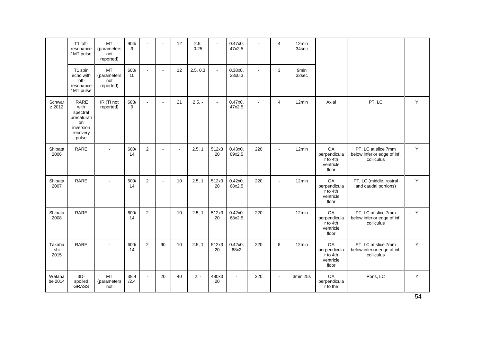|                       | T1 'off-<br>resonance<br>' MT pulse                                             | <b>MT</b><br>(parameters<br>not<br>reported) | 904/<br>9    |                |        | 12             | 2.5,<br>0.25 |              | 0.47x0.<br>47x2.5 |                | $\overline{4}$ | 12min<br>34sec            |                                                      |                                                                  |   |
|-----------------------|---------------------------------------------------------------------------------|----------------------------------------------|--------------|----------------|--------|----------------|--------------|--------------|-------------------|----------------|----------------|---------------------------|------------------------------------------------------|------------------------------------------------------------------|---|
|                       | T1 spin<br>echo with<br>'off-<br>resonance<br>' MT pulse                        | <b>MT</b><br>(parameters<br>not<br>reported) | 600/<br>10   | $\sim$         | $\sim$ | 12             | 2.5, 0.3     | $\omega$     | 0.38x0.<br>38x0.3 | $\blacksquare$ | 3              | 9 <sub>min</sub><br>32sec |                                                      |                                                                  |   |
| Schwar<br>z 2012      | RARE<br>with<br>spectral<br>presaturati<br>on<br>inversion<br>recovery<br>pulse | IR (TI not<br>reported)                      | 688/<br>9    | $\sim$         | $\sim$ | 21             | $2.5, -$     | $\mathbf{r}$ | 0.47x0.<br>47x2.5 | $\overline{a}$ | $\overline{4}$ | 12min                     | Axial                                                | PT, LC                                                           | Y |
| Shibata<br>2006       | RARE                                                                            | $\blacksquare$                               | 600/<br>14   | 2              | $\sim$ | $\blacksquare$ | 2.5, 1       | 512x3<br>20  | 0.43x0.<br>69x2.5 | 220            | $\overline{a}$ | 12min                     | OA<br>perpendicula<br>r to 4th<br>ventricle<br>floor | PT, LC at slice 7mm<br>below inferior edge of inf.<br>colliculus | Y |
| Shibata<br>2007       | RARE                                                                            | $\blacksquare$                               | 600/<br>14   | $\overline{2}$ |        | 10             | 2.5, 1       | 512x3<br>20  | 0.42x0.<br>68x2.5 | 220            | ÷,             | 12min                     | OA<br>perpendicula<br>r to 4th<br>ventricle<br>floor | PT, LC (middle, rostral<br>and caudal portions)                  | Y |
| Shibata<br>2008       | RARE                                                                            | $\sim$                                       | 600/<br>14   | $\overline{2}$ | $\sim$ | 10             | 2.5, 1       | 512x3<br>20  | 0.42x0.<br>68x2.5 | 220            | $\overline{a}$ | 12min                     | OA<br>perpendicula<br>r to 4th<br>ventricle<br>floor | PT, LC at slice 7mm<br>below inferior edge of inf.<br>colliculus | Y |
| Takaha<br>shi<br>2015 | RARE                                                                            | $\sim$                                       | 600/<br>14   | 2              | 90     | 10             | 2.5, 1       | 512x3<br>20  | 0.42x0.<br>68x2   | 220            | 8              | 12min                     | OA<br>perpendicula<br>r to 4th<br>ventricle<br>floor | PT, LC at slice 7mm<br>below inferior edge of inf.<br>colliculus | Y |
| Watana<br>be 2014     | $3D -$<br>spoiled<br><b>GRASS</b>                                               | <b>MT</b><br>(parameters<br>not              | 38.4<br>/2.4 | $\sim$         | 20     | 40             | $2. -$       | 480x3<br>20  | $\sim$            | 220            | $\blacksquare$ | 3min 25s                  | OA<br>perpendicula<br>r to the                       | Pons, LC                                                         | Y |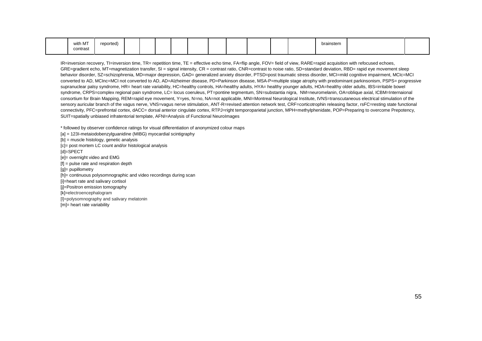|  | with MT<br>contrast | reported) |  |  |  |  |  |  |  |  |  |  | brainstem |  |  |
|--|---------------------|-----------|--|--|--|--|--|--|--|--|--|--|-----------|--|--|
|--|---------------------|-----------|--|--|--|--|--|--|--|--|--|--|-----------|--|--|

IR=inversion recovery, TI=inversion time, TR= repetition time, TE = effective echo time, FA=flip angle, FOV= field of view, RARE=rapid acquisition with refocused echoes, GRE=gradient echo, MT=magnetization transfer, SI = signal intensity, CR = contrast ratio, CNR=contrast to noise ratio, SD=standard deviation, RBD= rapid eye movement sleep behavior disorder, SZ=schizophrenia, MD=major depression, GAD= generalized anxiety disorder, PTSD=post traumatic stress disorder, MCI=mild cognitive impairment, MCIc=MCI converted to AD, MCInc=MCI not converted to AD, AD=Alzheimer disease, PD=Parkinson disease, MSA-P=multiple stage atrophy with predominant parkinsonism, PSPS= progressive supranuclear palsy syndrome, HR= heart rate variability, HC=healthy controls, HA=healthy adults, HYA= healthy younger adults, HOA=healthy older adults, IBS=irritable bowel syndrome, CRPS=complex regional pain syndrome, LC= locus coeruleus, PT=pontine tegmentum, SN=substantia nigra, NM=neuromelanin, OA=oblique axial, ICBM=Internaional consortium for Brain Mapping, REM=rapid eye movement, Y=yes, N=no, NA=not applicable, MNI=Montreal Neurological Institute, tVNS=transcutaneous electrical stimulation of the sensory auricular branch of the vagus nerve, VNS=vagus nerve stimulation, ANT-R=revised attention network test, CRF=corticotrophin releasing factor, rsFC=resting state functional connectivity, PFC=prefrontal cortex, dACC= dorsal anterior cingulate cortex, RTPJ=right temporoparietal junction, MPH=methylphenidate, POP=Preparing to overcome Prepotency, SUIT=spatially unbiased infratentorial template, AFNI=Analysis of Functional NeuroImages

\* followed by observer confidence ratings for visual differentiation of anonymized colour maps

[a] = 123I-metaiodobenzylguanidine (MIBG) myocardial scintigraphy

[b] = muscle histology, genetic analysis

[c]= post mortem LC count and/or histological analysis

[d]=SPECT

[e]= overnight video and EMG

 $[f]$  = pulse rate and respiration depth

[g]= pupillometry

[h]= continuous polysomnographic and video recordings during scan

[i]=heart rate and salivary cortisol

[j]=Positron emission tomography

[k]=electroencephalogram

[l]=polysomnography and salivary melatonin

[m]= heart rate variability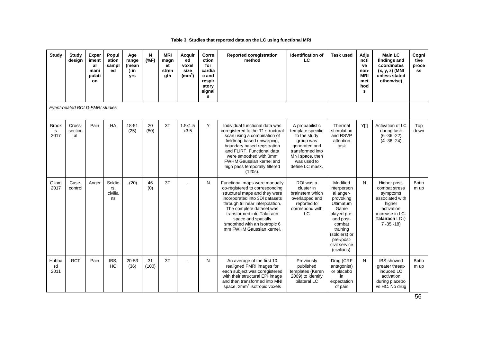#### **Table 3: Studies that reported data on the LC using functional MRI**

| <b>Study</b>              | <b>Study</b><br>design          | <b>Exper</b><br>iment<br>al<br>mani<br>pulati<br>on | Popul<br>ation<br>sampl<br>ed  | Age<br>range<br>(mean<br>) in<br>yrs | N<br>(%F)   | <b>MRI</b><br>magn<br>et<br>stren<br>qth | Acquir<br>ed<br>voxel<br>size<br>(mm <sup>3</sup> ) | Corre<br>ction<br>for<br>cardia<br>c and<br>respir<br>atory<br>signal<br>s | <b>Reported coregistration</b><br>method                                                                                                                                                                                                                                                                            | <b>Identification of</b><br>LC                                                                                                                              | <b>Task used</b>                                                                                                                                                                         | Adju<br>ncti<br>ve<br>non-<br><b>MRI</b><br>met<br>hod<br>s | <b>Main LC</b><br>findings and<br>coordinates<br>$(x, y, z)$ (MNI<br>unless stated<br>otherwise)                                            | Cogni<br>tive<br>proce<br>SS |
|---------------------------|---------------------------------|-----------------------------------------------------|--------------------------------|--------------------------------------|-------------|------------------------------------------|-----------------------------------------------------|----------------------------------------------------------------------------|---------------------------------------------------------------------------------------------------------------------------------------------------------------------------------------------------------------------------------------------------------------------------------------------------------------------|-------------------------------------------------------------------------------------------------------------------------------------------------------------|------------------------------------------------------------------------------------------------------------------------------------------------------------------------------------------|-------------------------------------------------------------|---------------------------------------------------------------------------------------------------------------------------------------------|------------------------------|
|                           | Event-related BOLD-FMRI studies |                                                     |                                |                                      |             |                                          |                                                     |                                                                            |                                                                                                                                                                                                                                                                                                                     |                                                                                                                                                             |                                                                                                                                                                                          |                                                             |                                                                                                                                             |                              |
| <b>Brook</b><br>s<br>2017 | Cross-<br>section<br>al         | Pain                                                | HA                             | 18-51<br>(25)                        | 20<br>(50)  | 3T                                       | 1.5x1.5<br>x3.5                                     | Y                                                                          | Individual functional data was<br>coregistered to the T1 structural<br>scan using a combination of<br>fieldmap based unwarping,<br>boundary based registration<br>and FLIRT. Functional data<br>were smoothed with 3mm<br>FWHM Gaussian kernel and<br>high pass temporally filtered<br>(120s).                      | A probabilistic<br>template specific<br>to the study<br>group was<br>generated and<br>transformed into<br>MNI space, then<br>was used to<br>define LC mask. | Thermal<br>stimulation<br>and RSVP<br>attention<br>task                                                                                                                                  | Y[f]                                                        | Activation of LC<br>during task<br>$(6 - 36 - 22)$<br>$(4 - 36 - 24)$                                                                       | Top<br>down                  |
| Gilam<br>2017             | Case-<br>control                | Anger                                               | Soldie<br>rs,<br>civilia<br>ns | $-(20)$                              | 46<br>(0)   | 3T                                       |                                                     | N                                                                          | Functional maps were manually<br>co-registered to corresponding<br>structural maps and they were<br>incorporated into 3DI datasets<br>through trilinear interpolation.<br>The complete dataset was<br>transformed into Talairach<br>space and spatially<br>smoothed with an isotropic 6<br>mm FWHM Gaussian kernel. | ROI was a<br>cluster in<br>brainstem which<br>overlapped and<br>reported to<br>correspond with<br><b>LC</b>                                                 | Modified<br>interperson<br>al anger-<br>provoking<br>Ultimatum<br>Game<br>played pre-<br>and post-<br>combat<br>training<br>(soldiers) or<br>pre-/post-<br>civil service<br>(civilians). | N                                                           | Higher post-<br>combat stress<br>symptoms<br>associated with<br>higher<br>activation<br>increase in LC.<br>Talairach LC (-<br>$7 - 35 - 18$ | <b>Botto</b><br>m up         |
| Hubba<br>rd<br>2011       | <b>RCT</b>                      | Pain                                                | IBS,<br><b>HC</b>              | 20-53<br>(36)                        | 31<br>(100) | 3T                                       |                                                     | N                                                                          | An average of the first 10<br>realigned FMRI images for<br>each subject was coregistered<br>with their structural EPI image<br>and then transformed into MNI<br>space, 2mm <sup>3</sup> isotropic voxels                                                                                                            | Previously<br>published<br>templates (Keren<br>2009) to identify<br>bilateral LC                                                                            | Drug (CRF<br>antagonist)<br>or placebo<br>in<br>expectation<br>of pain                                                                                                                   | N                                                           | <b>IBS</b> showed<br>greater threat-<br>induced LC<br>activation<br>during placebo<br>vs HC. No drug                                        | <b>Botto</b><br>m up         |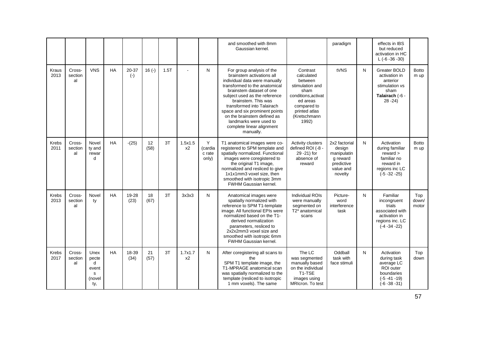|                      |                         |                                                   |           |                |            |      |               |                                 | and smoothed with 8mm<br>Gaussian kernel.                                                                                                                                                                                                                                                                                                                                       |                                                                                                                                                         | paradigm                                                                                 |   | effects in IBS<br>but reduced<br>activation in HC<br>$L$ (-6 -36 -30)                                        |                       |
|----------------------|-------------------------|---------------------------------------------------|-----------|----------------|------------|------|---------------|---------------------------------|---------------------------------------------------------------------------------------------------------------------------------------------------------------------------------------------------------------------------------------------------------------------------------------------------------------------------------------------------------------------------------|---------------------------------------------------------------------------------------------------------------------------------------------------------|------------------------------------------------------------------------------------------|---|--------------------------------------------------------------------------------------------------------------|-----------------------|
| Kraus<br>2013        | Cross-<br>section<br>al | <b>VNS</b>                                        | <b>HA</b> | 20-37<br>$(-)$ | $16(-)$    | 1.5T |               | N                               | For group analysis of the<br>brainstem activations all<br>individual data were manually<br>transformed to the anatomical<br>brainstem dataset of one<br>subject used as the reference<br>brainstem. This was<br>transformed into Talairach<br>space and six prominent points<br>on the brainstem defined as<br>landmarks were used to<br>complete linear alignment<br>manually. | Contrast<br>calculated<br>between<br>stimulation and<br>sham<br>conditions.activat<br>ed areas<br>compared to<br>printed atlas<br>(Kretschmann<br>1992) | tVNS                                                                                     | N | Greater BOLD<br>activation in<br>anterior<br>stimulation vs<br>sham<br>Talairach (-6 -<br>$28 - 24$          | <b>Botto</b><br>m up  |
| Krebs<br>2011        | Cross-<br>section<br>al | Novel<br>ty and<br>rewar<br>d                     | <b>HA</b> | $-(25)$        | 12<br>(58) | 3T   | 1.5x1.5<br>x2 | Y<br>(cardia<br>c rate<br>only) | T1 anatomical images were co-<br>registered to SPM template and<br>spatially normalized. Functional<br>images were coregistered to<br>the original T1 image.<br>normalized and resliced to give<br>1x1x1mm3 voxel size, then<br>smoothed with isotropic 3mm<br><b>FWHM Gaussian kernel.</b>                                                                                     | <b>Activity clusters</b><br>defined ROI (-8 -<br>29 - 21) for<br>absence of<br>reward                                                                   | 2x2 factorial<br>design<br>manipulatin<br>g reward<br>predictive<br>value and<br>novelty | N | Activation<br>during familiar<br>reward<br>familiar no<br>reward in<br>regions inc LC<br>$(-5 - 32 - 25)$    | <b>Botto</b><br>m up  |
| Krebs<br>2013        | Cross-<br>section<br>al | Novel<br>ty                                       | <b>HA</b> | 19-28<br>(23)  | 18<br>(67) | 3T   | 3x3x3         | N                               | Anatomical images were<br>spatially normalized with<br>reference to SPM T1-template<br>image. All functional EPIs were<br>normalized based on the T1-<br>derived normalization<br>parameters, resliced to<br>2x2x2mm3 voxel size and<br>smoothed with isotropic 6mm<br><b>FWHM Gaussian kernel.</b>                                                                             | <b>Individual ROIs</b><br>were manually<br>segmented on<br>T2* anatomical<br>scans                                                                      | Picture-<br>word<br>interference<br>task                                                 | N | Familiar<br>incongruent<br>trials<br>associated with<br>activation in<br>regions inc. LC<br>$(-4 - 34 - 22)$ | Top<br>down/<br>motor |
| <b>Krebs</b><br>2017 | Cross-<br>section<br>al | Unex<br>pecte<br>d<br>event<br>s<br>(novel<br>ty, | <b>HA</b> | 18-39<br>(34)  | 21<br>(57) | 3T   | 1.7x1.7<br>x2 | N                               | After coregistering all scans to<br>the<br>SPM T1 template image, the<br>T1-MPRAGE anatomical scan<br>was spatially normalized to the<br>template (resliced to isotropic<br>1 mm voxels). The same                                                                                                                                                                              | The LC<br>was segmented<br>manually based<br>on the individual<br>T1-TSE<br>images using<br>MRIcron. To test                                            | Oddball<br>task with<br>face stimuli                                                     | N | Activation<br>during task<br>average LC<br>ROI outer<br>boundaries<br>$(-5 - 41 - 19)$<br>$(-6 - 38 - 31)$   | Top<br>down           |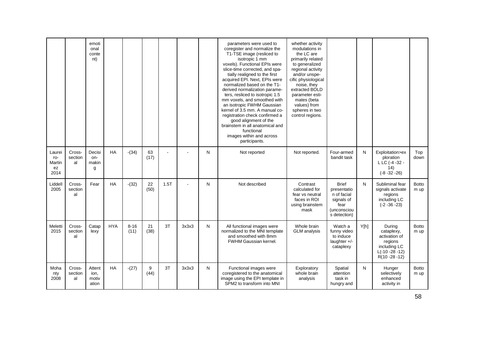|                                       |                         | emoti<br>onal<br>conte<br>nt)    |            |                  |            |        |       |   | parameters were used to<br>coregister and normalize the<br>T1-TSE image (resliced to<br>isotropic 1 mm<br>voxels). Functional EPIs were<br>slice-time corrected, and spa-<br>tially realigned to the first<br>acquired EPI. Next, EPIs were<br>normalized based on the T1-<br>derived normalization parame-<br>ters, resliced to isotropic 1.5<br>mm voxels, and smoothed with<br>an isotropic FWHM Gaussian<br>kernel of 3.5 mm. A manual co-<br>registration check confirmed a<br>good alignment of the<br>brainstem in all anatomical and<br>functional<br>images within and across<br>participants. | whether activity<br>modulations in<br>the LC are<br>primarily related<br>to generalized<br>regional activity<br>and/or unspe-<br>cific physiological<br>noise, they<br>extracted BOLD<br>parameter esti-<br>mates (beta<br>values) from<br>spheres in two<br>control regions. |                                                                                                 |      |                                                                                                             |                      |
|---------------------------------------|-------------------------|----------------------------------|------------|------------------|------------|--------|-------|---|---------------------------------------------------------------------------------------------------------------------------------------------------------------------------------------------------------------------------------------------------------------------------------------------------------------------------------------------------------------------------------------------------------------------------------------------------------------------------------------------------------------------------------------------------------------------------------------------------------|-------------------------------------------------------------------------------------------------------------------------------------------------------------------------------------------------------------------------------------------------------------------------------|-------------------------------------------------------------------------------------------------|------|-------------------------------------------------------------------------------------------------------------|----------------------|
| Laurei<br>ro-<br>Martin<br>ez<br>2014 | Cross-<br>section<br>al | Decisi<br>on-<br>makin<br>g      | <b>HA</b>  | $-(34)$          | 63<br>(17) | $\sim$ |       | N | Not reported                                                                                                                                                                                                                                                                                                                                                                                                                                                                                                                                                                                            | Not reported.                                                                                                                                                                                                                                                                 | Four-armed<br>bandit task                                                                       | N    | Exploitation>ex<br>ploration<br>L LC (-4 -32 -<br>14)<br>$(-8 - 32 - 26)$                                   | Top<br>down          |
| Liddell<br>2005                       | Cross-<br>section<br>al | Fear                             | <b>HA</b>  | $-(32)$          | 22<br>(50) | 1.5T   | ÷.    | N | Not described                                                                                                                                                                                                                                                                                                                                                                                                                                                                                                                                                                                           | Contrast<br>calculated for<br>fear vs neutral<br>faces in ROI<br>using brainstem<br>mask                                                                                                                                                                                      | <b>Brief</b><br>presentatio<br>n of facial<br>signals of<br>fear<br>(unconsciou<br>s detection) | N    | Subliminal fear<br>signals activate<br>regions<br>including LC<br>$(-2 - 36 - 23)$                          | <b>Botto</b><br>m up |
| Meletti<br>2015                       | Cross-<br>section<br>al | Catap<br>lexy                    | <b>HYA</b> | $8 - 16$<br>(11) | 21<br>(38) | 3T     | 3x3x3 | N | All functional images were<br>normalized to the MNI template<br>and smoothed with 8mm<br><b>FWHM Gaussian kernel.</b>                                                                                                                                                                                                                                                                                                                                                                                                                                                                                   | Whole brain<br><b>GLM</b> analysis                                                                                                                                                                                                                                            | Watch a<br>funny video<br>to induce<br>laughter $+/-$<br>cataplexy                              | Y[h] | During<br>cataplexy,<br>activation of<br>regions<br>including LC<br>$L(-10 - 28 - 12)$<br>$R(10 - 28 - 12)$ | <b>Botto</b><br>m up |
| Moha<br>nty<br>2008                   | Cross-<br>section<br>al | Attent<br>ion,<br>motiv<br>ation | <b>HA</b>  | $-(27)$          | 9<br>(44)  | 3T     | 3x3x3 | N | Functional images were<br>coregistered to the anatomical<br>image using the EPI template in<br>SPM2 to transform into MNI                                                                                                                                                                                                                                                                                                                                                                                                                                                                               | Exploratory<br>whole brain<br>analysis                                                                                                                                                                                                                                        | Spatial<br>attention<br>task in<br>hungry and                                                   | N    | Hunger<br>selectively<br>enhanced<br>activity in                                                            | <b>Botto</b><br>m up |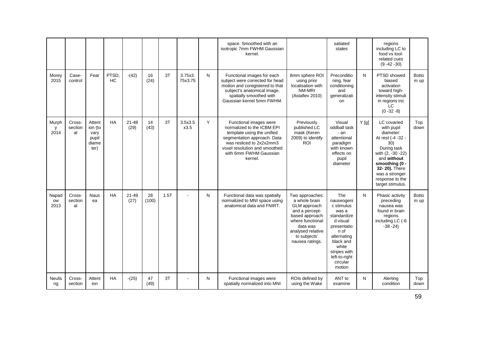|                            |                         |                                                     |                    |                   |             |      |                    |   | space. Smoothed with an<br>isotropic 7mm FWHM Gaussian<br>kernel.                                                                                                                                                   |                                                                                                                                                                              | satiated<br>states                                                                                                                                                                     |      | regions<br>including LC to<br>food vs tool-<br>related cues<br>$(9 - 42 - 30)$                                                                                                                                    |                      |
|----------------------------|-------------------------|-----------------------------------------------------|--------------------|-------------------|-------------|------|--------------------|---|---------------------------------------------------------------------------------------------------------------------------------------------------------------------------------------------------------------------|------------------------------------------------------------------------------------------------------------------------------------------------------------------------------|----------------------------------------------------------------------------------------------------------------------------------------------------------------------------------------|------|-------------------------------------------------------------------------------------------------------------------------------------------------------------------------------------------------------------------|----------------------|
| Morey<br>2015              | Case-<br>control        | Fear                                                | PTSD,<br><b>HC</b> | $-(42)$           | 16<br>(24)  | 3T   | 3.75x3.<br>75x3.75 | N | Functional images for each<br>subject were corrected for head<br>motion and coregistered to that<br>subject's anatomical image,<br>spatially smoothed with<br>Gaussian kernel 5mm FWHM.                             | 8mm sphere ROI<br>using prior<br>localisation with<br>NM-MRI<br>(Astafiev 2010)                                                                                              | Preconditio<br>ning, fear<br>conditioning<br>and<br>generalizati<br>on                                                                                                                 | N    | PTSD showed<br>biased<br>activation<br>toward high-<br>intensity stimuli<br>in regions inc<br>LC<br>$(0 - 32 - 8)$                                                                                                | <b>Botto</b><br>m up |
| Murph<br>y<br>2014         | Cross-<br>section<br>al | Attent<br>ion (to<br>vary<br>pupil<br>diame<br>ter) | HA                 | $21 - 48$<br>(29) | 14<br>(43)  | 3T   | 3.5x3.5<br>x3.5    | Y | Functional images were<br>normalized to the ICBM EPI<br>template using the unified<br>segmentation approach. Data<br>was resliced to 2x2x2mm3<br>voxel resolution and smoothed<br>with 6mm FWHM Gaussian<br>kernel. | Previously<br>published LC<br>mask (Keren<br>2009) to identify<br><b>ROI</b>                                                                                                 | Visual<br>oddball task<br>- an<br>attentional<br>paradigm<br>with known<br>effects on<br>pupil<br>diameter                                                                             | Y[g] | LC covaried<br>with pupil<br>diameter:<br>At rest (-4 -32 -<br>30)<br>During task<br>with (2, -30 -22)<br>and without<br>smoothing (0 -<br>32-20). There<br>was a stronger<br>response to the<br>target stimulus. | Top<br>down          |
| Napad<br><b>OW</b><br>2013 | Cross-<br>section<br>al | <b>Naus</b><br>ea                                   | <b>HA</b>          | $21 - 49$<br>(27) | 28<br>(100) | 1.5T |                    | N | Functional data was spatially<br>normalized to MNI space using<br>anatomical data and FNIRT.                                                                                                                        | Two approaches:<br>a whole brain<br>GLM approach<br>and a percept-<br>based approach<br>where functional<br>data was<br>analysed relative<br>to subjects'<br>nausea ratings. | The<br>nauseogeni<br>c stimulus<br>was a<br>standardize<br>d visual<br>presentatio<br>n of<br>alternating<br>black and<br>white<br>stripes with<br>left-to-right<br>circular<br>motion | N    | Phasic activity<br>preceding<br>nausea was<br>found in brain<br>regions<br>including LC (-6<br>$-38 - 24$                                                                                                         | <b>Botto</b><br>m up |
| Neufa<br>ng                | Cross-<br>section       | Attent<br>ion                                       | <b>HA</b>          | $-(25)$           | 47<br>(49)  | 3T   | $\blacksquare$     | N | Functional images were<br>spatially normalized into MNI                                                                                                                                                             | ROIs defined by<br>using the Wake                                                                                                                                            | ANT to<br>examine                                                                                                                                                                      | N    | Alerting<br>condition                                                                                                                                                                                             | Top<br>down          |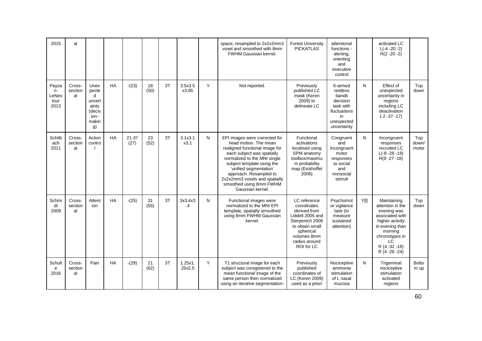| 2015                                   | al                      |                                                                        |           |               |            |    |                   |   | space, resampled to 2x2x2mm3<br>voxel and smoothed with 8mm<br>FWHM Gaussian kernel.                                                                                                                                                                                                                                     | <b>Forest University</b><br><b>PICKATLAS</b>                                                                                                                     | attentional<br>functions -<br>alerting,<br>orienting<br>and<br>executive<br>control                       |      | activated LC<br>$L(-4 - 20 - 2)$<br>$R(2 - 20 - 2)$                                                                                                                              |                       |
|----------------------------------------|-------------------------|------------------------------------------------------------------------|-----------|---------------|------------|----|-------------------|---|--------------------------------------------------------------------------------------------------------------------------------------------------------------------------------------------------------------------------------------------------------------------------------------------------------------------------|------------------------------------------------------------------------------------------------------------------------------------------------------------------|-----------------------------------------------------------------------------------------------------------|------|----------------------------------------------------------------------------------------------------------------------------------------------------------------------------------|-----------------------|
| Payza<br>$n-$<br>LeNes<br>tour<br>2013 | Cross-<br>section<br>al | Unex<br>pecte<br>d<br>uncert<br>ainty<br>(decis<br>ion-<br>makin<br>g) | <b>HA</b> | $-(23)$       | 18<br>(50) | 3T | 3.5x3.5<br>x3.85  | Y | Not reported.                                                                                                                                                                                                                                                                                                            | Previously<br>published LC<br>mask (Keren<br>2009) to<br>delineate LC                                                                                            | 6-armed<br>restless<br>bandit<br>decision<br>task with<br>fluctuations<br>in<br>unexpected<br>uncertainty | N    | Effect of<br>unexpected<br>uncertainty in<br>regions<br>including LC<br>deactivation<br>$(-2 - 37 - 17)$                                                                         | Top<br>down           |
| Schilb<br>ach<br>2011                  | Cross-<br>section<br>al | Action<br>contro                                                       | <b>HA</b> | 21-37<br>(27) | 23<br>(52) | 3T | 3.1x3.1<br>x3.1   | N | EPI images were corrected for<br>head motion. The mean<br>realigned functional image for<br>each subject was spatially<br>normalized to the MNI single<br>subject template using the<br>'unified segmentation'<br>approach. Resampled to<br>2x2x2mm3 voxels and spatially<br>smoothed using 8mm FWHM<br>Gaussian kernel. | Functional<br>activations<br>localised using<br>SPM anatomy<br>toolbox/maximu<br>m probability<br>map (Eickhoffet<br>2006)                                       | Congruent<br>and<br>incongruent<br>motor<br>responses<br>to social<br>and<br>nonsocial<br>stimuli         | N    | Incongruent<br>responses<br>recruited LC<br>$L(-8 - 28 - 18)$<br>$R(9 - 27 - 18)$                                                                                                | Top<br>down/<br>motor |
| Schmi<br>dt<br>2009                    | Cross-<br>section<br>al | Attent<br>ion                                                          | <b>HA</b> | $-(25)$       | 31<br>(55) | 3T | 3x3.4x3<br>.4     | N | Functional images were<br>normalized to the MNI EPI<br>template, spatially smoothed<br>using 8mm FWHM Gaussian<br>kernel.                                                                                                                                                                                                | LC reference<br>coordinates<br>derived from<br>Liddell 2005 and<br>Sterpenich 2006<br>to obtain small<br>spherical<br>volumes 8mm<br>radius around<br>ROI for LC | Psychomot<br>or vigilance<br>task (to<br>measure<br>sustained<br>attention)                               | YIII | Maintaining<br>attention in the<br>evening was<br>associated with<br>higher activity<br>in evening than<br>morning<br>chronotypes in<br>LC<br>R (4 - 32 - 18)<br>R (4 - 26 - 24) | Top<br>down           |
| Schult<br>e<br>2016                    | Cross-<br>section<br>al | Pain                                                                   | <b>HA</b> | $-(29)$       | 21<br>(62) | 3T | 1.25x1.<br>25x2.5 | Y | T1 structural image for each<br>subject was coregistered to the<br>mean functional image of the<br>same person then normalized<br>using an iterative segmentation-                                                                                                                                                       | Previously<br>published<br>coordinates of<br>LC (Keren 2009)<br>used as a priori                                                                                 | Nociceptive<br>ammonia<br>stimulation<br>of L nasal<br>mucosa                                             | N    | Trigeminal<br>nociceptive<br>stimulation<br>activated<br>regions                                                                                                                 | <b>Botto</b><br>m up  |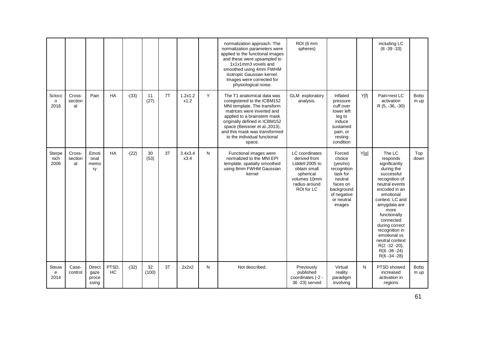|                           |                         |                                  |                   |         |             |    |                 |   | normalization approach. The<br>normalization parameters were<br>applied to the functional images<br>and these were upsampled to<br>1x1x1mm3 voxels and<br>smoothed using 4mm FWHM<br>isotropic Gaussian kernel.<br>Images were corrected for<br>physiological noise.                                | ROI (6 mm<br>spheres)                                                                                                         |                                                                                                                                     |      | including LC<br>$(8 - 39 - 33)$                                                                                                                                                                                                                                                                                                                |                      |
|---------------------------|-------------------------|----------------------------------|-------------------|---------|-------------|----|-----------------|---|-----------------------------------------------------------------------------------------------------------------------------------------------------------------------------------------------------------------------------------------------------------------------------------------------------|-------------------------------------------------------------------------------------------------------------------------------|-------------------------------------------------------------------------------------------------------------------------------------|------|------------------------------------------------------------------------------------------------------------------------------------------------------------------------------------------------------------------------------------------------------------------------------------------------------------------------------------------------|----------------------|
| Sclocc<br>$\circ$<br>2016 | Cross-<br>section<br>al | Pain                             | <b>HA</b>         | $-(33)$ | 11<br>(27)  | 7T | 1.2x1.2<br>x1.2 | Y | The T1 anatomical data was<br>coregistered to the ICBM152<br>MNI template. The transform<br>matrices were inverted and<br>applied to a brainstem mask<br>originally defined in ICBM152<br>space (Beissner et al., 2013),<br>and this mask was transformed<br>to the individual functional<br>space. | GLM exploratory<br>analysis.                                                                                                  | Inflated<br>pressure<br>cuff over<br>lower left<br>leg to<br>induce<br>sustained<br>pain, or<br>resting<br>condition                | Y[f] | Pain>rest LC<br>activation<br>R (5, -36, -30)                                                                                                                                                                                                                                                                                                  | <b>Botto</b><br>m up |
| Sterpe<br>nich<br>2006    | Cross-<br>section<br>al | Emoti<br>onal<br>memo<br>ry      | <b>HA</b>         | $-(22)$ | 30<br>(53)  | 3T | 3.4x3.4<br>x3.4 | N | Functional images were<br>normalized to the MNI EPI<br>template, spatially smoothed<br>using 8mm FWHM Gaussian<br>kernel                                                                                                                                                                            | LC coordinates<br>derived from<br>Liddell 2005 to<br>obtain small<br>spherical<br>volumes 10mm<br>radius around<br>ROI for LC | Forced<br>choice<br>(yes/no)<br>recognition<br>task for<br>neutral<br>faces on<br>background<br>of negative<br>or neutral<br>images | Y[g] | The LC<br>responds<br>significantly<br>during the<br>successful<br>recognition of<br>neutral events<br>encoded in an<br>emotional<br>context. LC and<br>amygdala are<br>more<br>functionally<br>connected<br>during correct<br>recognition in<br>emotional vs<br>neutral context<br>$R(2 - 32 - 20)$ ,<br>$R(6 - 36 - 24)$<br>$R(6 - 34 - 28)$ | Top<br>down          |
| Steuw<br>e<br>2014        | Case-<br>control        | Direct<br>gaze<br>proce<br>ssing | <b>PTSD</b><br>HC | $-(32)$ | 32<br>(100) | 3T | 2x2x2           | N | Not described.                                                                                                                                                                                                                                                                                      | Previously<br>published<br>coordinates (-2 -<br>36 - 23) served                                                               | Virtual<br>reality<br>paradigm<br>involving                                                                                         | N    | PTSD showed<br>increased<br>activation in<br>regions                                                                                                                                                                                                                                                                                           | <b>Botto</b><br>m up |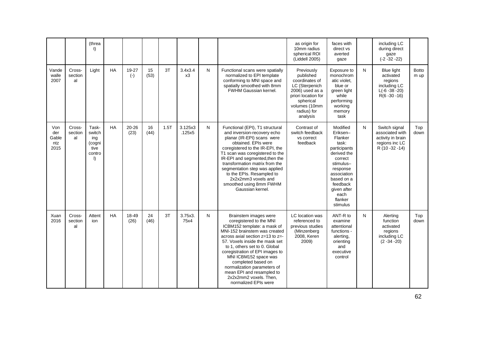|                                    |                         | (threa<br>t)                                             |           |                   |            |      |                   |   |                                                                                                                                                                                                                                                                                                                                                                                                                              | as origin for<br>10mm radius<br>spherical ROI<br>(Liddell 2005)                                                                                                | faces with<br>direct vs<br>averted<br>gaze                                                                                                                                                         |   | including LC<br>during direct<br>gaze<br>$(-2 - 32 - 22)$                                   |                      |
|------------------------------------|-------------------------|----------------------------------------------------------|-----------|-------------------|------------|------|-------------------|---|------------------------------------------------------------------------------------------------------------------------------------------------------------------------------------------------------------------------------------------------------------------------------------------------------------------------------------------------------------------------------------------------------------------------------|----------------------------------------------------------------------------------------------------------------------------------------------------------------|----------------------------------------------------------------------------------------------------------------------------------------------------------------------------------------------------|---|---------------------------------------------------------------------------------------------|----------------------|
| Vande<br>walle<br>2007             | Cross-<br>section<br>al | Light                                                    | <b>HA</b> | 19-27<br>$(-)$    | 15<br>(53) | 3T   | 3.4x3.4<br>x3     | N | Functional scans were spatially<br>normalized to EPI template<br>conforming to MNI space and<br>spatially smoothed with 8mm<br><b>FWHM Gaussian kernel.</b>                                                                                                                                                                                                                                                                  | Previously<br>published<br>coordinates of<br>LC (Sterpenich<br>2006) used as a<br>priori location for<br>spherical<br>volumes (10mm<br>radius) for<br>analysis | Exposure to<br>monochrom<br>atic violet.<br>blue or<br>green light<br>while<br>performing<br>working<br>memory<br>task                                                                             | N | Blue light<br>activated<br>regions<br>including LC<br>$L(-6 - 38 - 20)$<br>$R(6 - 30 - 16)$ | <b>Botto</b><br>m up |
| Von<br>der<br>Gable<br>ntz<br>2015 | Cross-<br>section<br>al | Task-<br>switch<br>ing<br>(cogni<br>tive<br>contro<br>I) | <b>HA</b> | $20 - 26$<br>(23) | 16<br>(44) | 1.5T | 3.125x3<br>.125x5 | N | Functional (EPI), T1 structural<br>and inversion-recovery echo<br>planar (IR-EPI) scans were<br>obtained. EPIs were<br>coregistered to the IR-EPI, the<br>T1 scan was coregistered to the<br>IR-EPI and segmented, then the<br>transformation matrix from the<br>segmentation step was applied<br>to the EPIs. Resampled to<br>2x2x2mm3 voxels and<br>smoothed using 8mm FWHM<br>Gaussian kernel.                            | Contrast of<br>switch feedback<br>vs correct<br>feedback                                                                                                       | Modified<br>Eriksen-<br>Flanker<br>task:<br>participants<br>derived the<br>correct<br>stimulus-<br>response<br>association<br>based on a<br>feedback<br>given after<br>each<br>flanker<br>stimulus | N | Switch signal<br>associated with<br>activity in brain<br>regions inc LC<br>R (10 - 32 - 14) | Top<br>down          |
| Xuan<br>2016                       | Cross-<br>section<br>al | Attent<br>ion                                            | <b>HA</b> | 18-49<br>(26)     | 24<br>(46) | 3T   | 3.75x3.<br>75x4   | N | Brainstem images were<br>coregistered to the MNI<br>ICBM152 template: a mask of<br>MNI-152 brainstem was created<br>across axial section $z=13$ to $z=$ -<br>57. Voxels inside the mask set<br>to 1, others set to 0, Global<br>coregistration of EPI images to<br>MNI ICBM152 space was<br>completed based on<br>normalization parameters of<br>mean EPI and resampled to<br>2x2x2mm2 voxels. Then,<br>normalized EPIs were | LC location was<br>referenced to<br>previous studies<br>(Minzenberg)<br>2008, Keren<br>2009)                                                                   | ANT-R to<br>examine<br>attentional<br>functions -<br>alerting,<br>orienting<br>and<br>executive<br>control                                                                                         | N | Alerting<br>function<br>activated<br>regions<br>including LC<br>$(2 - 34 - 20)$             | Top<br>down          |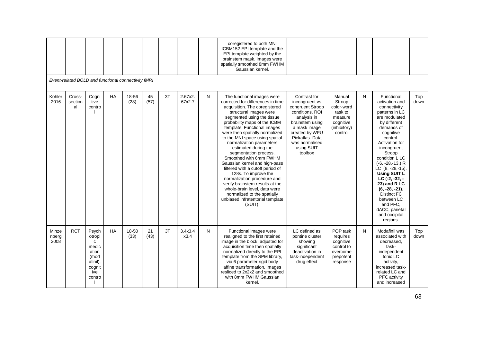|                        | Event-related BOLD and functional connectivity fMRI |                                                                                       |           |               |            |    |                   |   | coregistered to both MNI<br>ICBM152 EPI template and the<br>EPI template weighted by the<br>brainstem mask. Images were<br>spatially smoothed 8mm FWHM<br>Gaussian kernel.                                                                                                                                                                                                                                                                                                                                                                                                                                                                                                      |                                                                                                                                                                                                         |                                                                                              |   |                                                                                                                                                                                                                                                                                                                                                                                                                             |             |
|------------------------|-----------------------------------------------------|---------------------------------------------------------------------------------------|-----------|---------------|------------|----|-------------------|---|---------------------------------------------------------------------------------------------------------------------------------------------------------------------------------------------------------------------------------------------------------------------------------------------------------------------------------------------------------------------------------------------------------------------------------------------------------------------------------------------------------------------------------------------------------------------------------------------------------------------------------------------------------------------------------|---------------------------------------------------------------------------------------------------------------------------------------------------------------------------------------------------------|----------------------------------------------------------------------------------------------|---|-----------------------------------------------------------------------------------------------------------------------------------------------------------------------------------------------------------------------------------------------------------------------------------------------------------------------------------------------------------------------------------------------------------------------------|-------------|
| Kohler<br>2016         | Cross-<br>section<br>al                             | Cogni<br>tive<br>contro                                                               | <b>HA</b> | 18-56<br>(28) | 45<br>(57) | 3T | 2.67x2.<br>67x2.7 | N | The functional images were<br>corrected for differences in time<br>acquisition. The coregistered<br>structural images were<br>segmented using the tissue<br>probability maps of the ICBM<br>template. Functional images<br>were then spatially normalized<br>to the MNI space using spatial<br>normalization parameters<br>estimated during the<br>segmentation process.<br>Smoothed with 6mm FWHM<br>Gaussian kernel and high-pass<br>filtered with a cutoff period of<br>128s. To improve the<br>normalization procedure and<br>verify brainstem results at the<br>whole-brain level, data were<br>normalized to the spatially<br>unbiased infratentorial template<br>(SUIT). | Contrast for<br>incongruent vs<br>congruent Stroop<br>conditions, ROI<br>analysis in<br>brainstem using<br>a mask image<br>created by WFU<br>Pickatlas. Data<br>was normalised<br>using SUIT<br>toolbox | Manual<br>Stroop<br>color-word<br>task to<br>measure<br>cognitive<br>(inhibitory)<br>control | N | Functional<br>activation and<br>connectivity<br>patterns in LC<br>are modulated<br>by different<br>demands of<br>cognitive<br>control.<br>Activation for<br>incongruent<br>Stroop<br>condition L LC<br>$(-6, -28, -13)$ R<br>LC (8, -28, -15).<br><b>Using SUIT L</b><br>LC (-2, -32, -<br>23) and R LC<br>$(6, -28, -21)$ .<br><b>Distinct FC</b><br>between LC<br>and PFC.<br>dACC, parietal<br>and occipital<br>regions. | Top<br>down |
| Minze<br>nberg<br>2008 | <b>RCT</b>                                          | Psych<br>otropi<br>C<br>medic<br>ation<br>(mod<br>afinil),<br>cognit<br>ive<br>contro | <b>HA</b> | 18-50<br>(33) | 21<br>(43) | 3T | 3.4x3.4<br>x3.4   | N | Functional images were<br>realigned to the first retained<br>image in the block, adjusted for<br>acquisition time then spatially<br>normalized directly to the EPI<br>template from the SPM library,<br>via 6 parameter rigid body<br>affine transformation. Images<br>resliced to 2x2x2 and smoothed<br>with 8mm FWHM Gaussian<br>kernel.                                                                                                                                                                                                                                                                                                                                      | LC defined as<br>pontine cluster<br>showing<br>significant<br>deactivation in<br>task-independent<br>drug effect                                                                                        | POP task<br>requires<br>cognitive<br>control to<br>overcome<br>prepotent<br>response         | N | Modafinil was<br>associated with<br>decreased,<br>task-<br>independent<br>tonic LC<br>activity,<br>increased task-<br>related LC and<br>PFC activity<br>and increased                                                                                                                                                                                                                                                       | Top<br>down |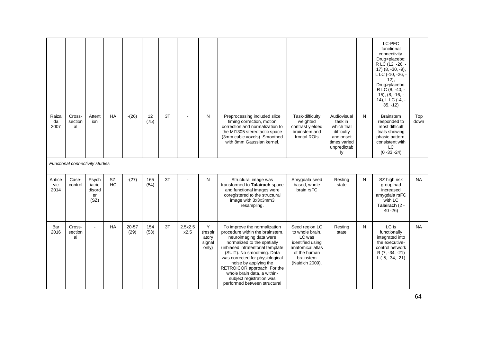|                       |                                 |                                         |                  |               |             |    |                 |                                          |                                                                                                                                                                                                                                                                                                                                                                                  |                                                                                                                                     |                                                                                                       |   | LC-PFC<br>functional<br>connectivity.<br>Drug <placebo:<br>R LC (12, -26, -<br/><math>17)</math> <math>(8, -30, -9)</math>,<br/>L LC (-10, -26, -<br/><math>(12)</math>,<br/>Drug&gt;placebo:<br/>R LC (8, -40, -<br/><math>15</math>, <math>(8, -16, -</math><br/>14), L LC (-4, -<br/><math>35, -12)</math></placebo:<br> |             |
|-----------------------|---------------------------------|-----------------------------------------|------------------|---------------|-------------|----|-----------------|------------------------------------------|----------------------------------------------------------------------------------------------------------------------------------------------------------------------------------------------------------------------------------------------------------------------------------------------------------------------------------------------------------------------------------|-------------------------------------------------------------------------------------------------------------------------------------|-------------------------------------------------------------------------------------------------------|---|-----------------------------------------------------------------------------------------------------------------------------------------------------------------------------------------------------------------------------------------------------------------------------------------------------------------------------|-------------|
| Raiza<br>da<br>2007   | Cross-<br>section<br>al         | Attent<br>ion                           | HA               | $-(26)$       | 12<br>(75)  | 3T |                 | N                                        | Preprocessing included slice<br>timing correction, motion<br>correction and normalization to<br>the MI1305 stereotactic space<br>(3mm cubic voxels). Smoothed<br>with 8mm Gaussian kernel.                                                                                                                                                                                       | Task-difficulty<br>weighted<br>contrast yielded<br>brainstem and<br>frontal ROIs                                                    | Audiovisual<br>task in<br>which trial<br>difficulty<br>and onset<br>times varied<br>unpredictab<br>l٧ | N | <b>Brainstem</b><br>responded to<br>most difficult<br>trials showing<br>phasic pattern,<br>consistent with<br>LC<br>$(0 - 33 - 24)$                                                                                                                                                                                         | Top<br>down |
|                       | Functional connectivity studies |                                         |                  |               |             |    |                 |                                          |                                                                                                                                                                                                                                                                                                                                                                                  |                                                                                                                                     |                                                                                                       |   |                                                                                                                                                                                                                                                                                                                             |             |
| Antice<br>vic<br>2014 | Case-<br>control                | Psych<br>iatric<br>disord<br>er<br>(SZ) | SZ,<br><b>HC</b> | $-(27)$       | 165<br>(54) | 3T | $\blacksquare$  | N                                        | Structural image was<br>transformed to Talairach space<br>and functional images were<br>coregistered to the structural<br>image with 3x3x3mm3<br>resampling.                                                                                                                                                                                                                     | Amygdala seed<br>based, whole<br>brain rsFC                                                                                         | Resting<br>state                                                                                      | N | SZ high risk<br>group had<br>increased<br>amygdala rsFC<br>with LC<br>Talairach (2 -<br>$40 - 26$                                                                                                                                                                                                                           | <b>NA</b>   |
| Bar<br>2016           | Cross-<br>section<br>al         | $\mathbf{r}$                            | <b>HA</b>        | 20-57<br>(29) | 154<br>(53) | 3T | 2.5x2.5<br>x2.5 | Y<br>(respir<br>atory<br>signal<br>only) | To improve the normalization<br>procedure within the brainstem,<br>neuroimaging data were<br>normalized to the spatially<br>unbiased infratentorial template<br>(SUIT). No smoothing. Data<br>was corrected for physiological<br>noise by applying the<br>RETROICOR approach. For the<br>whole brain data, a within-<br>subject registration was<br>performed between structural | Seed region LC<br>to whole brain.<br>LC was<br>identified using<br>anatomical atlas<br>of the human<br>brainstem<br>(Naidich 2009). | Resting<br>state                                                                                      | N | LC is<br>functionally<br>integrated into<br>the executive-<br>control network<br>R (7, -34, -21)<br>$L$ (-5, -34, -21)                                                                                                                                                                                                      | <b>NA</b>   |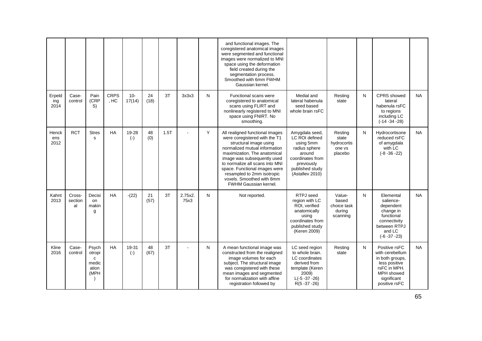|                       |                         |                                                |                     |                 |            |      |                 |   | and functional images. The<br>coregistered anatomical images<br>were segmented and functional<br>images were normalized to MNI<br>space using the deformation<br>field created during the<br>segmentation process.<br>Smoothed with 6mm FWHM<br>Gaussian kernel.                                                                                          |                                                                                                                                                         |                                                      |   |                                                                                                                                    |           |
|-----------------------|-------------------------|------------------------------------------------|---------------------|-----------------|------------|------|-----------------|---|-----------------------------------------------------------------------------------------------------------------------------------------------------------------------------------------------------------------------------------------------------------------------------------------------------------------------------------------------------------|---------------------------------------------------------------------------------------------------------------------------------------------------------|------------------------------------------------------|---|------------------------------------------------------------------------------------------------------------------------------------|-----------|
| Erpeld<br>ing<br>2014 | Case-<br>control        | Pain<br>(CRP<br>S)                             | <b>CRPS</b><br>, HC | $10-$<br>17(14) | 24<br>(18) | 3T   | 3x3x3           | N | Functional scans were<br>coregistered to anatomical<br>scans using FLIRT and<br>nonlinearly registered to MNI<br>space using FNIRT. No<br>smoothing.                                                                                                                                                                                                      | Medial and<br>lateral habenula<br>seed based<br>whole brain rsFC                                                                                        | Resting<br>state                                     | N | <b>CPRS</b> showed<br>lateral<br>habenula rsFC<br>to regions<br>including LC<br>$(-14 - 34 - 28)$                                  | <b>NA</b> |
| Henck<br>ens<br>2012  | <b>RCT</b>              | <b>Stres</b><br>s                              | <b>HA</b>           | 19-28<br>$(-)$  | 48<br>(0)  | 1.5T | ÷.              | Y | All realigned functional images<br>were coregistered with the T1<br>structural image using<br>normalized mutual information<br>maximization. The anatomical<br>image was subsequently used<br>to normalize all scans into MNI<br>space. Functional images were<br>resampled to 2mm isotropic<br>voxels. Smoothed with 8mm<br><b>FWHM Gaussian kernel.</b> | Amygdala seed,<br><b>LC ROI defined</b><br>using 5mm<br>radius sphere<br>around<br>coordinates from<br>previously<br>published study<br>(Astafiev 2010) | Restina<br>state<br>hydrocortis<br>one vs<br>placebo | N | Hydrocortisone<br>reduced rsFC<br>of amygdala<br>with LC<br>$(-8 - 36 - 22)$                                                       | <b>NA</b> |
| Kahnt<br>2013         | Cross-<br>section<br>al | Decisi<br>on<br>makin<br>g                     | <b>HA</b>           | $-(22)$         | 21<br>(57) | 3T   | 2.75x2.<br>75x3 | N | Not reported.                                                                                                                                                                                                                                                                                                                                             | RTPJ seed<br>region with LC<br>ROI, verified<br>anatomically<br>using<br>coordinates from<br>published study<br>(Keren 2009)                            | Value-<br>based<br>choice task<br>during<br>scanning | N | Elemental<br>salience-<br>dependent<br>change in<br>functional<br>connectivity<br>between RTPJ<br>and LC<br>$(-6 - 37 - 23)$       | <b>NA</b> |
| Kline<br>2016         | Case-<br>control        | Psych<br>otropi<br>C<br>medic<br>ation<br>(MPH | <b>HA</b>           | 19-31<br>$(-)$  | 48<br>(67) | 3T   | $\blacksquare$  | N | A mean functional image was<br>constructed from the realigned<br>image volumes for each<br>subject. The structural image<br>was coregistered with these<br>mean images and segmented<br>for normalization with affine<br>registration followed by                                                                                                         | LC seed region<br>to whole brain.<br>LC coordinates<br>derived from<br>template (Keren<br>2009)<br>$L(-5 - 37 - 26)$<br>$R(5 - 37 - 26)$                | Resting<br>state                                     | N | Positive rsFC<br>with cerebellum<br>in both groups,<br>less positive<br>rsFC in MPH.<br>MPH showed<br>significant<br>positive rsFC | <b>NA</b> |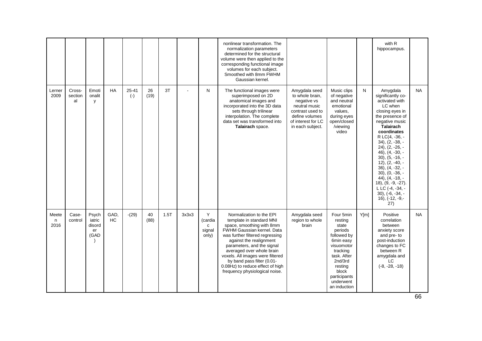|                    |                         |                                         |            |                    |            |      |       |                                      | nonlinear transformation. The<br>normalization parameters<br>determined for the structural<br>volume were then applied to the<br>corresponding functional image<br>volumes for each subject.<br>Smoothed with 8mm FWHM<br>Gaussian kernel.                                                                                                                                       |                                                                                                                                                  |                                                                                                                                                                                           |      | with R<br>hippocampus.                                                                                                                                                                                                                                                                                                                                                                                                                                     |           |
|--------------------|-------------------------|-----------------------------------------|------------|--------------------|------------|------|-------|--------------------------------------|----------------------------------------------------------------------------------------------------------------------------------------------------------------------------------------------------------------------------------------------------------------------------------------------------------------------------------------------------------------------------------|--------------------------------------------------------------------------------------------------------------------------------------------------|-------------------------------------------------------------------------------------------------------------------------------------------------------------------------------------------|------|------------------------------------------------------------------------------------------------------------------------------------------------------------------------------------------------------------------------------------------------------------------------------------------------------------------------------------------------------------------------------------------------------------------------------------------------------------|-----------|
| Lerner<br>2009     | Cross-<br>section<br>al | Emoti<br>onalit<br>y                    | <b>HA</b>  | $25 - 41$<br>$(-)$ | 26<br>(19) | 3T   |       | N                                    | The functional images were<br>superimposed on 2D<br>anatomical images and<br>incorporated into the 3D data<br>sets through trilinear<br>interpolation. The complete<br>data set was transformed into<br>Talairach space.                                                                                                                                                         | Amygdala seed<br>to whole brain,<br>negative vs<br>neutral music<br>contrast used to<br>define volumes<br>of interest for LC<br>in each subject. | Music clips<br>of negative<br>and neutral<br>emotional<br>values,<br>during eyes<br>open/closed<br>/viewing<br>video                                                                      | N.   | Amygdala<br>significantly co-<br>activated with<br>LC when<br>closing eyes in<br>the presence of<br>negative music<br>Talairach<br>coordinates<br>R LC(4, -36, -<br>$34$ , $(2, -38, -$<br>$24$ , $(2, -26, -$<br>$46$ ), $(4, -30, -$<br>$30$ , $(5, -16, -1)$<br>$(2, -40, -$<br>$36$ , $(4, -32, -$<br>$30$ , $(0, -36, -$<br>44), $(4, -18, -$<br>$18$ , $(9, -9, -27)$ .<br>L LC (-4, -34, -<br>$30$ , $(-6, -34, -$<br>$16$ , $(-12, -9, -1)$<br>27) | <b>NA</b> |
| Meete<br>n<br>2016 | Case-<br>control        | Psych<br>iatric<br>disord<br>er<br>(GAD | GAD,<br>HC | $-(29)$            | 40<br>(88) | 1.5T | 3x3x3 | Y<br>(cardia<br>c<br>signal<br>only) | Normalization to the EPI<br>template in standard MNI<br>space, smoothing with 8mm<br>FWHM Gaussian kernel. Data<br>was further filtered regressing<br>against the realignment<br>parameters, and the signal<br>averaged over whole brain<br>voxels. All images were filtered<br>by band pass filter (0.01-<br>0.08Hz) to reduce effect of high<br>frequency physiological noise. | Amygdala seed<br>region to whole<br>brain                                                                                                        | Four 5min<br>resting<br>state<br>periods<br>followed by<br>6min easy<br>visuomotor<br>tracking<br>task. After<br>2nd/3rd<br>resting<br>block<br>participants<br>underwent<br>an induction | Y[m] | Positive<br>correlation<br>between<br>anxiety score<br>and pre- to<br>post-induction<br>changes to FC<br>between R<br>amygdala and<br>LC<br>$(-8, -28, -18)$                                                                                                                                                                                                                                                                                               | <b>NA</b> |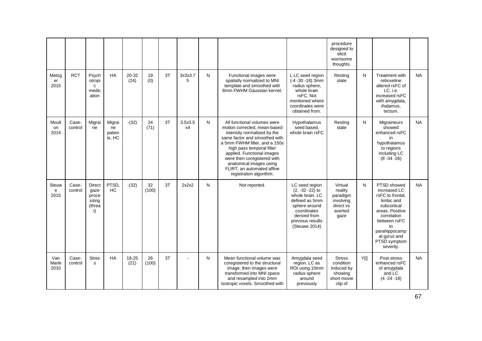|                           |                  |                                                   |                                  |               |             |    |               |   |                                                                                                                                                                                                                                                                                                                                            |                                                                                                                                                                | procedure<br>designed to<br>elicit<br>worrisome<br>thoughts.                  |             |                                                                                                                                                                                                    |           |
|---------------------------|------------------|---------------------------------------------------|----------------------------------|---------------|-------------|----|---------------|---|--------------------------------------------------------------------------------------------------------------------------------------------------------------------------------------------------------------------------------------------------------------------------------------------------------------------------------------------|----------------------------------------------------------------------------------------------------------------------------------------------------------------|-------------------------------------------------------------------------------|-------------|----------------------------------------------------------------------------------------------------------------------------------------------------------------------------------------------------|-----------|
| Metzg<br>er<br>2015       | <b>RCT</b>       | Psych<br>otropi<br>$\mathbf{C}$<br>medic<br>ation | <b>HA</b>                        | 20-32<br>(24) | 19<br>(0)   | 3T | 3x3x3.7<br>5  | N | Functional images were<br>spatially normalized to MNI<br>template and smoothed with<br>8mm FWHM Gaussian kernel.                                                                                                                                                                                                                           | L LC seed region<br>$(-4 - 30 - 18)$ 3mm<br>radius sphere,<br>whole brain<br>rsFC. Not<br>mentioned where<br>coordinates were<br>obtained from.                | Resting<br>state                                                              | N           | Treatment with<br>reboxetine<br>altered rsFC of<br>LC, i.e.<br>increased rsFC<br>with amygdala,<br>thalamus,<br>tectum.                                                                            | <b>NA</b> |
| Moult<br>on<br>2014       | Case-<br>control | Migrai<br>ne                                      | Migrai<br>ne<br>patien<br>ts, HC | $-(32)$       | 24<br>(71)  | 3T | 3.5x3.5<br>x4 | N | All functional volumes were<br>motion corrected, mean-based<br>intensity normalized by the<br>same factor and smoothed with<br>a 5mm FWHM filter, and a 150s<br>high pass temporal filter<br>applied. Functional images<br>were then coregistered with<br>anatomical images using<br>FLIRT, an automated affine<br>registration algorithm. | Hypothalamus<br>seed based,<br>whole brain rsFC                                                                                                                | Resting<br>state                                                              | N           | <b>Migraineurs</b><br>showed<br>enhanced rsFC<br>in<br>hypothalamus<br>to regions<br>including LC<br>$(8 - 34 - 26)$                                                                               | <b>NA</b> |
| <b>Steuw</b><br>e<br>2015 | Case-<br>control | Direct<br>gaze<br>proce<br>ssing<br>(threa<br>t)  | PTSD.<br>HC                      | $-(32)$       | 32<br>(100) | 3T | 2x2x2         | N | Not reported.                                                                                                                                                                                                                                                                                                                              | LC seed region<br>$(2, -32 - 22)$ to<br>whole brain, LC<br>defined as 5mm<br>sphere around<br>coordinates<br>derived from<br>previous results<br>(Steuwe 2014) | Virtual<br>reality<br>paradigm<br>involving<br>direct vs<br>averted<br>gaze   | N           | PTSD showed<br>increased LC<br>rsFC to frontal.<br>limbic and<br>subcortical<br>areas. Positive<br>correlation<br>between rsFC<br>to<br>parahippocamp<br>al gyrus and<br>PTSD symptom<br>severity. | <b>NA</b> |
| Van<br>Marle<br>2010      | Case-<br>control | <b>Stres</b><br>s                                 | HA                               | 18-25<br>(21) | 26<br>(100) | 3T | ÷             | N | Mean functional volume was<br>coregistered to the structural<br>image, then images were<br>transformed into MNI space<br>and resampled into 2mm<br>isotropic voxels. Smoothed with                                                                                                                                                         | Amygdala seed<br>region, LC as<br>ROI using 10mm<br>radius sphere<br>around<br>previously                                                                      | <b>Stress</b><br>condition<br>induced by<br>showing<br>short movie<br>clip of | <b>Y</b> ii | Post-stress<br>enhanced rsFC<br>of amygdala<br>and LC<br>$(4 - 24 - 18)$                                                                                                                           | <b>NA</b> |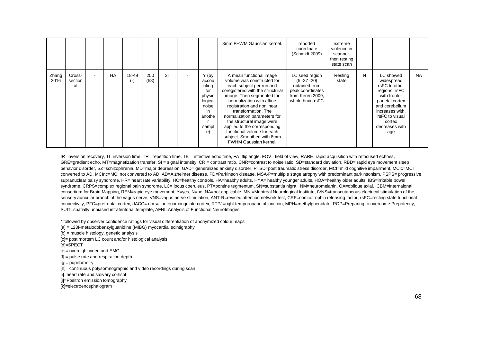|               |                         |                          |    |                |             |    |                                                                                              | 8mm FHWM Gaussian kernel.                                                                                                                                                                                                                                                                                                                                                                                                     | reported<br>coordinate<br>(Schmidt 2009)                                                                       | extreme<br>violence in<br>scanner,<br>then resting<br>state scan |   |                                                                                                                                                                                        |           |
|---------------|-------------------------|--------------------------|----|----------------|-------------|----|----------------------------------------------------------------------------------------------|-------------------------------------------------------------------------------------------------------------------------------------------------------------------------------------------------------------------------------------------------------------------------------------------------------------------------------------------------------------------------------------------------------------------------------|----------------------------------------------------------------------------------------------------------------|------------------------------------------------------------------|---|----------------------------------------------------------------------------------------------------------------------------------------------------------------------------------------|-----------|
| Zhang<br>2016 | Cross-<br>section<br>al | $\overline{\phantom{a}}$ | HA | 18-49<br>$(-)$ | 250<br>(58) | 3T | Y (by<br>accou<br>nting<br>for<br>physio<br>logical<br>noise<br>in.<br>anothe<br>sampl<br>e) | A mean functional image<br>volume was constructed for<br>each subject per run and<br>coregistered with the structural<br>image. Then segmented for<br>normalization with affine<br>registration and nonlinear<br>transformation. The<br>normalization parameters for<br>the structural image were<br>applied to the corresponding<br>functional volume for each<br>subject. Smoothed with 8mm<br><b>FWHM Gaussian kernel.</b> | LC seed region<br>$(5 - 37 - 20)$<br>obtained from<br>peak coordinates<br>from Keren 2009,<br>whole brain rsFC | Resting<br>state                                                 | N | LC showed<br>widespread<br>rsFC to other<br>regions. rsFC<br>with fronto-<br>parietal cortex<br>and cerebellum<br>increases with,<br>rsFC to visual<br>cortex<br>decreases with<br>age | <b>NA</b> |

IR=inversion recovery, TI=inversion time, TR= repetition time, TE = effective echo time, FA=flip angle, FOV= field of view, RARE=rapid acquisition with refocused echoes, GRE=gradient echo, MT=magnetization transfer, SI = signal intensity, CR = contrast ratio, CNR=contrast to noise ratio, SD=standard deviation, RBD= rapid eye movement sleep behavior disorder, SZ=schizophrenia, MD=major depression, GAD= generalized anxiety disorder, PTSD=post traumatic stress disorder, MCI=mild cognitive impairment, MCIc=MCI converted to AD, MCInc=MCI not converted to AD, AD=Alzheimer disease, PD=Parkinson disease, MSA-P=multiple stage atrophy with predominant parkinsonism, PSPS= progressive supranuclear palsy syndrome, HR= heart rate variability, HC=healthy controls, HA=healthy adults, HYA= healthy younger adults, HOA=healthy older adults, IBS=irritable bowel syndrome, CRPS=complex regional pain syndrome, LC= locus coeruleus, PT=pontine tegmentum, SN=substantia nigra, NM=neuromelanin, OA=oblique axial, ICBM=Internaional consortium for Brain Mapping, REM=rapid eve movement, Y=yes, N=no, NA=not applicable, MNI=Montreal Neurological Institute, tVNS=transcutaneous electrical stimulation of the sensory auricular branch of the vagus nerve, VNS=vagus nerve stimulation, ANT-R=revised attention network test, CRF=corticotrophin releasing factor, rsFC=resting state functional connectivity, PFC=prefrontal cortex, dACC= dorsal anterior cingulate cortex, RTPJ=right temporoparietal junction, MPH=methylphenidate, POP=Preparing to overcome Prepotency, SUIT=spatially unbiased infratentorial template, AFNI=Analysis of Functional NeuroImages

\* followed by observer confidence ratings for visual differentiation of anonymized colour maps

[a] = 123I-metaiodobenzylguanidine (MIBG) myocardial scintigraphy

[b] = muscle histology, genetic analysis

[c]= post mortem LC count and/or histological analysis

[d]=SPECT

- [e]= overnight video and EMG
- $[f]$  = pulse rate and respiration depth
- [g]= pupillometry

[h]= continuous polysomnographic and video recordings during scan

[i]=heart rate and salivary cortisol

- [j]=Positron emission tomography
- [k]=electroencephalogram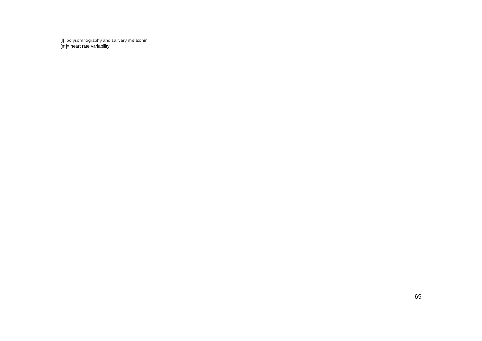[l]=polysomnography and salivary melatonin [m]= heart rate variability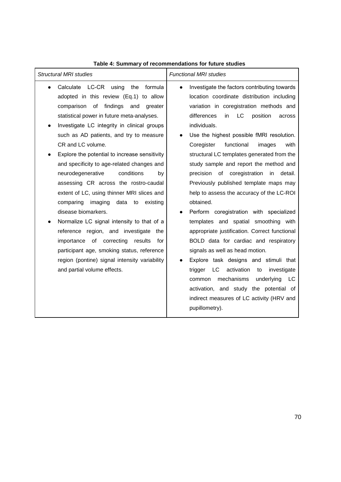# **Table 4: Summary of recommendations for future studies**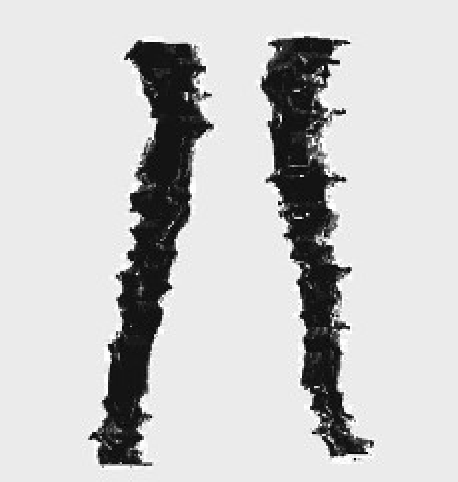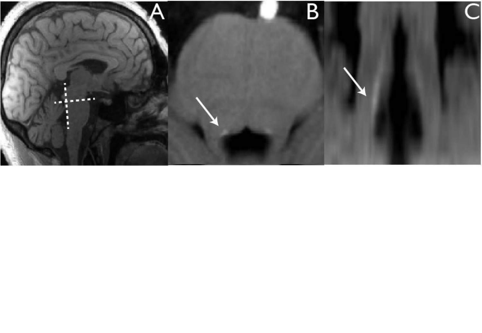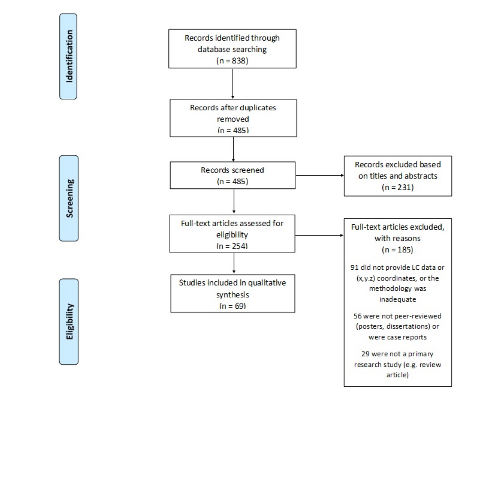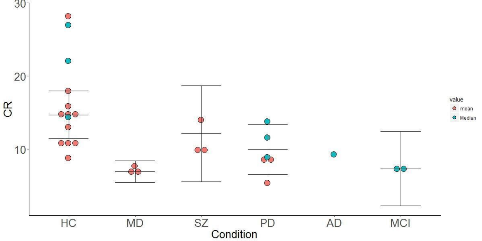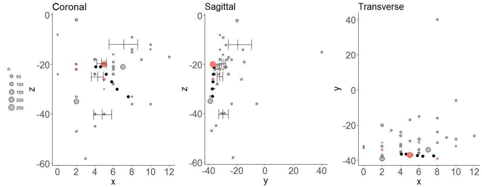